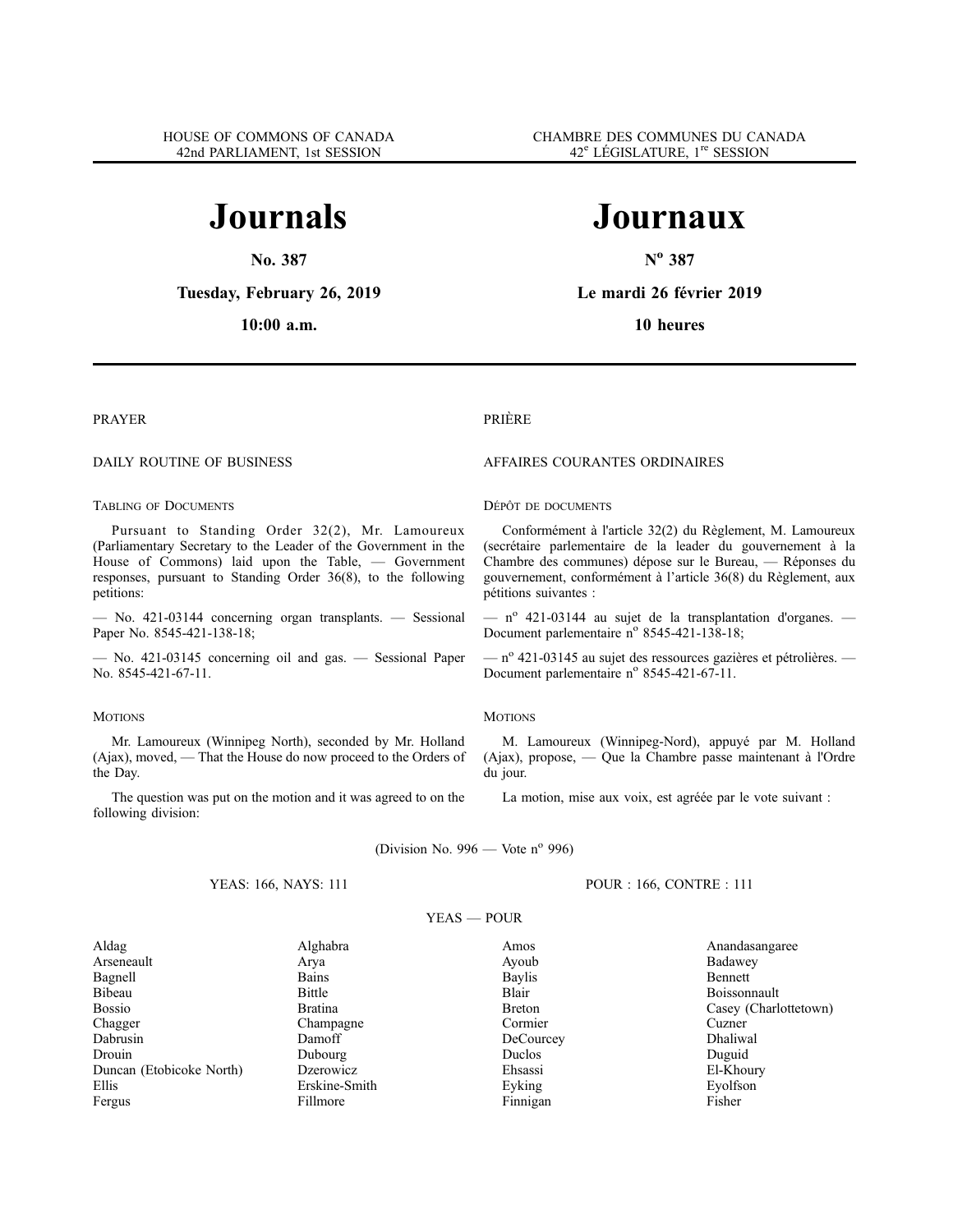# **Journals**

**No. 387**

**Tuesday, February 26, 2019**

**10:00 a.m.**

# **Journaux**

**N<sup>o</sup> 387**

**Le mardi 26 février 2019**

**10 heures**

# PRAYER

# DAILY ROUTINE OF BUSINESS

# TABLING OF DOCUMENTS

Pursuant to Standing Order 32(2), Mr. Lamoureux (Parliamentary Secretary to the Leader of the Government in the House of Commons) laid upon the Table, — Government responses, pursuant to Standing Order 36(8), to the following petitions:

— No. 421-03144 concerning organ transplants. — Sessional Paper No. 8545-421-138-18;

— No. 421-03145 concerning oil and gas. — Sessional Paper No. 8545-421-67-11.

# **MOTIONS**

Mr. Lamoureux (Winnipeg North), seconded by Mr. Holland (Ajax), moved, — That the House do now proceed to the Orders of the Day.

The question was put on the motion and it was agreed to on the following division:

# PRIÈRE

# AFFAIRES COURANTES ORDINAIRES

# DÉPÔT DE DOCUMENTS

Conformément à l'article 32(2) du Règlement, M. Lamoureux (secrétaire parlementaire de la leader du gouvernement à la Chambre des communes) dépose sur le Bureau, — Réponses du gouvernement, conformément à l'article 36(8) du Règlement, aux pétitions suivantes :

 $-$  n<sup>o</sup> 421-03144 au sujet de la transplantation d'organes.  $-$ Document parlementaire n° 8545-421-138-18;

 $-$  n<sup>o</sup> 421-03145 au sujet des ressources gazières et pétrolières.  $-$ Document parlementaire n° 8545-421-67-11.

# **MOTIONS**

M. Lamoureux (Winnipeg-Nord), appuyé par M. Holland (Ajax), propose, — Que la Chambre passe maintenant à l'Ordre du jour.

La motion, mise aux voix, est agréée par le vote suivant :

POUR : 166, CONTRE : 111

(Division No.  $996$  — Vote n° 996)

# YEAS: 166, NAYS: 111

# YEAS — POUR

Aldag Alghabra Amos Anandasangaree Arseneault Arya Ayoub Badawey Bagnell Bains Baylis Bennett Bibeau Bittle Blair Blair Boissonnault Bossio Bratina Bratina Breton Casey (Charlottetown)<br>
Chagger Champagne Champagne Cormier Cuzner Chagger Champagne Champagne Cormier Cuzner Dabrusin Damoff Damoff DeCourcey Dhaliwal Drouin Dubourg Duclos Duguid Duncan (Etobicoke North) Dzerowicz Ehsassi El-Khoury Ellis Erskine-Smith Eyking Eyolfson Fergus Fillmore Finnigan Fisher Fisher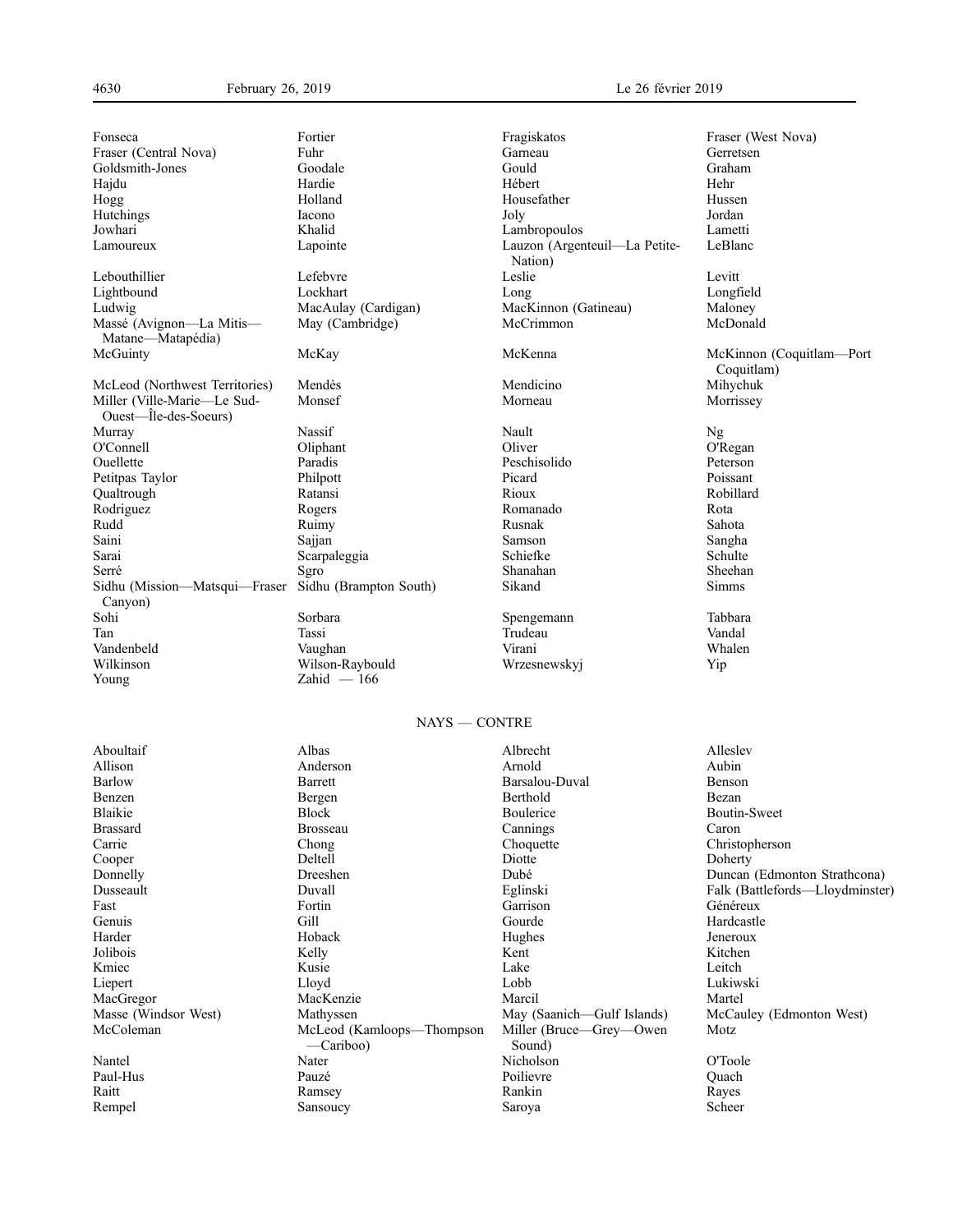| Fonseca                                  | Fortier                                  | Fragiskatos                       | Fraser (West Nova)              |
|------------------------------------------|------------------------------------------|-----------------------------------|---------------------------------|
| Fraser (Central Nova)                    | Fuhr                                     | Garneau                           | Gerretsen                       |
| Goldsmith-Jones                          | Goodale                                  | Gould                             | Graham                          |
| Hajdu                                    | Hardie                                   | Hébert                            | Hehr                            |
| Hogg                                     | Holland                                  | Housefather                       | Hussen                          |
| Hutchings                                | Iacono                                   | Joly                              | Jordan                          |
| Jowhari                                  | Khalid                                   | Lambropoulos                      | Lametti                         |
| Lamoureux                                | Lapointe                                 | Lauzon (Argenteuil-La Petite-     | LeBlanc                         |
|                                          |                                          | Nation)                           |                                 |
|                                          | Lefebvre                                 |                                   |                                 |
| Lebouthillier                            |                                          | Leslie                            | Levitt                          |
| Lightbound                               | Lockhart                                 | Long                              | Longfield                       |
| Ludwig                                   | MacAulay (Cardigan)                      | MacKinnon (Gatineau)              | Maloney                         |
| Massé (Avignon-La Mitis-                 | May (Cambridge)                          | McCrimmon                         | McDonald                        |
| Matane-Matapédia)                        |                                          |                                   |                                 |
| McGuinty                                 | McKay                                    | McKenna                           | McKinnon (Coquitlam-Port        |
|                                          |                                          |                                   | Coquitlam)                      |
| McLeod (Northwest Territories)           | Mendès                                   | Mendicino                         | Mihychuk                        |
| Miller (Ville-Marie-Le Sud-              | Monsef                                   | Morneau                           | Morrissey                       |
| Ouest—Île-des-Soeurs)                    |                                          |                                   |                                 |
| Murray                                   | Nassif                                   | Nault                             | Ng                              |
| O'Connell                                | Oliphant                                 | Oliver                            | O'Regan                         |
| Ouellette                                | Paradis                                  | Peschisolido                      | Peterson                        |
| Petitpas Taylor                          | Philpott                                 | Picard                            | Poissant                        |
| Oualtrough                               | Ratansi                                  | Rioux                             | Robillard                       |
| Rodriguez                                | Rogers                                   | Romanado                          | Rota                            |
| Rudd                                     | Ruimy                                    | Rusnak                            | Sahota                          |
| Saini                                    | Sajjan                                   | Samson                            | Sangha                          |
| Sarai                                    |                                          | Schiefke                          | Schulte                         |
|                                          | Scarpaleggia                             | Shanahan                          | Sheehan                         |
| Serré                                    | Sgro                                     |                                   |                                 |
| Sidhu (Mission—Matsqui—Fraser<br>Canyon) | Sidhu (Brampton South)                   | Sikand                            | <b>Simms</b>                    |
| Sohi                                     | Sorbara                                  | Spengemann                        | Tabbara                         |
| Tan                                      | Tassi                                    | Trudeau                           | Vandal                          |
| Vandenbeld                               | Vaughan                                  | Virani                            | Whalen                          |
| Wilkinson                                | Wilson-Raybould                          | Wrzesnewskyj                      | Yip                             |
| Young                                    | $Zahid - 166$                            |                                   |                                 |
|                                          |                                          |                                   |                                 |
|                                          | $NAYS - CONTRE$                          |                                   |                                 |
| Aboultaif                                | Albas                                    | Albrecht                          | Alleslev                        |
| Allison                                  | Anderson                                 | Arnold                            | Aubin                           |
| <b>Barlow</b>                            | Barrett                                  | Barsalou-Duval                    | Benson                          |
|                                          |                                          |                                   |                                 |
| Benzen                                   | Bergen                                   | Berthold                          | Bezan                           |
| Blaikie                                  | <b>Block</b>                             | Boulerice                         | Boutin-Sweet                    |
| <b>Brassard</b>                          | <b>Brosseau</b>                          | Cannings                          | Caron                           |
| Carrie                                   | Chong                                    | Choquette                         | Christopherson                  |
| Cooper                                   | Deltell                                  | Diotte                            | Doherty                         |
| Donnelly                                 | Dreeshen                                 | Dubé                              | Duncan (Edmonton Strathcona)    |
| Dusseault                                | Duvall                                   | Eglinski                          | Falk (Battlefords-Lloydminster) |
| Fast                                     | Fortin                                   | Garrison                          | Généreux                        |
| Genuis                                   | Gill                                     | Gourde                            | Hardcastle                      |
| Harder                                   | Hoback                                   | Hughes                            | Jeneroux                        |
| Jolibois                                 | Kelly                                    | Kent                              | Kitchen                         |
| Kmiec                                    | Kusie                                    | Lake                              | Leitch                          |
| Liepert                                  | Lloyd                                    | Lobb                              | Lukiwski                        |
| MacGregor                                | MacKenzie                                | Marcil                            | Martel                          |
| Masse (Windsor West)                     | Mathyssen                                | May (Saanich-Gulf Islands)        | McCauley (Edmonton West)        |
| McColeman                                | McLeod (Kamloops—Thompson<br>$-Cariboo)$ | Miller (Bruce—Grey—Owen<br>Sound) | Motz                            |
|                                          |                                          |                                   |                                 |
| Nantel                                   | Nater                                    | Nicholson                         | O'Toole                         |
| Paul-Hus                                 | Pauzé                                    | Poilievre                         | Quach                           |
| Raitt                                    | Ramsey                                   | Rankin                            | Rayes                           |
| Rempel                                   | Sansoucy                                 | Saroya                            | Scheer                          |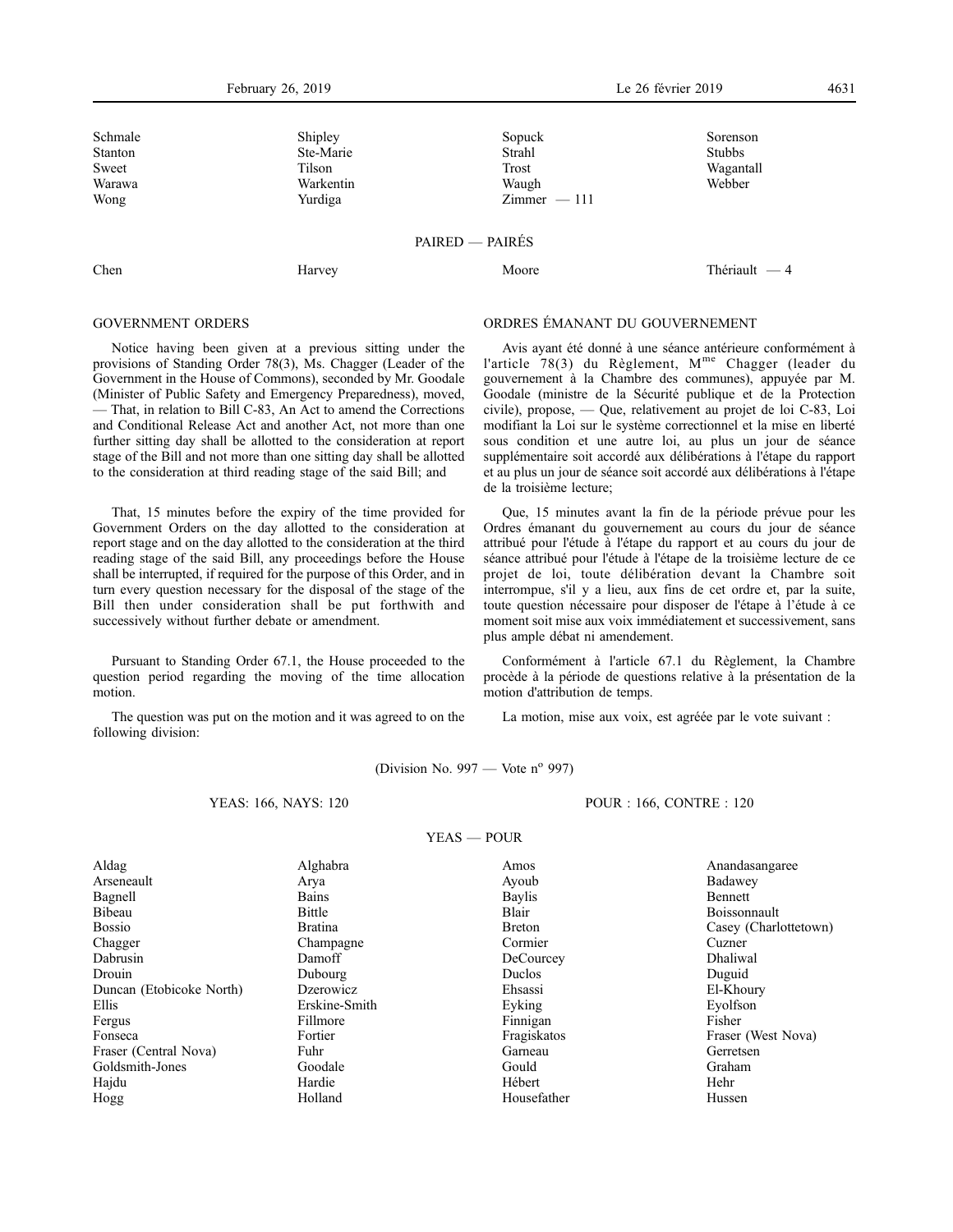February 26, 2019 Le 26 février 2019 4631

| Schmale<br>Stanton<br>Sweet<br>Warawa<br>Wong | Shipley<br>Ste-Marie<br>Tilson<br>Warkentin<br>Yurdiga | Sopuck<br>Strahl<br>Trost<br>Waugh<br>$Zimmer - 111$ | Sorenson<br><b>Stubbs</b><br>Wagantall<br>Webber |
|-----------------------------------------------|--------------------------------------------------------|------------------------------------------------------|--------------------------------------------------|
|                                               |                                                        | PAIRED - PAIRÉS                                      |                                                  |
| Chen                                          | Harvey                                                 | Moore                                                | Thériault $-4$                                   |

# GOVERNMENT ORDERS

Notice having been given at a previous sitting under the provisions of Standing Order 78(3), Ms. Chagger (Leader of the Government in the House of Commons), seconded by Mr. Goodale (Minister of Public Safety and Emergency Preparedness), moved, — That, in relation to Bill C-83, An Act to amend the Corrections and Conditional Release Act and another Act, not more than one further sitting day shall be allotted to the consideration at report stage of the Bill and not more than one sitting day shall be allotted to the consideration at third reading stage of the said Bill; and

That, 15 minutes before the expiry of the time provided for Government Orders on the day allotted to the consideration at report stage and on the day allotted to the consideration at the third reading stage of the said Bill, any proceedings before the House shall be interrupted, if required for the purpose of this Order, and in turn every question necessary for the disposal of the stage of the Bill then under consideration shall be put forthwith and successively without further debate or amendment.

Pursuant to Standing Order 67.1, the House proceeded to the question period regarding the moving of the time allocation motion.

The question was put on the motion and it was agreed to on the following division:

# ORDRES ÉMANANT DU GOUVERNEMENT

Avis ayant été donné à une séance antérieure conformément à l'article 78(3) du Règlement, M<sup>me</sup> Chagger (leader du gouvernement à la Chambre des communes), appuyée par M. Goodale (ministre de la Sécurité publique et de la Protection civile), propose, — Que, relativement au projet de loi C-83, Loi modifiant la Loi sur le système correctionnel et la mise en liberté sous condition et une autre loi, au plus un jour de séance supplémentaire soit accordé aux délibérations à l'étape du rapport et au plus un jour de séance soit accordé aux délibérations à l'étape de la troisième lecture;

Que, 15 minutes avant la fin de la période prévue pour les Ordres émanant du gouvernement au cours du jour de séance attribué pour l'étude à l'étape du rapport et au cours du jour de séance attribué pour l'étude à l'étape de la troisième lecture de ce projet de loi, toute délibération devant la Chambre soit interrompue, s'il y a lieu, aux fins de cet ordre et, par la suite, toute question nécessaire pour disposer de l'étape à l'étude à ce moment soit mise aux voix immédiatement et successivement, sans plus ample débat ni amendement.

Conformément à l'article 67.1 du Règlement, la Chambre procède à la période de questions relative à la présentation de la motion d'attribution de temps.

La motion, mise aux voix, est agréée par le vote suivant :

(Division No. 997 — Vote  $n^{\circ}$  997)

#### YEAS: 166, NAYS: 120

POUR : 166, CONTRE : 120

| YEAS – |  | <b>POUR</b> |
|--------|--|-------------|
|        |  |             |

| Aldag                    | Alghabra       | Amos          | Anandasangaree        |
|--------------------------|----------------|---------------|-----------------------|
| Arseneault               | Arya           | Ayoub         | Badawey               |
| Bagnell                  | Bains          | <b>Baylis</b> | <b>Bennett</b>        |
| Bibeau                   | Bittle         | Blair         | Boissonnault          |
| <b>Bossio</b>            | <b>Bratina</b> | <b>Breton</b> | Casey (Charlottetown) |
| Chagger                  | Champagne      | Cormier       | Cuzner                |
| Dabrusin                 | Damoff         | DeCourcey     | Dhaliwal              |
| Drouin                   | Dubourg        | Duclos        | Duguid                |
| Duncan (Etobicoke North) | Dzerowicz      | Ehsassi       | El-Khoury             |
| Ellis                    | Erskine-Smith  | Eyking        | Eyolfson              |
| Fergus                   | Fillmore       | Finnigan      | Fisher                |
| Fonseca                  | Fortier        | Fragiskatos   | Fraser (West Nova)    |
| Fraser (Central Nova)    | Fuhr           | Garneau       | Gerretsen             |
| Goldsmith-Jones          | Goodale        | Gould         | Graham                |
| Hajdu                    | Hardie         | Hébert        | Hehr                  |
| Hogg                     | Holland        | Housefather   | Hussen                |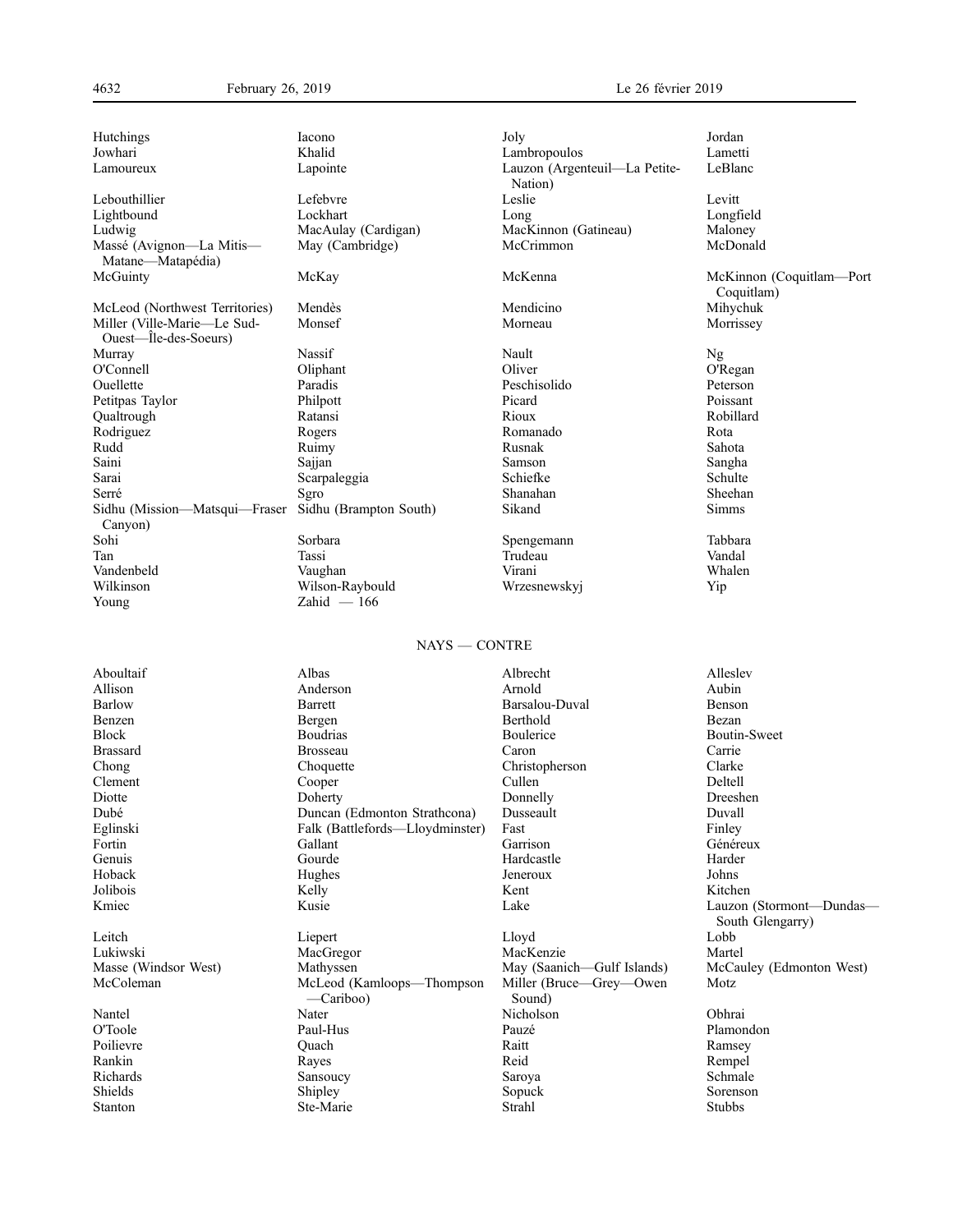Jowhari Khalid Lambropoulos Lametti Lamoureux Lapointe Lauzon (Argenteuil—La Petite-Lebouthillier **Lefebvre** Lefebvre Leslie Levitt Lightbound Lockhart Long Longfield Ludwig MacAulay (Cardigan) MacKinnon (Gatineau) Maloney<br>
Massé (Avignon—La Mitis— May (Cambridge) McCrimmon McCrimmon McDonald Massé (Avignon—La Mitis— Matane—Matapédia)<br>McGuinty McLeod (Northwest Territories) Mendès Mendicino Miller (Ville-Marie—Le Sud- Monsef Morneau Miller (Ville-Marie—Le Sud-Ouest—Île-des-Soeurs) Murray Nassif Nassif Nault Nault Nault Ng O'Connell Oliphant Oliver O'Regan Ouellette Paradis Peschisolido Peterson Petitpas Taylor Philpott Picard Poissant Qualtrough Ratansi Rioux Robillard Rodriguez Rogers Romanado Rota Rudd Ruimy Rusnak Sahota Saini Sajjan Samson Sangha Sarai Scarpaleggia Schiefke Serve Schulte<br>Serve Serve Serve Schulte Serve Shanahan Sheehan Serré Serré Sanahan Sura Sanahan Shanahan Sheehan Sheehan Sheehan Sheehan Sheehan Sheehan Sheehan Sheehan Sheehan Sheehan Sheehan Sheehan Sheehan Sheehan Sheehan Sheehan Sheehan Sheehan Sheehan Sheehan Sheehan Sheehan Shee Sidhu (Mission—Matsqui—Fraser Canyon) Sohi Sorbara Sorbara Spengemann Tabbara Tan Shahara Spengemann Tabbara Tabbara Spengemann Shahara Shahara Tabbara Tabbara Tasi Tan Tassi Trudeau Vandal Vandenbeld Vaughan Virani Whalen Wilkinson Wilson-Raybould Wrzesnewskyj Yip

May (Cambridge)

Hutchings Iacono Joly Jordan

Sidhu (Brampton South) Sikand Simms Young Zahid — 166

Nation)<br>Leslie McGuinty McKay McKenna McKinnon (Coquitlam—Port

# NAYS — CONTRE

| Aboultaif            | Albas                                  | Albrecht                          | Alleslev                 |
|----------------------|----------------------------------------|-----------------------------------|--------------------------|
| Allison              | Anderson                               | Arnold                            | Aubin                    |
| <b>Barlow</b>        | Barrett                                | Barsalou-Duval                    | Benson                   |
| Benzen               | Bergen                                 | Berthold                          | Bezan                    |
| <b>Block</b>         | <b>Boudrias</b>                        | Boulerice                         | Boutin-Sweet             |
| <b>Brassard</b>      | Brosseau                               | Caron                             | Carrie                   |
| Chong                | Choquette                              | Christopherson                    | Clarke                   |
| Clement              | Cooper                                 | Cullen                            | Deltell                  |
| Diotte               | Doherty                                | Donnelly                          | Dreeshen                 |
| Dubé                 | Duncan (Edmonton Strathcona)           | Dusseault                         | Duvall                   |
| Eglinski             | Falk (Battlefords—Lloydminster)        | Fast                              | Finley                   |
| Fortin               | Gallant                                | Garrison                          | Généreux                 |
| Genuis               | Gourde                                 | Hardcastle                        | Harder                   |
| Hoback               | Hughes                                 | Jeneroux                          | Johns                    |
| Jolibois             | Kelly                                  | Kent                              | Kitchen                  |
| Kmiec                | Kusie                                  | Lake                              | Lauzon (Stormont-Dundas- |
|                      |                                        |                                   | South Glengarry)         |
| Leitch               | Liepert                                | Lloyd                             | Lobb                     |
| Lukiwski             | MacGregor                              | MacKenzie                         | Martel                   |
| Masse (Windsor West) | Mathyssen                              | May (Saanich—Gulf Islands)        | McCauley (Edmonton West) |
| McColeman            | McLeod (Kamloops-Thompson<br>—Cariboo) | Miller (Bruce—Grey—Owen<br>Sound) | Motz                     |
| Nantel               | Nater                                  | Nicholson                         | Obhrai                   |
| O'Toole              | Paul-Hus                               | Pauzé                             | Plamondon                |
| Poilievre            | Ouach                                  | Raitt                             | Ramsey                   |
| Rankin               | Rayes                                  | Reid                              | Rempel                   |
| Richards             | Sansoucy                               | Saroya                            | Schmale                  |
| Shields              | Shipley                                | Sopuck                            | Sorenson                 |
| Stanton              | Ste-Marie                              | Strahl                            | <b>Stubbs</b>            |

LeBlanc

Coquitlam)<br>Mihychuk

Morrissey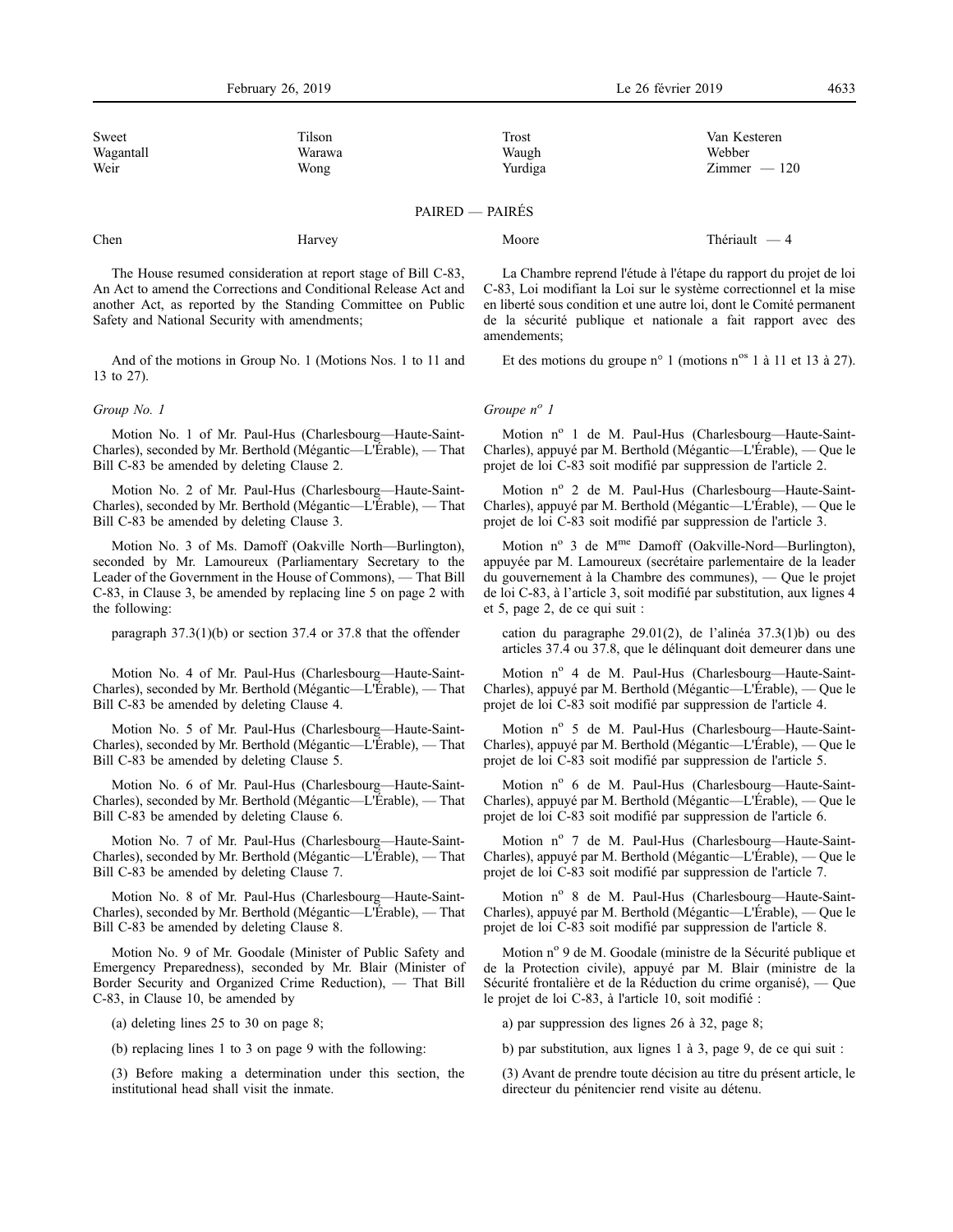| Sweet     | Tilson | Trost   | Van Kesteren   |
|-----------|--------|---------|----------------|
| Wagantall | Warawa | Waugh   | Webber         |
| Weir      | Wong   | Yurdiga | $Zimmer - 120$ |

PAIRED — PAIRÉS

Chen Harvey Harvey Moore Moore Thériault — 4

The House resumed consideration at report stage of Bill C-83, An Act to amend the Corrections and Conditional Release Act and another Act, as reported by the Standing Committee on Public Safety and National Security with amendments;

And of the motions in Group No. 1 (Motions Nos. 1 to 11 and 13 to 27).

## *Group No. 1*

Motion No. 1 of Mr. Paul-Hus (Charlesbourg—Haute-Saint-Charles), seconded by Mr. Berthold (Mégantic—L'Érable), — That Bill C-83 be amended by deleting Clause 2.

Motion No. 2 of Mr. Paul-Hus (Charlesbourg—Haute-Saint-Charles), seconded by Mr. Berthold (Mégantic—L'Érable), — That Bill C-83 be amended by deleting Clause 3.

Motion No. 3 of Ms. Damoff (Oakville North—Burlington), seconded by Mr. Lamoureux (Parliamentary Secretary to the Leader of the Government in the House of Commons), — That Bill C-83, in Clause 3, be amended by replacing line 5 on page 2 with the following:

paragraph 37.3(1)(b) or section 37.4 or 37.8 that the offender

Motion No. 4 of Mr. Paul-Hus (Charlesbourg—Haute-Saint-Charles), seconded by Mr. Berthold (Mégantic—L'Érable), — That Bill C-83 be amended by deleting Clause 4.

Motion No. 5 of Mr. Paul-Hus (Charlesbourg—Haute-Saint-Charles), seconded by Mr. Berthold (Mégantic—L'Érable), — That Bill C-83 be amended by deleting Clause 5.

Motion No. 6 of Mr. Paul-Hus (Charlesbourg—Haute-Saint-Charles), seconded by Mr. Berthold (Mégantic—L'Érable), — That Bill C-83 be amended by deleting Clause 6.

Motion No. 7 of Mr. Paul-Hus (Charlesbourg—Haute-Saint-Charles), seconded by Mr. Berthold (Mégantic—L'Érable), — That Bill C-83 be amended by deleting Clause 7.

Motion No. 8 of Mr. Paul-Hus (Charlesbourg—Haute-Saint-Charles), seconded by Mr. Berthold (Mégantic—L'Érable), — That Bill C-83 be amended by deleting Clause 8.

Motion No. 9 of Mr. Goodale (Minister of Public Safety and Emergency Preparedness), seconded by Mr. Blair (Minister of Border Security and Organized Crime Reduction), — That Bill C-83, in Clause 10, be amended by

(a) deleting lines 25 to 30 on page 8;

(b) replacing lines 1 to 3 on page 9 with the following:

(3) Before making a determination under this section, the institutional head shall visit the inmate.

La Chambre reprend l'étude à l'étape du rapport du projet de loi C-83, Loi modifiant la Loi sur le système correctionnel et la mise en liberté sous condition et une autre loi, dont le Comité permanent de la sécurité publique et nationale a fait rapport avec des amendements;

Et des motions du groupe n° 1 (motions n° 1 à 11 et 13 à 27).

# *Groupe n<sup>o</sup> 1*

Motion nº 1 de M. Paul-Hus (Charlesbourg-Haute-Saint-Charles), appuyé par M. Berthold (Mégantic—L'Érable), — Que le projet de loi C-83 soit modifié par suppression de l'article 2.

Motion nº 2 de M. Paul-Hus (Charlesbourg-Haute-Saint-Charles), appuyé par M. Berthold (Mégantic—L'Érable), — Que le projet de loi C-83 soit modifié par suppression de l'article 3.

Motion  $n^{\circ}$  3 de M<sup>me</sup> Damoff (Oakville-Nord—Burlington), appuyée par M. Lamoureux (secrétaire parlementaire de la leader du gouvernement à la Chambre des communes), — Que le projet de loi C-83, à l'article 3, soit modifié par substitution, aux lignes 4 et 5, page 2, de ce qui suit :

cation du paragraphe 29.01(2), de l'alinéa 37.3(1)b) ou des articles 37.4 ou 37.8, que le délinquant doit demeurer dans une

Motion nº 4 de M. Paul-Hus (Charlesbourg—Haute-Saint-Charles), appuyé par M. Berthold (Mégantic—L'Érable), — Que le projet de loi C-83 soit modifié par suppression de l'article 4.

Motion nº 5 de M. Paul-Hus (Charlesbourg-Haute-Saint-Charles), appuyé par M. Berthold (Mégantic—L'Érable), — Que le projet de loi C-83 soit modifié par suppression de l'article 5.

Motion nº 6 de M. Paul-Hus (Charlesbourg-Haute-Saint-Charles), appuyé par M. Berthold (Mégantic—L'Érable), — Que le projet de loi C-83 soit modifié par suppression de l'article 6.

Motion nº 7 de M. Paul-Hus (Charlesbourg—Haute-Saint-Charles), appuyé par M. Berthold (Mégantic—L'Érable), — Que le projet de loi C-83 soit modifié par suppression de l'article 7.

Motion nº 8 de M. Paul-Hus (Charlesbourg-Haute-Saint-Charles), appuyé par M. Berthold (Mégantic—L'Érable), — Que le projet de loi C-83 soit modifié par suppression de l'article 8.

Motion n<sup>o</sup> 9 de M. Goodale (ministre de la Sécurité publique et de la Protection civile), appuyé par M. Blair (ministre de la Sécurité frontalière et de la Réduction du crime organisé), — Que le projet de loi C-83, à l'article 10, soit modifié :

a) par suppression des lignes 26 à 32, page 8;

b) par substitution, aux lignes 1 à 3, page 9, de ce qui suit :

(3) Avant de prendre toute décision au titre du présent article, le directeur du pénitencier rend visite au détenu.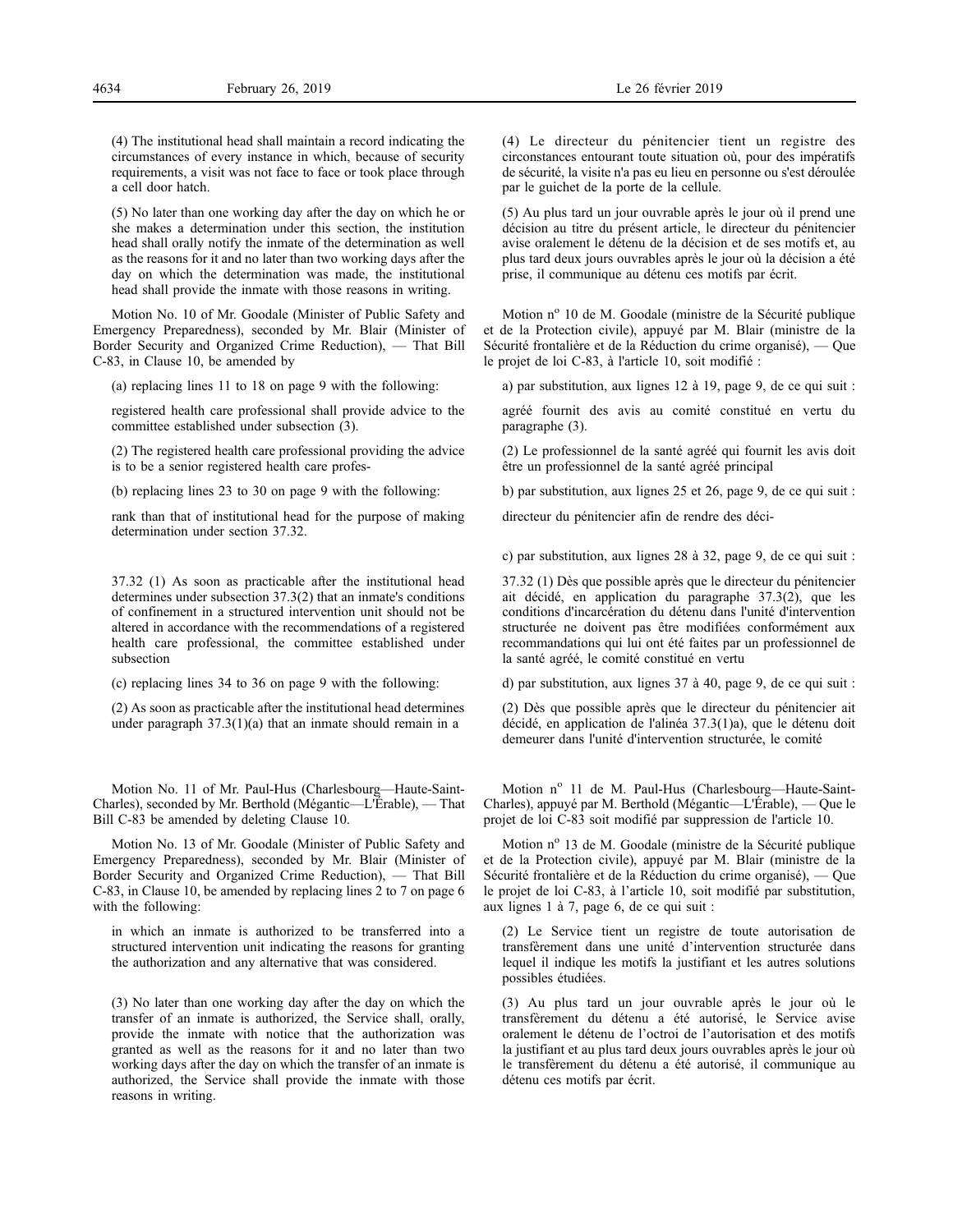(4) The institutional head shall maintain a record indicating the circumstances of every instance in which, because of security requirements, a visit was not face to face or took place through a cell door hatch.

(5) No later than one working day after the day on which he or she makes a determination under this section, the institution head shall orally notify the inmate of the determination as well as the reasons for it and no later than two working days after the day on which the determination was made, the institutional head shall provide the inmate with those reasons in writing.

Motion No. 10 of Mr. Goodale (Minister of Public Safety and Emergency Preparedness), seconded by Mr. Blair (Minister of Border Security and Organized Crime Reduction), — That Bill C-83, in Clause 10, be amended by

(a) replacing lines 11 to 18 on page 9 with the following:

registered health care professional shall provide advice to the committee established under subsection (3).

(2) The registered health care professional providing the advice is to be a senior registered health care profes-

(b) replacing lines 23 to 30 on page 9 with the following:

rank than that of institutional head for the purpose of making determination under section 37.32.

37.32 (1) As soon as practicable after the institutional head determines under subsection 37.3(2) that an inmate's conditions of confinement in a structured intervention unit should not be altered in accordance with the recommendations of a registered health care professional, the committee established under subsection

(c) replacing lines 34 to 36 on page 9 with the following:

(2) As soon as practicable after the institutional head determines under paragraph 37.3(1)(a) that an inmate should remain in a

Motion No. 11 of Mr. Paul-Hus (Charlesbourg—Haute-Saint-Charles), seconded by Mr. Berthold (Mégantic—L'Érable), — That Bill C-83 be amended by deleting Clause 10.

Motion No. 13 of Mr. Goodale (Minister of Public Safety and Emergency Preparedness), seconded by Mr. Blair (Minister of Border Security and Organized Crime Reduction), — That Bill C-83, in Clause 10, be amended by replacing lines 2 to 7 on page 6 with the following:

in which an inmate is authorized to be transferred into a structured intervention unit indicating the reasons for granting the authorization and any alternative that was considered.

(3) No later than one working day after the day on which the transfer of an inmate is authorized, the Service shall, orally, provide the inmate with notice that the authorization was granted as well as the reasons for it and no later than two working days after the day on which the transfer of an inmate is authorized, the Service shall provide the inmate with those reasons in writing.

(4) Le directeur du pénitencier tient un registre des circonstances entourant toute situation où, pour des impératifs de sécurité, la visite n'a pas eu lieu en personne ou s'est déroulée par le guichet de la porte de la cellule.

(5) Au plus tard un jour ouvrable après le jour où il prend une décision au titre du présent article, le directeur du pénitencier avise oralement le détenu de la décision et de ses motifs et, au plus tard deux jours ouvrables après le jour où la décision a été prise, il communique au détenu ces motifs par écrit.

Motion nº 10 de M. Goodale (ministre de la Sécurité publique et de la Protection civile), appuyé par M. Blair (ministre de la Sécurité frontalière et de la Réduction du crime organisé), — Que le projet de loi C-83, à l'article 10, soit modifié :

a) par substitution, aux lignes 12 à 19, page 9, de ce qui suit :

agréé fournit des avis au comité constitué en vertu du paragraphe (3).

(2) Le professionnel de la santé agréé qui fournit les avis doit être un professionnel de la santé agréé principal

b) par substitution, aux lignes 25 et 26, page 9, de ce qui suit :

directeur du pénitencier afin de rendre des déci-

c) par substitution, aux lignes 28 à 32, page 9, de ce qui suit :

37.32 (1) Dès que possible après que le directeur du pénitencier ait décidé, en application du paragraphe 37.3(2), que les conditions d'incarcération du détenu dans l'unité d'intervention structurée ne doivent pas être modifiées conformément aux recommandations qui lui ont été faites par un professionnel de la santé agréé, le comité constitué en vertu

d) par substitution, aux lignes 37 à 40, page 9, de ce qui suit :

(2) Dès que possible après que le directeur du pénitencier ait décidé, en application de l'alinéa 37.3(1)a), que le détenu doit demeurer dans l'unité d'intervention structurée, le comité

Motion nº 11 de M. Paul-Hus (Charlesbourg-Haute-Saint-Charles), appuyé par M. Berthold (Mégantic—L'Érable), — Que le projet de loi C-83 soit modifié par suppression de l'article 10.

Motion nº 13 de M. Goodale (ministre de la Sécurité publique et de la Protection civile), appuyé par M. Blair (ministre de la Sécurité frontalière et de la Réduction du crime organisé), — Que le projet de loi C-83, à l'article 10, soit modifié par substitution, aux lignes 1 à 7, page 6, de ce qui suit :

(2) Le Service tient un registre de toute autorisation de transfèrement dans une unité d'intervention structurée dans lequel il indique les motifs la justifiant et les autres solutions possibles étudiées.

(3) Au plus tard un jour ouvrable après le jour où le transfèrement du détenu a été autorisé, le Service avise oralement le détenu de l'octroi de l'autorisation et des motifs la justifiant et au plus tard deux jours ouvrables après le jour où le transfèrement du détenu a été autorisé, il communique au détenu ces motifs par écrit.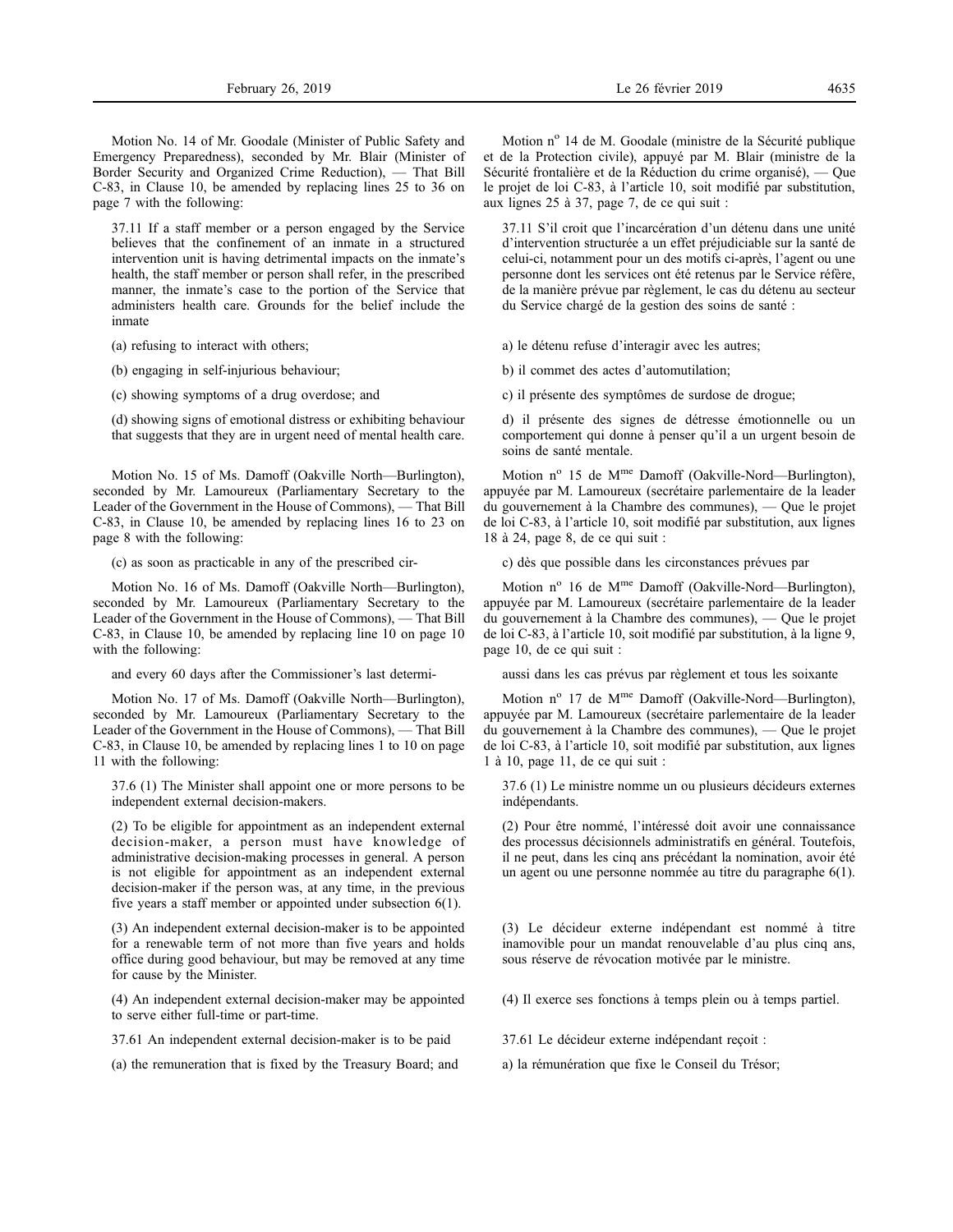Motion No. 14 of Mr. Goodale (Minister of Public Safety and Emergency Preparedness), seconded by Mr. Blair (Minister of Border Security and Organized Crime Reduction), — That Bill C-83, in Clause 10, be amended by replacing lines 25 to 36 on page 7 with the following:

37.11 If a staff member or a person engaged by the Service believes that the confinement of an inmate in a structured intervention unit is having detrimental impacts on the inmate's health, the staff member or person shall refer, in the prescribed manner, the inmate's case to the portion of the Service that administers health care. Grounds for the belief include the inmate

(a) refusing to interact with others;

(b) engaging in self-injurious behaviour;

(c) showing symptoms of a drug overdose; and

(d) showing signs of emotional distress or exhibiting behaviour that suggests that they are in urgent need of mental health care.

Motion No. 15 of Ms. Damoff (Oakville North—Burlington), seconded by Mr. Lamoureux (Parliamentary Secretary to the Leader of the Government in the House of Commons), — That Bill C-83, in Clause 10, be amended by replacing lines 16 to 23 on page 8 with the following:

(c) as soon as practicable in any of the prescribed cir-

Motion No. 16 of Ms. Damoff (Oakville North—Burlington), seconded by Mr. Lamoureux (Parliamentary Secretary to the Leader of the Government in the House of Commons), — That Bill C-83, in Clause 10, be amended by replacing line 10 on page 10 with the following:

and every 60 days after the Commissioner's last determi-

Motion No. 17 of Ms. Damoff (Oakville North—Burlington), seconded by Mr. Lamoureux (Parliamentary Secretary to the Leader of the Government in the House of Commons), — That Bill C-83, in Clause 10, be amended by replacing lines 1 to 10 on page 11 with the following:

37.6 (1) The Minister shall appoint one or more persons to be independent external decision-makers.

(2) To be eligible for appointment as an independent external decision-maker, a person must have knowledge of administrative decision-making processes in general. A person is not eligible for appointment as an independent external decision-maker if the person was, at any time, in the previous five years a staff member or appointed under subsection 6(1).

(3) An independent external decision-maker is to be appointed for a renewable term of not more than five years and holds office during good behaviour, but may be removed at any time for cause by the Minister.

(4) An independent external decision-maker may be appointed to serve either full-time or part-time.

37.61 An independent external decision-maker is to be paid

(a) the remuneration that is fixed by the Treasury Board; and

Motion n<sup>o</sup> 14 de M. Goodale (ministre de la Sécurité publique et de la Protection civile), appuyé par M. Blair (ministre de la Sécurité frontalière et de la Réduction du crime organisé), — Que le projet de loi C-83, à l'article 10, soit modifié par substitution, aux lignes 25 à 37, page 7, de ce qui suit :

37.11 S'il croit que l'incarcération d'un détenu dans une unité d'intervention structurée a un effet préjudiciable sur la santé de celui-ci, notamment pour un des motifs ci-après, l'agent ou une personne dont les services ont été retenus par le Service réfère, de la manière prévue par règlement, le cas du détenu au secteur du Service chargé de la gestion des soins de santé :

a) le détenu refuse d'interagir avec les autres;

b) il commet des actes d'automutilation;

c) il présente des symptômes de surdose de drogue;

d) il présente des signes de détresse émotionnelle ou un comportement qui donne à penser qu'il a un urgent besoin de soins de santé mentale.

Motion  $n^{\circ}$  15 de M<sup>me</sup> Damoff (Oakville-Nord—Burlington), appuyée par M. Lamoureux (secrétaire parlementaire de la leader du gouvernement à la Chambre des communes), — Que le projet de loi C-83, à l'article 10, soit modifié par substitution, aux lignes 18 à 24, page 8, de ce qui suit :

c) dès que possible dans les circonstances prévues par

Motion  $n^{\circ}$  16 de M<sup>me</sup> Damoff (Oakville-Nord—Burlington), appuyée par M. Lamoureux (secrétaire parlementaire de la leader du gouvernement à la Chambre des communes), — Que le projet de loi C-83, à l'article 10, soit modifié par substitution, à la ligne 9, page 10, de ce qui suit :

aussi dans les cas prévus par règlement et tous les soixante

Motion nº 17 de M<sup>me</sup> Damoff (Oakville-Nord—Burlington), appuyée par M. Lamoureux (secrétaire parlementaire de la leader du gouvernement à la Chambre des communes), — Que le projet de loi C-83, à l'article 10, soit modifié par substitution, aux lignes 1 à 10, page 11, de ce qui suit :

37.6 (1) Le ministre nomme un ou plusieurs décideurs externes indépendants.

(2) Pour être nommé, l'intéressé doit avoir une connaissance des processus décisionnels administratifs en général. Toutefois, il ne peut, dans les cinq ans précédant la nomination, avoir été un agent ou une personne nommée au titre du paragraphe 6(1).

(3) Le décideur externe indépendant est nommé à titre inamovible pour un mandat renouvelable d'au plus cinq ans, sous réserve de révocation motivée par le ministre.

(4) Il exerce ses fonctions à temps plein ou à temps partiel.

37.61 Le décideur externe indépendant reçoit :

a) la rémunération que fixe le Conseil du Trésor;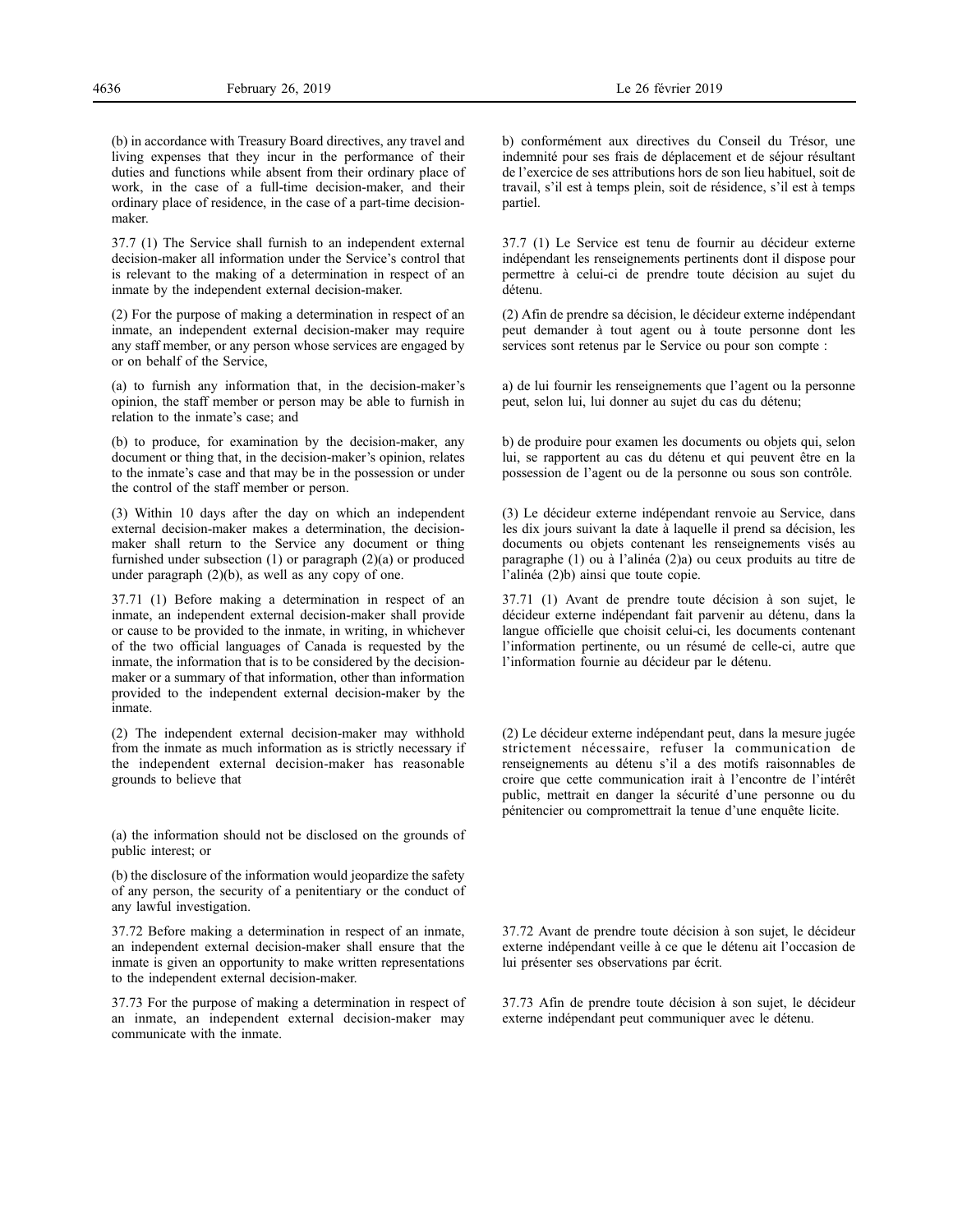(b) in accordance with Treasury Board directives, any travel and living expenses that they incur in the performance of their duties and functions while absent from their ordinary place of work, in the case of a full-time decision-maker, and their ordinary place of residence, in the case of a part-time decision-

37.7 (1) The Service shall furnish to an independent external decision-maker all information under the Service's control that is relevant to the making of a determination in respect of an inmate by the independent external decision-maker.

(2) For the purpose of making a determination in respect of an inmate, an independent external decision-maker may require any staff member, or any person whose services are engaged by or on behalf of the Service,

(a) to furnish any information that, in the decision-maker's opinion, the staff member or person may be able to furnish in relation to the inmate's case; and

(b) to produce, for examination by the decision-maker, any document or thing that, in the decision-maker's opinion, relates to the inmate's case and that may be in the possession or under the control of the staff member or person.

(3) Within 10 days after the day on which an independent external decision-maker makes a determination, the decisionmaker shall return to the Service any document or thing furnished under subsection (1) or paragraph (2)(a) or produced under paragraph (2)(b), as well as any copy of one.

37.71 (1) Before making a determination in respect of an inmate, an independent external decision-maker shall provide or cause to be provided to the inmate, in writing, in whichever of the two official languages of Canada is requested by the inmate, the information that is to be considered by the decisionmaker or a summary of that information, other than information provided to the independent external decision-maker by the inmate.

(2) The independent external decision-maker may withhold from the inmate as much information as is strictly necessary if the independent external decision-maker has reasonable grounds to believe that

(a) the information should not be disclosed on the grounds of public interest; or

(b) the disclosure of the information would jeopardize the safety of any person, the security of a penitentiary or the conduct of any lawful investigation.

37.72 Before making a determination in respect of an inmate, an independent external decision-maker shall ensure that the inmate is given an opportunity to make written representations to the independent external decision-maker.

37.73 For the purpose of making a determination in respect of an inmate, an independent external decision-maker may communicate with the inmate.

37.7 (1) Le Service est tenu de fournir au décideur externe indépendant les renseignements pertinents dont il dispose pour permettre à celui-ci de prendre toute décision au sujet du détenu.

(2) Afin de prendre sa décision, le décideur externe indépendant peut demander à tout agent ou à toute personne dont les services sont retenus par le Service ou pour son compte :

a) de lui fournir les renseignements que l'agent ou la personne peut, selon lui, lui donner au sujet du cas du détenu;

b) de produire pour examen les documents ou objets qui, selon lui, se rapportent au cas du détenu et qui peuvent être en la possession de l'agent ou de la personne ou sous son contrôle.

(3) Le décideur externe indépendant renvoie au Service, dans les dix jours suivant la date à laquelle il prend sa décision, les documents ou objets contenant les renseignements visés au paragraphe (1) ou à l'alinéa (2)a) ou ceux produits au titre de l'alinéa (2)b) ainsi que toute copie.

37.71 (1) Avant de prendre toute décision à son sujet, le décideur externe indépendant fait parvenir au détenu, dans la langue officielle que choisit celui-ci, les documents contenant l'information pertinente, ou un résumé de celle-ci, autre que l'information fournie au décideur par le détenu.

(2) Le décideur externe indépendant peut, dans la mesure jugée strictement nécessaire, refuser la communication de renseignements au détenu s'il a des motifs raisonnables de croire que cette communication irait à l'encontre de l'intérêt public, mettrait en danger la sécurité d'une personne ou du pénitencier ou compromettrait la tenue d'une enquête licite.

37.72 Avant de prendre toute décision à son sujet, le décideur externe indépendant veille à ce que le détenu ait l'occasion de lui présenter ses observations par écrit.

37.73 Afin de prendre toute décision à son sujet, le décideur externe indépendant peut communiquer avec le détenu.

maker.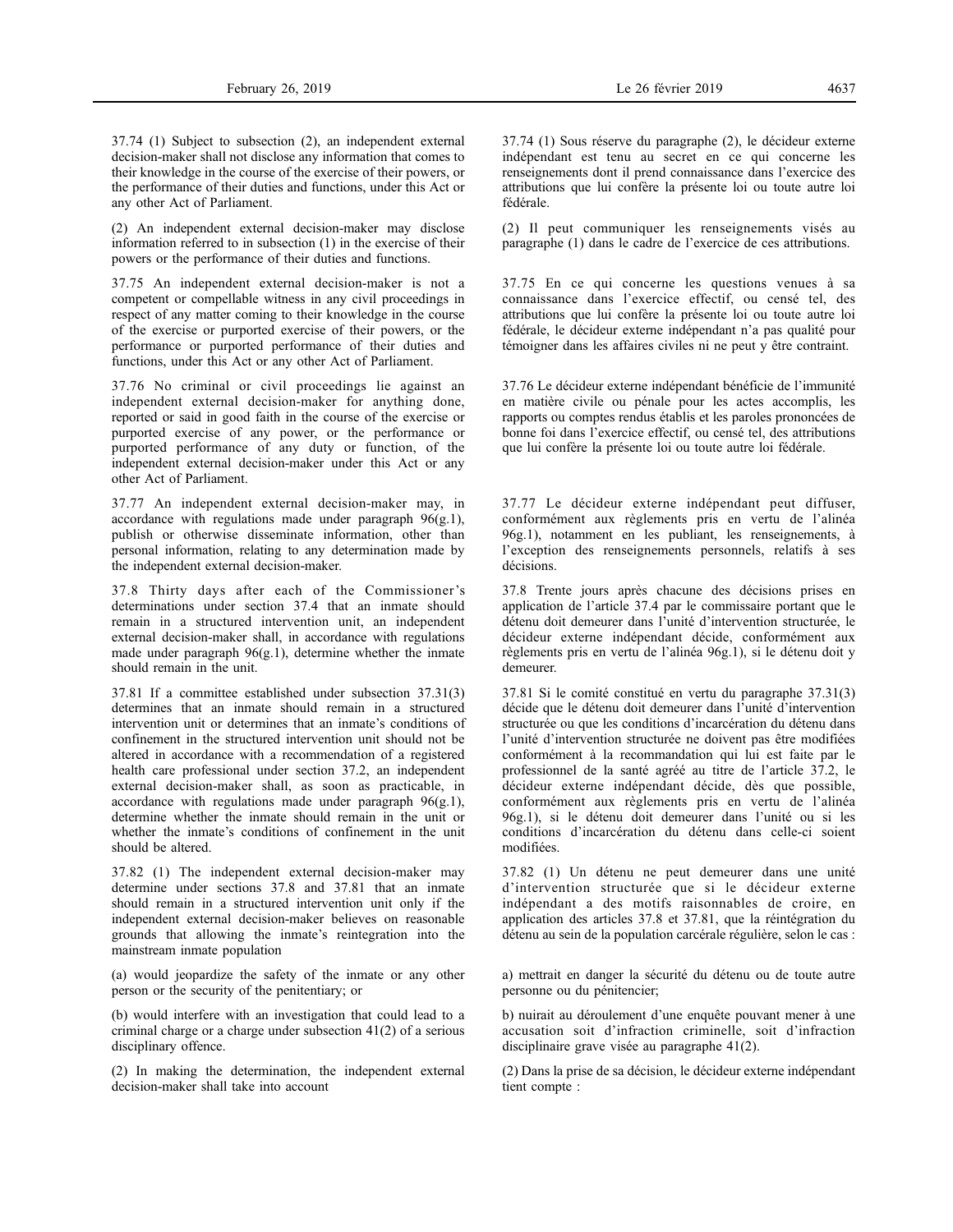37.74 (1) Subject to subsection (2), an independent external decision-maker shall not disclose any information that comes to their knowledge in the course of the exercise of their powers, or the performance of their duties and functions, under this Act or any other Act of Parliament.

(2) An independent external decision-maker may disclose information referred to in subsection (1) in the exercise of their powers or the performance of their duties and functions.

37.75 An independent external decision-maker is not a competent or compellable witness in any civil proceedings in respect of any matter coming to their knowledge in the course of the exercise or purported exercise of their powers, or the performance or purported performance of their duties and functions, under this Act or any other Act of Parliament.

37.76 No criminal or civil proceedings lie against an independent external decision-maker for anything done, reported or said in good faith in the course of the exercise or purported exercise of any power, or the performance or purported performance of any duty or function, of the independent external decision-maker under this Act or any other Act of Parliament.

37.77 An independent external decision-maker may, in accordance with regulations made under paragraph 96(g.1), publish or otherwise disseminate information, other than personal information, relating to any determination made by the independent external decision-maker.

37.8 Thirty days after each of the Commissioner's determinations under section 37.4 that an inmate should remain in a structured intervention unit, an independent external decision-maker shall, in accordance with regulations made under paragraph  $96(g.1)$ , determine whether the inmate should remain in the unit.

37.81 If a committee established under subsection 37.31(3) determines that an inmate should remain in a structured intervention unit or determines that an inmate's conditions of confinement in the structured intervention unit should not be altered in accordance with a recommendation of a registered health care professional under section 37.2, an independent external decision-maker shall, as soon as practicable, in accordance with regulations made under paragraph 96(g.1), determine whether the inmate should remain in the unit or whether the inmate's conditions of confinement in the unit should be altered.

37.82 (1) The independent external decision-maker may determine under sections 37.8 and 37.81 that an inmate should remain in a structured intervention unit only if the independent external decision-maker believes on reasonable grounds that allowing the inmate's reintegration into the mainstream inmate population

(a) would jeopardize the safety of the inmate or any other person or the security of the penitentiary; or

(b) would interfere with an investigation that could lead to a criminal charge or a charge under subsection 41(2) of a serious disciplinary offence.

(2) In making the determination, the independent external decision-maker shall take into account

37.74 (1) Sous réserve du paragraphe (2), le décideur externe indépendant est tenu au secret en ce qui concerne les renseignements dont il prend connaissance dans l'exercice des attributions que lui confère la présente loi ou toute autre loi fédérale.

(2) Il peut communiquer les renseignements visés au paragraphe (1) dans le cadre de l'exercice de ces attributions.

37.75 En ce qui concerne les questions venues à sa connaissance dans l'exercice effectif, ou censé tel, des attributions que lui confère la présente loi ou toute autre loi fédérale, le décideur externe indépendant n'a pas qualité pour témoigner dans les affaires civiles ni ne peut y être contraint.

37.76 Le décideur externe indépendant bénéficie de l'immunité en matière civile ou pénale pour les actes accomplis, les rapports ou comptes rendus établis et les paroles prononcées de bonne foi dans l'exercice effectif, ou censé tel, des attributions que lui confère la présente loi ou toute autre loi fédérale.

37.77 Le décideur externe indépendant peut diffuser, conformément aux règlements pris en vertu de l'alinéa 96g.1), notamment en les publiant, les renseignements, à l'exception des renseignements personnels, relatifs à ses décisions.

37.8 Trente jours après chacune des décisions prises en application de l'article 37.4 par le commissaire portant que le détenu doit demeurer dans l'unité d'intervention structurée, le décideur externe indépendant décide, conformément aux règlements pris en vertu de l'alinéa 96g.1), si le détenu doit y demeurer.

37.81 Si le comité constitué en vertu du paragraphe 37.31(3) décide que le détenu doit demeurer dans l'unité d'intervention structurée ou que les conditions d'incarcération du détenu dans l'unité d'intervention structurée ne doivent pas être modifiées conformément à la recommandation qui lui est faite par le professionnel de la santé agréé au titre de l'article 37.2, le décideur externe indépendant décide, dès que possible, conformément aux règlements pris en vertu de l'alinéa 96g.1), si le détenu doit demeurer dans l'unité ou si les conditions d'incarcération du détenu dans celle-ci soient modifiées.

37.82 (1) Un détenu ne peut demeurer dans une unité d'intervention structurée que si le décideur externe indépendant a des motifs raisonnables de croire, en application des articles 37.8 et 37.81, que la réintégration du détenu au sein de la population carcérale régulière, selon le cas :

a) mettrait en danger la sécurité du détenu ou de toute autre personne ou du pénitencier;

b) nuirait au déroulement d'une enquête pouvant mener à une accusation soit d'infraction criminelle, soit d'infraction disciplinaire grave visée au paragraphe 41(2).

(2) Dans la prise de sa décision, le décideur externe indépendant tient compte :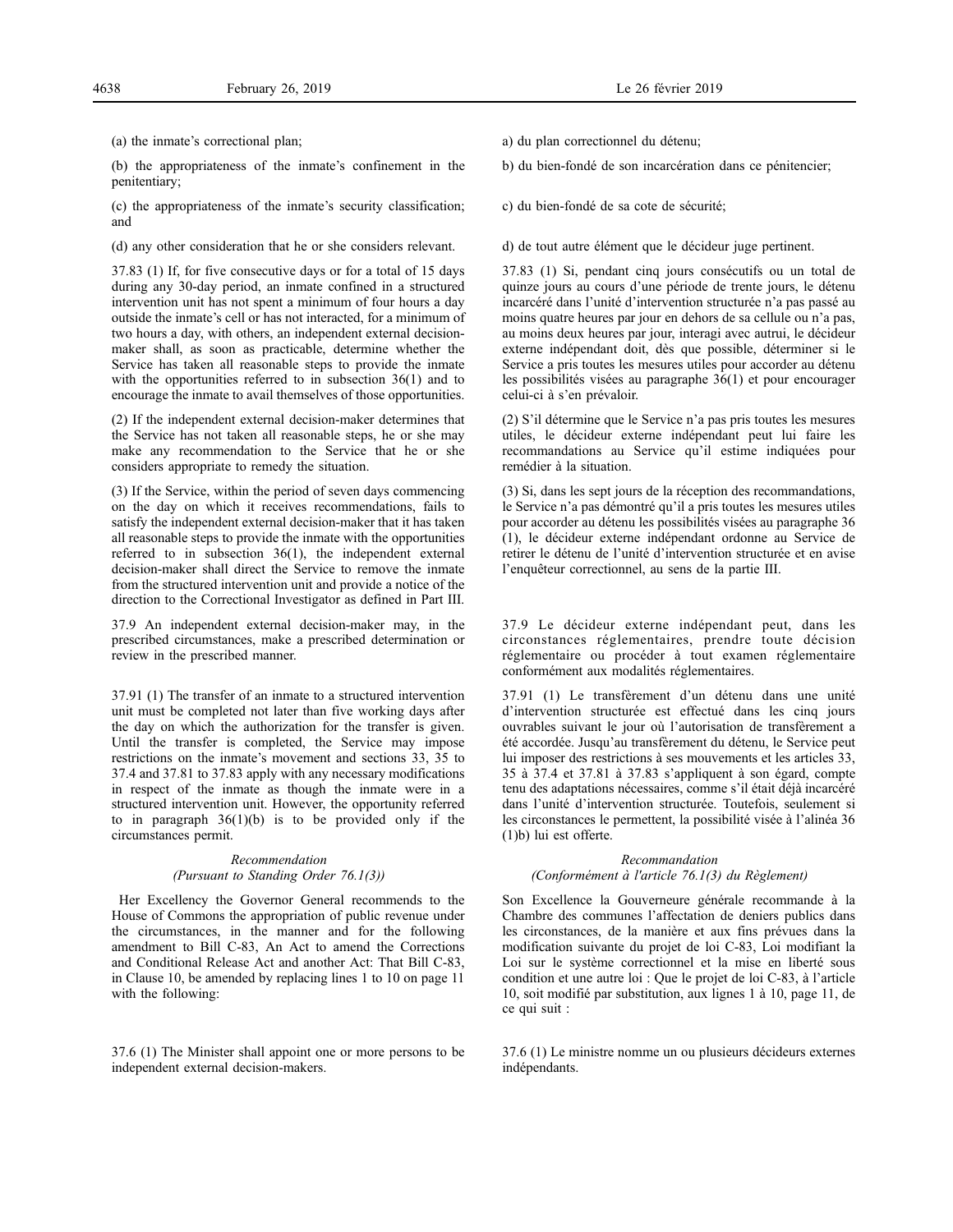(a) the inmate's correctional plan;

(b) the appropriateness of the inmate's confinement in the penitentiary;

(c) the appropriateness of the inmate's security classification; and

(d) any other consideration that he or she considers relevant.

37.83 (1) If, for five consecutive days or for a total of 15 days during any 30-day period, an inmate confined in a structured intervention unit has not spent a minimum of four hours a day outside the inmate's cell or has not interacted, for a minimum of two hours a day, with others, an independent external decisionmaker shall, as soon as practicable, determine whether the Service has taken all reasonable steps to provide the inmate with the opportunities referred to in subsection 36(1) and to encourage the inmate to avail themselves of those opportunities.

(2) If the independent external decision-maker determines that the Service has not taken all reasonable steps, he or she may make any recommendation to the Service that he or she considers appropriate to remedy the situation.

(3) If the Service, within the period of seven days commencing on the day on which it receives recommendations, fails to satisfy the independent external decision-maker that it has taken all reasonable steps to provide the inmate with the opportunities referred to in subsection 36(1), the independent external decision-maker shall direct the Service to remove the inmate from the structured intervention unit and provide a notice of the direction to the Correctional Investigator as defined in Part III.

37.9 An independent external decision-maker may, in the prescribed circumstances, make a prescribed determination or review in the prescribed manner.

37.91 (1) The transfer of an inmate to a structured intervention unit must be completed not later than five working days after the day on which the authorization for the transfer is given. Until the transfer is completed, the Service may impose restrictions on the inmate's movement and sections 33, 35 to 37.4 and 37.81 to 37.83 apply with any necessary modifications in respect of the inmate as though the inmate were in a structured intervention unit. However, the opportunity referred to in paragraph  $36(1)(b)$  is to be provided only if the circumstances permit.

# *Recommendation (Pursuant to Standing Order 76.1(3))*

Her Excellency the Governor General recommends to the House of Commons the appropriation of public revenue under the circumstances, in the manner and for the following amendment to Bill C-83, An Act to amend the Corrections and Conditional Release Act and another Act: That Bill C-83, in Clause 10, be amended by replacing lines 1 to 10 on page 11 with the following:

37.6 (1) The Minister shall appoint one or more persons to be independent external decision-makers.

a) du plan correctionnel du détenu;

b) du bien-fondé de son incarcération dans ce pénitencier;

c) du bien-fondé de sa cote de sécurité;

d) de tout autre élément que le décideur juge pertinent.

37.83 (1) Si, pendant cinq jours consécutifs ou un total de quinze jours au cours d'une période de trente jours, le détenu incarcéré dans l'unité d'intervention structurée n'a pas passé au moins quatre heures par jour en dehors de sa cellule ou n'a pas, au moins deux heures par jour, interagi avec autrui, le décideur externe indépendant doit, dès que possible, déterminer si le Service a pris toutes les mesures utiles pour accorder au détenu les possibilités visées au paragraphe 36(1) et pour encourager celui-ci à s'en prévaloir.

(2) S'il détermine que le Service n'a pas pris toutes les mesures utiles, le décideur externe indépendant peut lui faire les recommandations au Service qu'il estime indiquées pour remédier à la situation.

(3) Si, dans les sept jours de la réception des recommandations, le Service n'a pas démontré qu'il a pris toutes les mesures utiles pour accorder au détenu les possibilités visées au paragraphe 36 (1), le décideur externe indépendant ordonne au Service de retirer le détenu de l'unité d'intervention structurée et en avise l'enquêteur correctionnel, au sens de la partie III.

37.9 Le décideur externe indépendant peut, dans les circonstances réglementaires, prendre toute décision réglementaire ou procéder à tout examen réglementaire conformément aux modalités réglementaires.

37.91 (1) Le transfèrement d'un détenu dans une unité d'intervention structurée est effectué dans les cinq jours ouvrables suivant le jour où l'autorisation de transfèrement a été accordée. Jusqu'au transfèrement du détenu, le Service peut lui imposer des restrictions à ses mouvements et les articles 33, 35 à 37.4 et 37.81 à 37.83 s'appliquent à son égard, compte tenu des adaptations nécessaires, comme s'il était déjà incarcéré dans l'unité d'intervention structurée. Toutefois, seulement si les circonstances le permettent, la possibilité visée à l'alinéa 36 (1)b) lui est offerte.

# *Recommandation (Conformément à l'article 76.1(3) du Règlement)*

Son Excellence la Gouverneure générale recommande à la Chambre des communes l'affectation de deniers publics dans les circonstances, de la manière et aux fins prévues dans la modification suivante du projet de loi C-83, Loi modifiant la Loi sur le système correctionnel et la mise en liberté sous condition et une autre loi : Que le projet de loi C-83, à l'article 10, soit modifié par substitution, aux lignes 1 à 10, page 11, de ce qui suit :

37.6 (1) Le ministre nomme un ou plusieurs décideurs externes indépendants.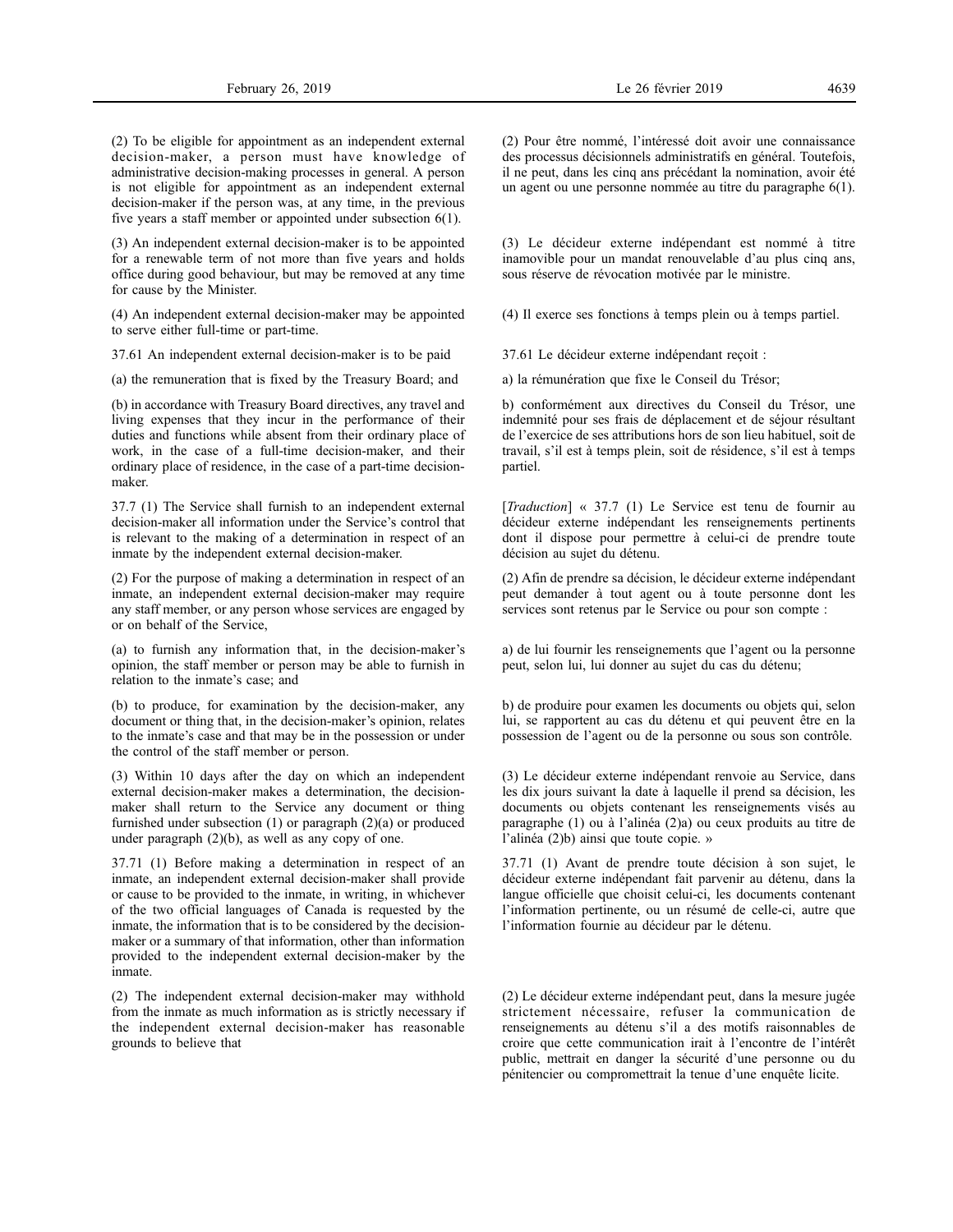(2) To be eligible for appointment as an independent external decision-maker, a person must have knowledge of administrative decision-making processes in general. A person is not eligible for appointment as an independent external decision-maker if the person was, at any time, in the previous five years a staff member or appointed under subsection 6(1).

(3) An independent external decision-maker is to be appointed for a renewable term of not more than five years and holds office during good behaviour, but may be removed at any time for cause by the Minister.

(4) An independent external decision-maker may be appointed to serve either full-time or part-time.

37.61 An independent external decision-maker is to be paid

(a) the remuneration that is fixed by the Treasury Board; and

(b) in accordance with Treasury Board directives, any travel and living expenses that they incur in the performance of their duties and functions while absent from their ordinary place of work, in the case of a full-time decision-maker, and their ordinary place of residence, in the case of a part-time decisionmaker.

37.7 (1) The Service shall furnish to an independent external decision-maker all information under the Service's control that is relevant to the making of a determination in respect of an inmate by the independent external decision-maker.

(2) For the purpose of making a determination in respect of an inmate, an independent external decision-maker may require any staff member, or any person whose services are engaged by or on behalf of the Service,

(a) to furnish any information that, in the decision-maker's opinion, the staff member or person may be able to furnish in relation to the inmate's case; and

(b) to produce, for examination by the decision-maker, any document or thing that, in the decision-maker's opinion, relates to the inmate's case and that may be in the possession or under the control of the staff member or person.

(3) Within 10 days after the day on which an independent external decision-maker makes a determination, the decisionmaker shall return to the Service any document or thing furnished under subsection (1) or paragraph (2)(a) or produced under paragraph (2)(b), as well as any copy of one.

37.71 (1) Before making a determination in respect of an inmate, an independent external decision-maker shall provide or cause to be provided to the inmate, in writing, in whichever of the two official languages of Canada is requested by the inmate, the information that is to be considered by the decisionmaker or a summary of that information, other than information provided to the independent external decision-maker by the inmate.

(2) The independent external decision-maker may withhold from the inmate as much information as is strictly necessary if the independent external decision-maker has reasonable grounds to believe that

(2) Pour être nommé, l'intéressé doit avoir une connaissance des processus décisionnels administratifs en général. Toutefois, il ne peut, dans les cinq ans précédant la nomination, avoir été un agent ou une personne nommée au titre du paragraphe 6(1).

(3) Le décideur externe indépendant est nommé à titre inamovible pour un mandat renouvelable d'au plus cinq ans, sous réserve de révocation motivée par le ministre.

(4) Il exerce ses fonctions à temps plein ou à temps partiel.

37.61 Le décideur externe indépendant reçoit :

a) la rémunération que fixe le Conseil du Trésor;

b) conformément aux directives du Conseil du Trésor, une indemnité pour ses frais de déplacement et de séjour résultant de l'exercice de ses attributions hors de son lieu habituel, soit de travail, s'il est à temps plein, soit de résidence, s'il est à temps partiel.

[*Traduction*] « 37.7 (1) Le Service est tenu de fournir au décideur externe indépendant les renseignements pertinents dont il dispose pour permettre à celui-ci de prendre toute décision au sujet du détenu.

(2) Afin de prendre sa décision, le décideur externe indépendant peut demander à tout agent ou à toute personne dont les services sont retenus par le Service ou pour son compte :

a) de lui fournir les renseignements que l'agent ou la personne peut, selon lui, lui donner au sujet du cas du détenu;

b) de produire pour examen les documents ou objets qui, selon lui, se rapportent au cas du détenu et qui peuvent être en la possession de l'agent ou de la personne ou sous son contrôle.

(3) Le décideur externe indépendant renvoie au Service, dans les dix jours suivant la date à laquelle il prend sa décision, les documents ou objets contenant les renseignements visés au paragraphe (1) ou à l'alinéa (2)a) ou ceux produits au titre de l'alinéa (2)b) ainsi que toute copie. »

37.71 (1) Avant de prendre toute décision à son sujet, le décideur externe indépendant fait parvenir au détenu, dans la langue officielle que choisit celui-ci, les documents contenant l'information pertinente, ou un résumé de celle-ci, autre que l'information fournie au décideur par le détenu.

(2) Le décideur externe indépendant peut, dans la mesure jugée strictement nécessaire, refuser la communication de renseignements au détenu s'il a des motifs raisonnables de croire que cette communication irait à l'encontre de l'intérêt public, mettrait en danger la sécurité d'une personne ou du pénitencier ou compromettrait la tenue d'une enquête licite.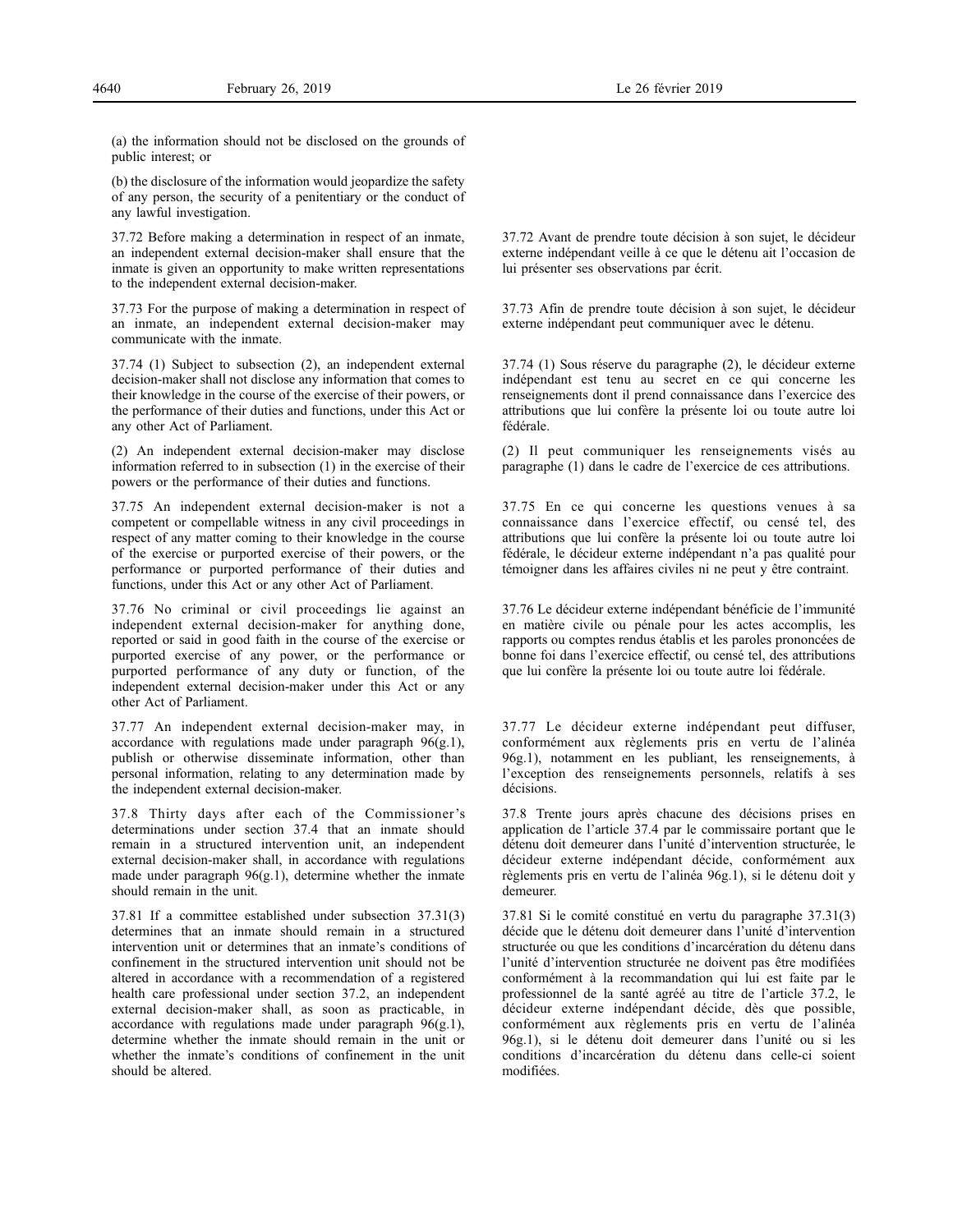(a) the information should not be disclosed on the grounds of public interest; or

(b) the disclosure of the information would jeopardize the safety of any person, the security of a penitentiary or the conduct of any lawful investigation.

37.72 Before making a determination in respect of an inmate, an independent external decision-maker shall ensure that the inmate is given an opportunity to make written representations to the independent external decision-maker.

37.73 For the purpose of making a determination in respect of an inmate, an independent external decision-maker may communicate with the inmate.

37.74 (1) Subject to subsection (2), an independent external decision-maker shall not disclose any information that comes to their knowledge in the course of the exercise of their powers, or the performance of their duties and functions, under this Act or any other Act of Parliament.

(2) An independent external decision-maker may disclose information referred to in subsection (1) in the exercise of their powers or the performance of their duties and functions.

37.75 An independent external decision-maker is not a competent or compellable witness in any civil proceedings in respect of any matter coming to their knowledge in the course of the exercise or purported exercise of their powers, or the performance or purported performance of their duties and functions, under this Act or any other Act of Parliament.

37.76 No criminal or civil proceedings lie against an independent external decision-maker for anything done, reported or said in good faith in the course of the exercise or purported exercise of any power, or the performance or purported performance of any duty or function, of the independent external decision-maker under this Act or any other Act of Parliament.

37.77 An independent external decision-maker may, in accordance with regulations made under paragraph 96(g.1), publish or otherwise disseminate information, other than personal information, relating to any determination made by the independent external decision-maker.

37.8 Thirty days after each of the Commissioner's determinations under section 37.4 that an inmate should remain in a structured intervention unit, an independent external decision-maker shall, in accordance with regulations made under paragraph 96(g.1), determine whether the inmate should remain in the unit.

37.81 If a committee established under subsection 37.31(3) determines that an inmate should remain in a structured intervention unit or determines that an inmate's conditions of confinement in the structured intervention unit should not be altered in accordance with a recommendation of a registered health care professional under section 37.2, an independent external decision-maker shall, as soon as practicable, in accordance with regulations made under paragraph 96(g.1), determine whether the inmate should remain in the unit or whether the inmate's conditions of confinement in the unit should be altered.

37.72 Avant de prendre toute décision à son sujet, le décideur externe indépendant veille à ce que le détenu ait l'occasion de lui présenter ses observations par écrit.

37.73 Afin de prendre toute décision à son sujet, le décideur externe indépendant peut communiquer avec le détenu.

37.74 (1) Sous réserve du paragraphe (2), le décideur externe indépendant est tenu au secret en ce qui concerne les renseignements dont il prend connaissance dans l'exercice des attributions que lui confère la présente loi ou toute autre loi fédérale.

(2) Il peut communiquer les renseignements visés au paragraphe (1) dans le cadre de l'exercice de ces attributions.

37.75 En ce qui concerne les questions venues à sa connaissance dans l'exercice effectif, ou censé tel, des attributions que lui confère la présente loi ou toute autre loi fédérale, le décideur externe indépendant n'a pas qualité pour témoigner dans les affaires civiles ni ne peut y être contraint.

37.76 Le décideur externe indépendant bénéficie de l'immunité en matière civile ou pénale pour les actes accomplis, les rapports ou comptes rendus établis et les paroles prononcées de bonne foi dans l'exercice effectif, ou censé tel, des attributions que lui confère la présente loi ou toute autre loi fédérale.

37.77 Le décideur externe indépendant peut diffuser, conformément aux règlements pris en vertu de l'alinéa 96g.1), notamment en les publiant, les renseignements, à l'exception des renseignements personnels, relatifs à ses décisions.

37.8 Trente jours après chacune des décisions prises en application de l'article 37.4 par le commissaire portant que le détenu doit demeurer dans l'unité d'intervention structurée, le décideur externe indépendant décide, conformément aux règlements pris en vertu de l'alinéa 96g.1), si le détenu doit y demeurer.

37.81 Si le comité constitué en vertu du paragraphe 37.31(3) décide que le détenu doit demeurer dans l'unité d'intervention structurée ou que les conditions d'incarcération du détenu dans l'unité d'intervention structurée ne doivent pas être modifiées conformément à la recommandation qui lui est faite par le professionnel de la santé agréé au titre de l'article 37.2, le décideur externe indépendant décide, dès que possible, conformément aux règlements pris en vertu de l'alinéa 96g.1), si le détenu doit demeurer dans l'unité ou si les conditions d'incarcération du détenu dans celle-ci soient modifiées.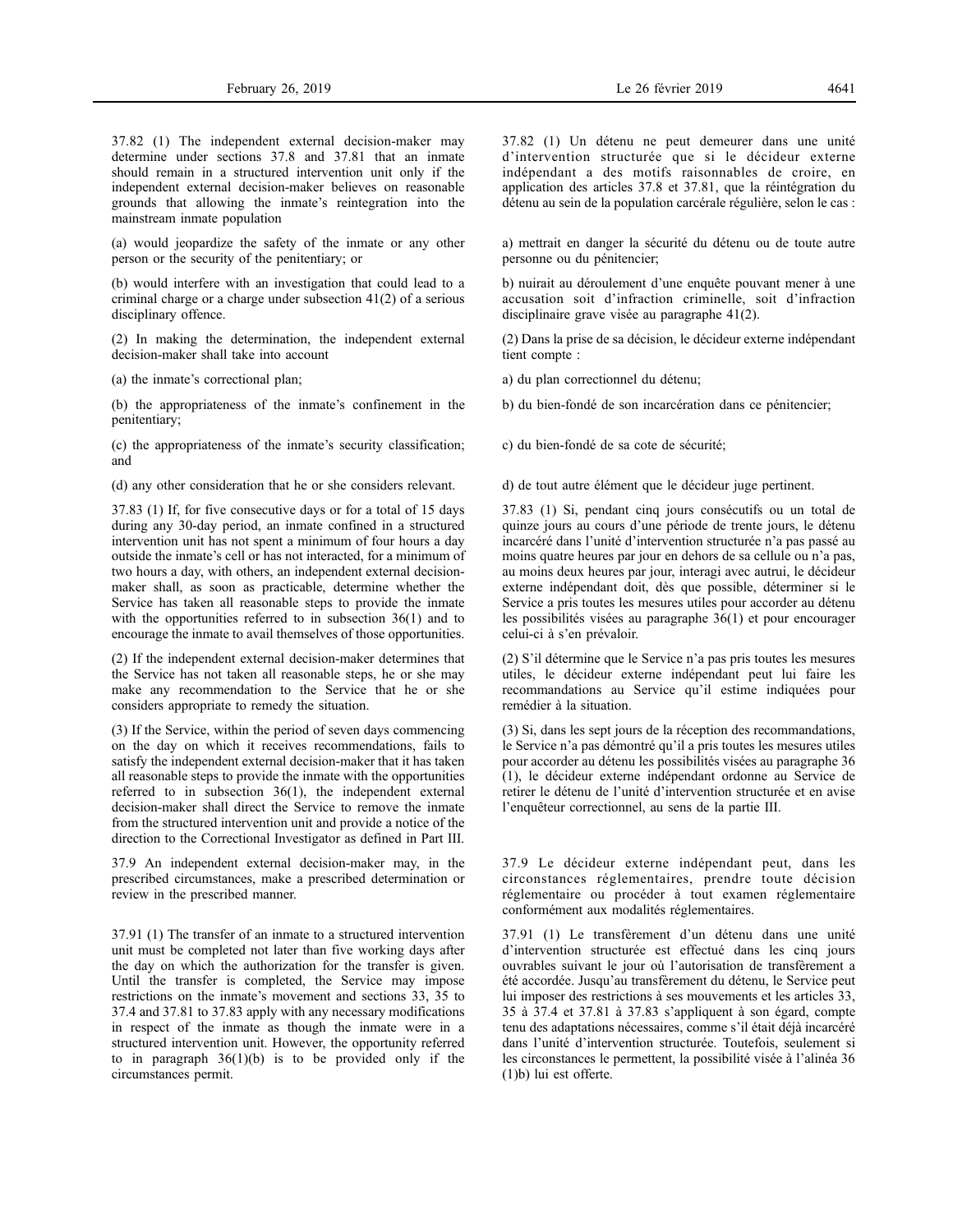37.82 (1) The independent external decision-maker may determine under sections 37.8 and 37.81 that an inmate should remain in a structured intervention unit only if the independent external decision-maker believes on reasonable grounds that allowing the inmate's reintegration into the mainstream inmate population

(a) would jeopardize the safety of the inmate or any other person or the security of the penitentiary; or

(b) would interfere with an investigation that could lead to a criminal charge or a charge under subsection 41(2) of a serious disciplinary offence.

(2) In making the determination, the independent external decision-maker shall take into account

(a) the inmate's correctional plan;

(b) the appropriateness of the inmate's confinement in the penitentiary;

(c) the appropriateness of the inmate's security classification; and

(d) any other consideration that he or she considers relevant.

37.83 (1) If, for five consecutive days or for a total of 15 days during any 30-day period, an inmate confined in a structured intervention unit has not spent a minimum of four hours a day outside the inmate's cell or has not interacted, for a minimum of two hours a day, with others, an independent external decisionmaker shall, as soon as practicable, determine whether the Service has taken all reasonable steps to provide the inmate with the opportunities referred to in subsection 36(1) and to encourage the inmate to avail themselves of those opportunities.

(2) If the independent external decision-maker determines that the Service has not taken all reasonable steps, he or she may make any recommendation to the Service that he or she considers appropriate to remedy the situation.

(3) If the Service, within the period of seven days commencing on the day on which it receives recommendations, fails to satisfy the independent external decision-maker that it has taken all reasonable steps to provide the inmate with the opportunities referred to in subsection 36(1), the independent external decision-maker shall direct the Service to remove the inmate from the structured intervention unit and provide a notice of the direction to the Correctional Investigator as defined in Part III.

37.9 An independent external decision-maker may, in the prescribed circumstances, make a prescribed determination or review in the prescribed manner.

37.91 (1) The transfer of an inmate to a structured intervention unit must be completed not later than five working days after the day on which the authorization for the transfer is given. Until the transfer is completed, the Service may impose restrictions on the inmate's movement and sections 33, 35 to 37.4 and 37.81 to 37.83 apply with any necessary modifications in respect of the inmate as though the inmate were in a structured intervention unit. However, the opportunity referred to in paragraph  $36(1)(b)$  is to be provided only if the circumstances permit.

37.82 (1) Un détenu ne peut demeurer dans une unité d'intervention structurée que si le décideur externe indépendant a des motifs raisonnables de croire, en application des articles 37.8 et 37.81, que la réintégration du détenu au sein de la population carcérale régulière, selon le cas :

a) mettrait en danger la sécurité du détenu ou de toute autre personne ou du pénitencier;

b) nuirait au déroulement d'une enquête pouvant mener à une accusation soit d'infraction criminelle, soit d'infraction disciplinaire grave visée au paragraphe 41(2).

(2) Dans la prise de sa décision, le décideur externe indépendant tient compte :

a) du plan correctionnel du détenu;

b) du bien-fondé de son incarcération dans ce pénitencier;

c) du bien-fondé de sa cote de sécurité;

d) de tout autre élément que le décideur juge pertinent.

37.83 (1) Si, pendant cinq jours consécutifs ou un total de quinze jours au cours d'une période de trente jours, le détenu incarcéré dans l'unité d'intervention structurée n'a pas passé au moins quatre heures par jour en dehors de sa cellule ou n'a pas, au moins deux heures par jour, interagi avec autrui, le décideur externe indépendant doit, dès que possible, déterminer si le Service a pris toutes les mesures utiles pour accorder au détenu les possibilités visées au paragraphe 36(1) et pour encourager celui-ci à s'en prévaloir.

(2) S'il détermine que le Service n'a pas pris toutes les mesures utiles, le décideur externe indépendant peut lui faire les recommandations au Service qu'il estime indiquées pour remédier à la situation.

(3) Si, dans les sept jours de la réception des recommandations, le Service n'a pas démontré qu'il a pris toutes les mesures utiles pour accorder au détenu les possibilités visées au paragraphe 36 (1), le décideur externe indépendant ordonne au Service de retirer le détenu de l'unité d'intervention structurée et en avise l'enquêteur correctionnel, au sens de la partie III.

37.9 Le décideur externe indépendant peut, dans les circonstances réglementaires, prendre toute décision réglementaire ou procéder à tout examen réglementaire conformément aux modalités réglementaires.

37.91 (1) Le transfèrement d'un détenu dans une unité d'intervention structurée est effectué dans les cinq jours ouvrables suivant le jour où l'autorisation de transfèrement a été accordée. Jusqu'au transfèrement du détenu, le Service peut lui imposer des restrictions à ses mouvements et les articles 33, 35 à 37.4 et 37.81 à 37.83 s'appliquent à son égard, compte tenu des adaptations nécessaires, comme s'il était déjà incarcéré dans l'unité d'intervention structurée. Toutefois, seulement si les circonstances le permettent, la possibilité visée à l'alinéa 36 (1)b) lui est offerte.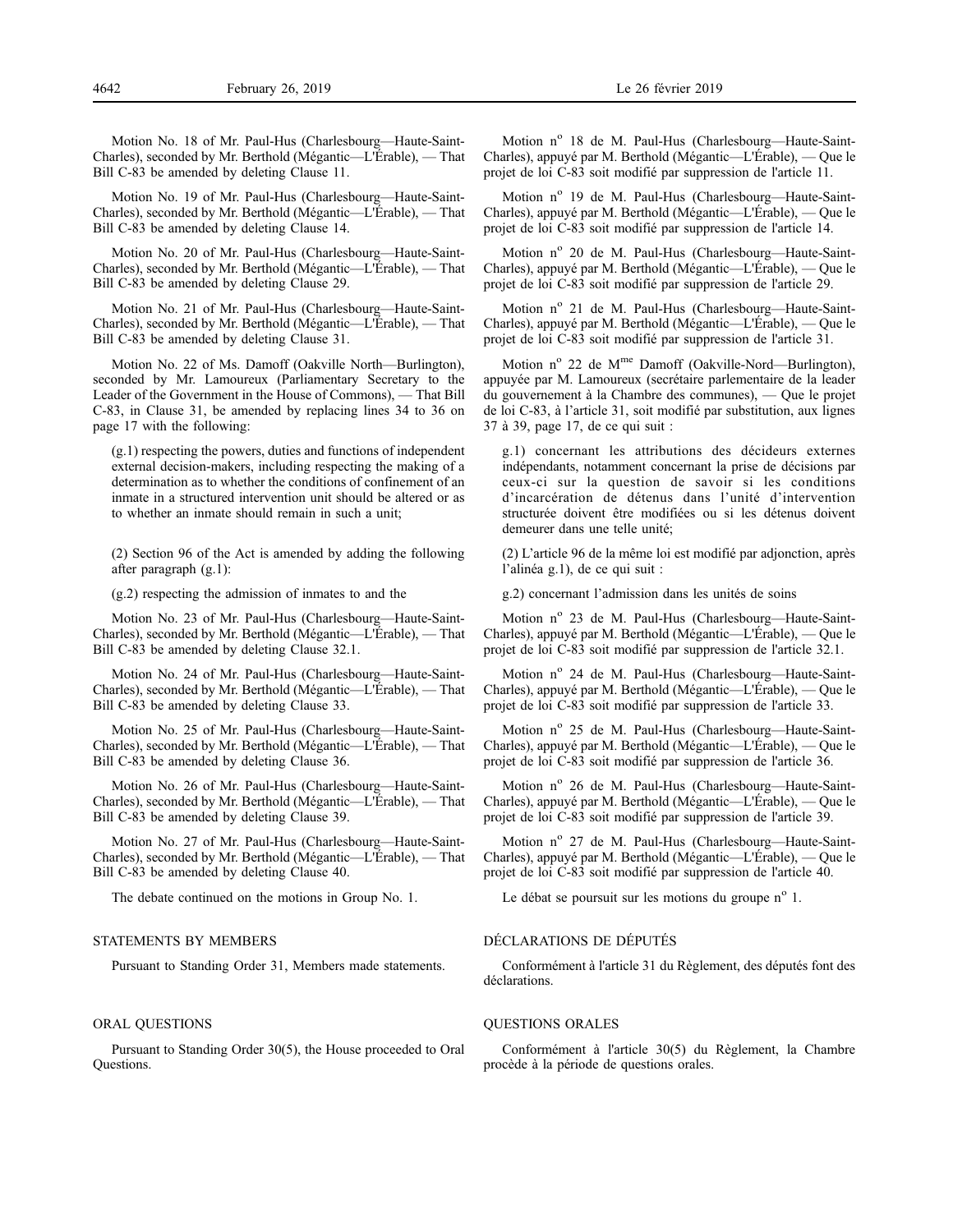Motion No. 18 of Mr. Paul-Hus (Charlesbourg—Haute-Saint-Charles), seconded by Mr. Berthold (Mégantic—L'Érable), — That Bill C-83 be amended by deleting Clause 11.

Motion No. 19 of Mr. Paul-Hus (Charlesbourg—Haute-Saint-Charles), seconded by Mr. Berthold (Mégantic—L'Érable), — That Bill C-83 be amended by deleting Clause 14.

Motion No. 20 of Mr. Paul-Hus (Charlesbourg—Haute-Saint-Charles), seconded by Mr. Berthold (Mégantic—L'Érable), — That Bill C-83 be amended by deleting Clause 29.

Motion No. 21 of Mr. Paul-Hus (Charlesbourg—Haute-Saint-Charles), seconded by Mr. Berthold (Mégantic—L'Érable), — That Bill C-83 be amended by deleting Clause 31.

Motion No. 22 of Ms. Damoff (Oakville North—Burlington), seconded by Mr. Lamoureux (Parliamentary Secretary to the Leader of the Government in the House of Commons), — That Bill C-83, in Clause 31, be amended by replacing lines 34 to 36 on page 17 with the following:

(g.1) respecting the powers, duties and functions of independent external decision-makers, including respecting the making of a determination as to whether the conditions of confinement of an inmate in a structured intervention unit should be altered or as to whether an inmate should remain in such a unit;

(2) Section 96 of the Act is amended by adding the following after paragraph (g.1):

(g.2) respecting the admission of inmates to and the

Motion No. 23 of Mr. Paul-Hus (Charlesbourg—Haute-Saint-Charles), seconded by Mr. Berthold (Mégantic—L'Érable), — That Bill C-83 be amended by deleting Clause 32.1.

Motion No. 24 of Mr. Paul-Hus (Charlesbourg—Haute-Saint-Charles), seconded by Mr. Berthold (Mégantic—L'Érable), — That Bill C-83 be amended by deleting Clause 33.

Motion No. 25 of Mr. Paul-Hus (Charlesbourg—Haute-Saint-Charles), seconded by Mr. Berthold (Mégantic—L'Érable), — That Bill C-83 be amended by deleting Clause 36.

Motion No. 26 of Mr. Paul-Hus (Charlesbourg—Haute-Saint-Charles), seconded by Mr. Berthold (Mégantic—L'Érable), — That Bill C-83 be amended by deleting Clause 39.

Motion No. 27 of Mr. Paul-Hus (Charlesbourg—Haute-Saint-Charles), seconded by Mr. Berthold (Mégantic—L'Érable), — That Bill C-83 be amended by deleting Clause 40.

The debate continued on the motions in Group No. 1.

# STATEMENTS BY MEMBERS

Pursuant to Standing Order 31, Members made statements.

# ORAL QUESTIONS

Pursuant to Standing Order 30(5), the House proceeded to Oral Questions.

Motion nº 18 de M. Paul-Hus (Charlesbourg-Haute-Saint-Charles), appuyé par M. Berthold (Mégantic—L'Érable), — Que le projet de loi C-83 soit modifié par suppression de l'article 11.

Motion nº 19 de M. Paul-Hus (Charlesbourg—Haute-Saint-Charles), appuyé par M. Berthold (Mégantic—L'Érable), — Que le projet de loi C-83 soit modifié par suppression de l'article 14.

Motion nº 20 de M. Paul-Hus (Charlesbourg-Haute-Saint-Charles), appuyé par M. Berthold (Mégantic—L'Érable), — Que le projet de loi C-83 soit modifié par suppression de l'article 29.

Motion nº 21 de M. Paul-Hus (Charlesbourg—Haute-Saint-Charles), appuyé par M. Berthold (Mégantic—L'Érable), — Que le projet de loi C-83 soit modifié par suppression de l'article 31.

Motion nº 22 de M<sup>me</sup> Damoff (Oakville-Nord—Burlington), appuyée par M. Lamoureux (secrétaire parlementaire de la leader du gouvernement à la Chambre des communes), — Que le projet de loi C-83, à l'article 31, soit modifié par substitution, aux lignes 37 à 39, page 17, de ce qui suit :

g.1) concernant les attributions des décideurs externes indépendants, notamment concernant la prise de décisions par ceux-ci sur la question de savoir si les conditions d'incarcération de détenus dans l'unité d'intervention structurée doivent être modifiées ou si les détenus doivent demeurer dans une telle unité;

(2) L'article 96 de la même loi est modifié par adjonction, après l'alinéa g.1), de ce qui suit :

g.2) concernant l'admission dans les unités de soins

Motion n<sup>o</sup> 23 de M. Paul-Hus (Charlesbourg—Haute-Saint-Charles), appuyé par M. Berthold (Mégantic—L'Érable), — Que le projet de loi C-83 soit modifié par suppression de l'article 32.1.

Motion nº 24 de M. Paul-Hus (Charlesbourg-Haute-Saint-Charles), appuyé par M. Berthold (Mégantic—L'Érable), — Que le projet de loi C-83 soit modifié par suppression de l'article 33.

Motion nº 25 de M. Paul-Hus (Charlesbourg—Haute-Saint-Charles), appuyé par M. Berthold (Mégantic—L'Érable), — Que le projet de loi C-83 soit modifié par suppression de l'article 36.

Motion nº 26 de M. Paul-Hus (Charlesbourg-Haute-Saint-Charles), appuyé par M. Berthold (Mégantic—L'Érable), — Que le projet de loi C-83 soit modifié par suppression de l'article 39.

Motion nº 27 de M. Paul-Hus (Charlesbourg—Haute-Saint-Charles), appuyé par M. Berthold (Mégantic—L'Érable), — Que le projet de loi C-83 soit modifié par suppression de l'article 40.

Le débat se poursuit sur les motions du groupe  $n^{\circ}$  1.

#### DÉCLARATIONS DE DÉPUTÉS

Conformément à l'article 31 du Règlement, des députés font des déclarations.

#### QUESTIONS ORALES

Conformément à l'article 30(5) du Règlement, la Chambre procède à la période de questions orales.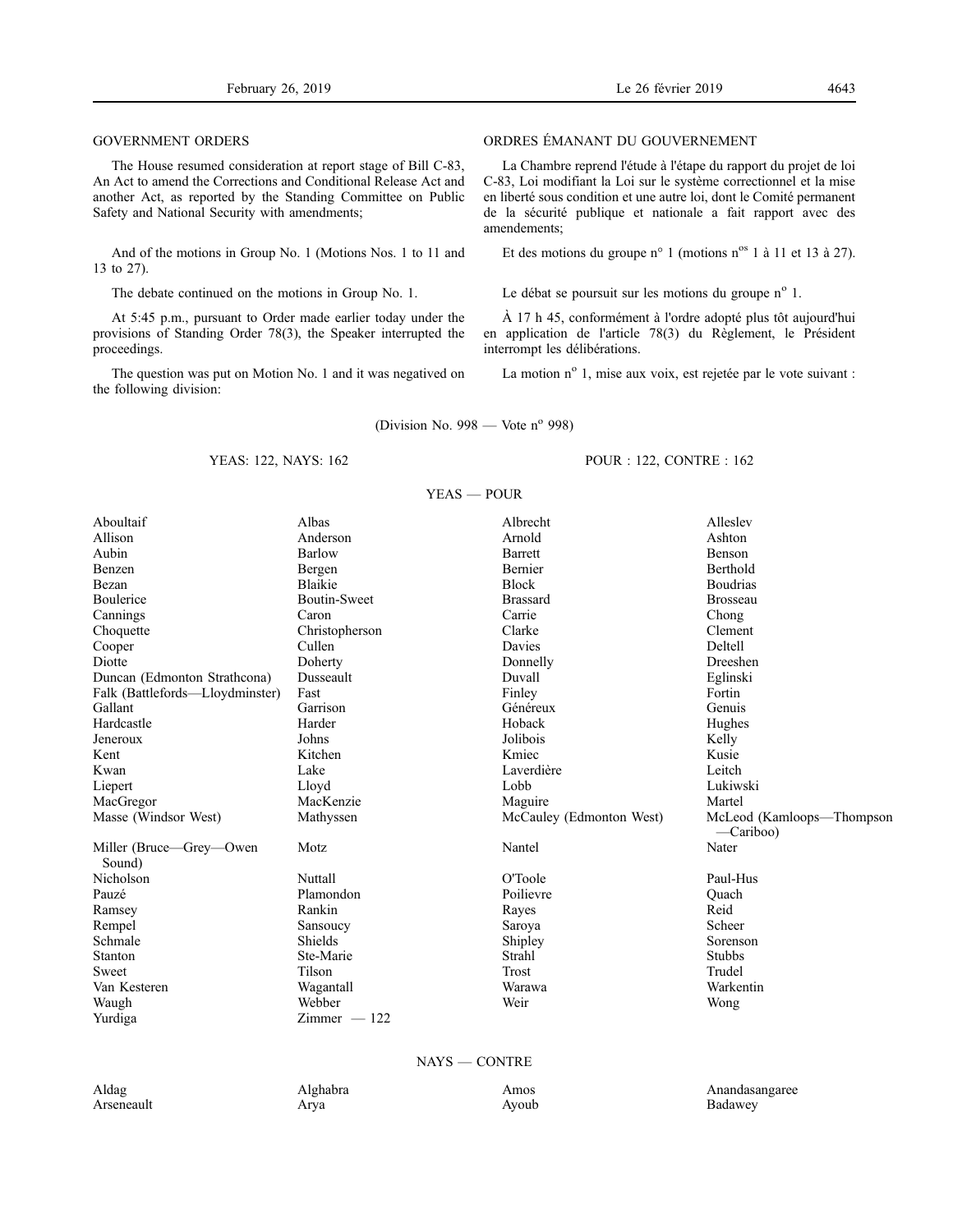# GOVERNMENT ORDERS

The House resumed consideration at report stage of Bill C-83, An Act to amend the Corrections and Conditional Release Act and another Act, as reported by the Standing Committee on Public Safety and National Security with amendments;

And of the motions in Group No. 1 (Motions Nos. 1 to 11 and 13 to 27).

The debate continued on the motions in Group No. 1.

At 5:45 p.m., pursuant to Order made earlier today under the provisions of Standing Order 78(3), the Speaker interrupted the proceedings.

The question was put on Motion No. 1 and it was negatived on the following division:

# ORDRES ÉMANANT DU GOUVERNEMENT

La Chambre reprend l'étude à l'étape du rapport du projet de loi C-83, Loi modifiant la Loi sur le système correctionnel et la mise en liberté sous condition et une autre loi, dont le Comité permanent de la sécurité publique et nationale a fait rapport avec des amendements;

Et des motions du groupe n° 1 (motions n° 1 à 11 et 13 à 27).

Le débat se poursuit sur les motions du groupe n° 1.

À 17 h 45, conformément à l'ordre adopté plus tôt aujourd'hui en application de l'article 78(3) du Règlement, le Président interrompt les délibérations.

La motion nº 1, mise aux voix, est rejetée par le vote suivant :

(Division No. 998 — Vote  $n^{\circ}$  998)

# YEAS: 122, NAYS: 162

# POUR : 122, CONTRE : 162

| $YEAS - POUR$                     |                     |                          |                                          |  |
|-----------------------------------|---------------------|--------------------------|------------------------------------------|--|
| Aboultaif                         | Albas               | Albrecht                 | Alleslev                                 |  |
| Allison                           | Anderson            | Arnold                   | Ashton                                   |  |
| Aubin                             | Barlow              | <b>Barrett</b>           | Benson                                   |  |
| Benzen                            | Bergen              | Bernier                  | Berthold                                 |  |
| Bezan                             | <b>Blaikie</b>      | <b>Block</b>             | <b>Boudrias</b>                          |  |
| Boulerice                         | <b>Boutin-Sweet</b> | <b>Brassard</b>          | <b>Brosseau</b>                          |  |
| Cannings                          | Caron               | Carrie                   | Chong                                    |  |
| Choquette                         | Christopherson      | Clarke                   | Clement                                  |  |
| Cooper                            | Cullen              | Davies                   | Deltell                                  |  |
| Diotte                            | Doherty             | Donnelly                 | Dreeshen                                 |  |
| Duncan (Edmonton Strathcona)      | Dusseault           | Duvall                   | Eglinski                                 |  |
| Falk (Battlefords-Lloydminster)   | Fast                | Finley                   | Fortin                                   |  |
| Gallant                           | Garrison            | Généreux                 | Genuis                                   |  |
| Hardcastle                        | Harder              | Hoback                   | Hughes                                   |  |
| Jeneroux                          | Johns               | Jolibois                 | Kelly                                    |  |
| Kent                              | Kitchen             | Kmiec                    | Kusie                                    |  |
| Kwan                              | Lake                | Laverdière               | Leitch                                   |  |
| Liepert                           | Lloyd               | Lobb                     | Lukiwski                                 |  |
| MacGregor                         | MacKenzie           | Maguire                  | Martel                                   |  |
| Masse (Windsor West)              | Mathyssen           | McCauley (Edmonton West) | McLeod (Kamloops—Thompson<br>$-Cariboo)$ |  |
| Miller (Bruce—Grey—Owen<br>Sound) | Motz                | Nantel                   | Nater                                    |  |
| Nicholson                         | Nuttall             | O'Toole                  | Paul-Hus                                 |  |
| Pauzé                             | Plamondon           | Poilievre                | Quach                                    |  |
| Ramsey                            | Rankin              | Rayes                    | Reid                                     |  |
| Rempel                            | Sansoucy            | Saroya                   | Scheer                                   |  |
| Schmale                           | Shields             | Shipley                  | Sorenson                                 |  |
| Stanton                           | Ste-Marie           | Strahl                   | <b>Stubbs</b>                            |  |
| Sweet                             | Tilson              | Trost                    | Trudel                                   |  |
| Van Kesteren                      | Wagantall           | Warawa                   | Warkentin                                |  |
| Waugh                             | Webber              | Weir                     | Wong                                     |  |
| Yurdiga                           | $Zimmer - 122$      |                          |                                          |  |
|                                   |                     |                          |                                          |  |

# NAYS — CONTRE

| Aldag      | Alghabra | Amos  | Anandasangaree |
|------------|----------|-------|----------------|
| Arseneault | Arya     | Ayoub | Badawey        |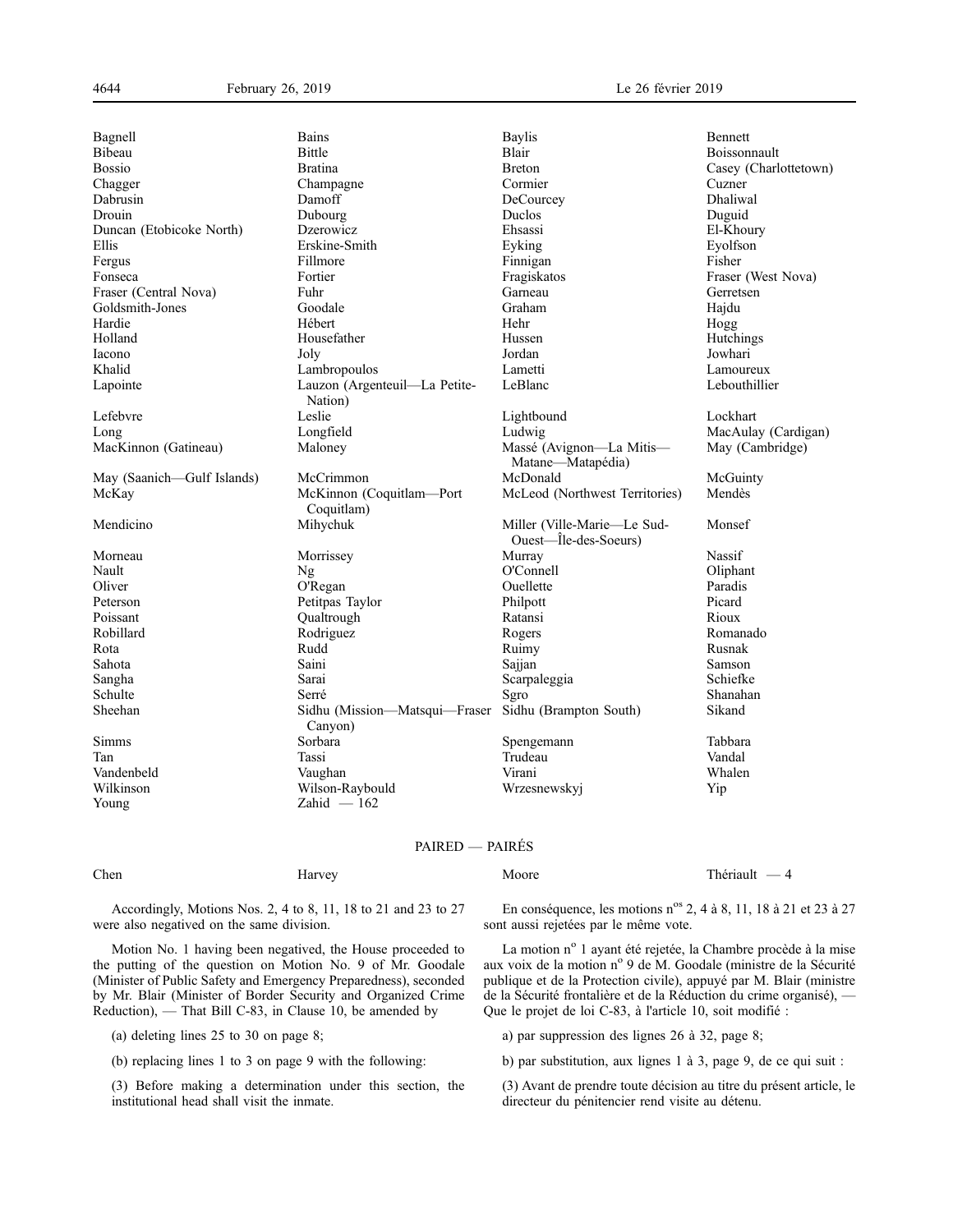| Bagnell                    | <b>Bains</b>                             | <b>Baylis</b>                                        | <b>Bennett</b>        |
|----------------------------|------------------------------------------|------------------------------------------------------|-----------------------|
| Bibeau                     | Bittle                                   | Blair                                                | Boissonnault          |
| <b>Bossio</b>              | <b>Bratina</b>                           | <b>Breton</b>                                        | Casey (Charlottetown) |
| Chagger                    | Champagne                                | Cormier                                              | Cuzner                |
| Dabrusin                   | Damoff                                   | DeCourcey                                            | Dhaliwal              |
| Drouin                     | Dubourg                                  | Duclos                                               | Duguid                |
| Duncan (Etobicoke North)   | Dzerowicz                                | Ehsassi                                              | El-Khoury             |
| Ellis                      | Erskine-Smith                            | Eyking                                               | Eyolfson              |
| Fergus                     | Fillmore                                 | Finnigan                                             | Fisher                |
| Fonseca                    | Fortier                                  | Fragiskatos                                          | Fraser (West Nova)    |
| Fraser (Central Nova)      | Fuhr                                     | Garneau                                              | Gerretsen             |
| Goldsmith-Jones            | Goodale                                  | Graham                                               | Hajdu                 |
| Hardie                     | Hébert                                   | Hehr                                                 | Hogg                  |
| Holland                    | Housefather                              | Hussen                                               | Hutchings             |
| Iacono                     | Joly                                     | Jordan                                               | Jowhari               |
| Khalid                     | Lambropoulos                             | Lametti                                              | Lamoureux             |
| Lapointe                   | Lauzon (Argenteuil-La Petite-<br>Nation) | LeBlanc                                              | Lebouthillier         |
| Lefebvre                   | Leslie                                   | Lightbound                                           | Lockhart              |
| Long                       | Longfield                                | Ludwig                                               | MacAulay (Cardigan)   |
| MacKinnon (Gatineau)       | Maloney                                  | Massé (Avignon-La Mitis-<br>Matane-Matapédia)        | May (Cambridge)       |
| May (Saanich—Gulf Islands) | McCrimmon                                | McDonald                                             | McGuinty              |
| McKay                      | McKinnon (Coquitlam-Port<br>Coquitlam)   | McLeod (Northwest Territories)                       | Mendès                |
| Mendicino                  | Mihychuk                                 | Miller (Ville-Marie-Le Sud-<br>Ouest—Île-des-Soeurs) | Monsef                |
| Morneau                    | Morrissey                                | Murray                                               | Nassif                |
| Nault                      | Ng                                       | O'Connell                                            | Oliphant              |
| Oliver                     | O'Regan                                  | Ouellette                                            | Paradis               |
| Peterson                   | Petitpas Taylor                          | Philpott                                             | Picard                |
| Poissant                   | Qualtrough                               | Ratansi                                              | Rioux                 |
| Robillard                  | Rodriguez                                | Rogers                                               | Romanado              |
| Rota                       | Rudd                                     | Ruimy                                                | Rusnak                |
| Sahota                     | Saini                                    | Sajjan                                               | Samson                |
| Sangha                     | Sarai                                    | Scarpaleggia                                         | Schiefke              |
| Schulte                    | Serré                                    | Sgro                                                 | Shanahan              |
| Sheehan                    | Sidhu (Mission-Matsqui-Fraser<br>Canyon) | Sidhu (Brampton South)                               | Sikand                |
| Simms                      | Sorbara                                  | Spengemann                                           | Tabbara               |
| Tan                        | Tassi                                    | Trudeau                                              | Vandal                |
| Vandenbeld                 | Vaughan                                  | Virani                                               | Whalen                |
| Wilkinson                  | Wilson-Raybould                          | Wrzesnewskyj                                         | Yip                   |
| Young                      | $Zahid - 162$                            |                                                      |                       |

# PAIRED — PAIRÉS

Accordingly, Motions Nos. 2, 4 to 8, 11, 18 to 21 and 23 to 27 were also negatived on the same division.

Motion No. 1 having been negatived, the House proceeded to the putting of the question on Motion No. 9 of Mr. Goodale (Minister of Public Safety and Emergency Preparedness), seconded by Mr. Blair (Minister of Border Security and Organized Crime Reduction), — That Bill C-83, in Clause 10, be amended by

(a) deleting lines 25 to 30 on page 8;

(b) replacing lines 1 to 3 on page 9 with the following:

(3) Before making a determination under this section, the institutional head shall visit the inmate.

En conséquence, les motions n<sup>os</sup> 2, 4 à 8, 11, 18 à 21 et 23 à 27 sont aussi rejetées par le même vote.

La motion nº 1 ayant été rejetée, la Chambre procède à la mise aux voix de la motion n° 9 de M. Goodale (ministre de la Sécurité publique et de la Protection civile), appuyé par M. Blair (ministre de la Sécurité frontalière et de la Réduction du crime organisé), — Que le projet de loi C-83, à l'article 10, soit modifié :

a) par suppression des lignes 26 à 32, page 8;

b) par substitution, aux lignes 1 à 3, page 9, de ce qui suit :

(3) Avant de prendre toute décision au titre du présent article, le directeur du pénitencier rend visite au détenu.

Chen Harvey Harvey Moore Moore Thériault — 4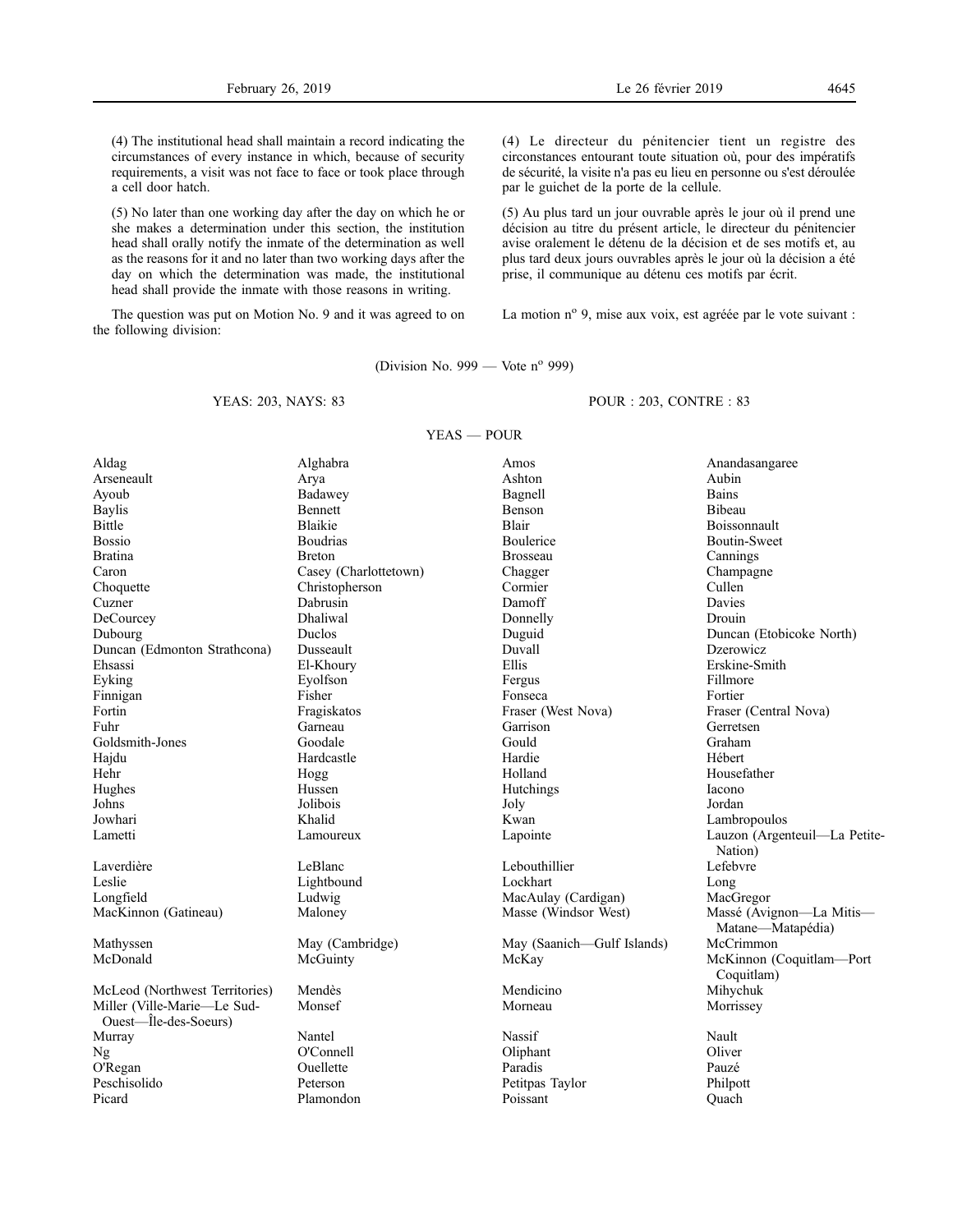(4) The institutional head shall maintain a record indicating the circumstances of every instance in which, because of security requirements, a visit was not face to face or took place through a cell door hatch.

(5) No later than one working day after the day on which he or she makes a determination under this section, the institution head shall orally notify the inmate of the determination as well as the reasons for it and no later than two working days after the day on which the determination was made, the institutional head shall provide the inmate with those reasons in writing.

The question was put on Motion No. 9 and it was agreed to on the following division:

(4) Le directeur du pénitencier tient un registre des circonstances entourant toute situation où, pour des impératifs de sécurité, la visite n'a pas eu lieu en personne ou s'est déroulée par le guichet de la porte de la cellule.

(5) Au plus tard un jour ouvrable après le jour où il prend une décision au titre du présent article, le directeur du pénitencier avise oralement le détenu de la décision et de ses motifs et, au plus tard deux jours ouvrables après le jour où la décision a été prise, il communique au détenu ces motifs par écrit.

La motion nº 9, mise aux voix, est agréée par le vote suivant :

(Division No. 999 — Vote  $n^{\circ}$  999)

YEAS — POUR

# YEAS: 203, NAYS: 83

POUR : 203, CONTRE : 83

| Aldag                          | Alghabra              | Amos                       | Anandasangaree                                |
|--------------------------------|-----------------------|----------------------------|-----------------------------------------------|
| Arseneault                     | Arya                  | Ashton                     | Aubin                                         |
| Ayoub                          | Badawey               | Bagnell                    | <b>Bains</b>                                  |
| <b>Baylis</b>                  | Bennett               | Benson                     | <b>Bibeau</b>                                 |
| Bittle                         | <b>Blaikie</b>        | <b>Blair</b>               | Boissonnault                                  |
| <b>Bossio</b>                  | <b>Boudrias</b>       | Boulerice                  | Boutin-Sweet                                  |
| <b>Bratina</b>                 | <b>Breton</b>         | <b>Brosseau</b>            | Cannings                                      |
| Caron                          | Casey (Charlottetown) | Chagger                    | Champagne                                     |
| Choquette                      | Christopherson        | Cormier                    | Cullen                                        |
| Cuzner                         | Dabrusin              | Damoff                     | Davies                                        |
| DeCourcey                      | Dhaliwal              | Donnelly                   | Drouin                                        |
| Dubourg                        | Duclos                | Duguid                     | Duncan (Etobicoke North)                      |
| Duncan (Edmonton Strathcona)   | Dusseault             | Duvall                     | Dzerowicz                                     |
| Ehsassi                        | El-Khoury             | Ellis                      | Erskine-Smith                                 |
| Eyking                         | Eyolfson              | Fergus                     | Fillmore                                      |
| Finnigan                       | Fisher                | Fonseca                    | Fortier                                       |
| Fortin                         | Fragiskatos           | Fraser (West Nova)         | Fraser (Central Nova)                         |
| Fuhr                           | Garneau               | Garrison                   | Gerretsen                                     |
| Goldsmith-Jones                | Goodale               | Gould                      | Graham                                        |
| Hajdu                          | Hardcastle            | Hardie                     | Hébert                                        |
| Hehr                           | Hogg                  | Holland                    | Housefather                                   |
| Hughes                         | Hussen                | Hutchings                  | Iacono                                        |
| Johns                          | Jolibois              | Joly                       | Jordan                                        |
| Jowhari                        | Khalid                | Kwan                       | Lambropoulos                                  |
| Lametti                        | Lamoureux             | Lapointe                   | Lauzon (Argenteuil-La Petite-                 |
|                                |                       |                            | Nation)                                       |
| Laverdière                     | LeBlanc               | Lebouthillier              | Lefebvre                                      |
| Leslie                         | Lightbound            | Lockhart                   | Long                                          |
| Longfield                      | Ludwig                | MacAulay (Cardigan)        | MacGregor                                     |
| MacKinnon (Gatineau)           | Maloney               | Masse (Windsor West)       | Massé (Avignon-La Mitis-<br>Matane—Matapédia) |
| Mathyssen                      | May (Cambridge)       | May (Saanich-Gulf Islands) | McCrimmon                                     |
| McDonald                       | McGuinty              | McKay                      | McKinnon (Coquitlam-Port<br>Coquitlam)        |
| McLeod (Northwest Territories) | Mendès                | Mendicino                  | Mihychuk                                      |
| Miller (Ville-Marie-Le Sud-    | Monsef                | Morneau                    | Morrissey                                     |
| Ouest—Île-des-Soeurs)          |                       |                            |                                               |
| Murray                         | Nantel                | Nassif                     | Nault                                         |
| Ng                             | O'Connell             | Oliphant                   | Oliver                                        |
| O'Regan                        | Ouellette             | Paradis                    | Pauzé                                         |
| Peschisolido                   | Peterson              | Petitpas Taylor            | Philpott                                      |
| Picard                         | Plamondon             | Poissant                   | Ouach                                         |
|                                |                       |                            |                                               |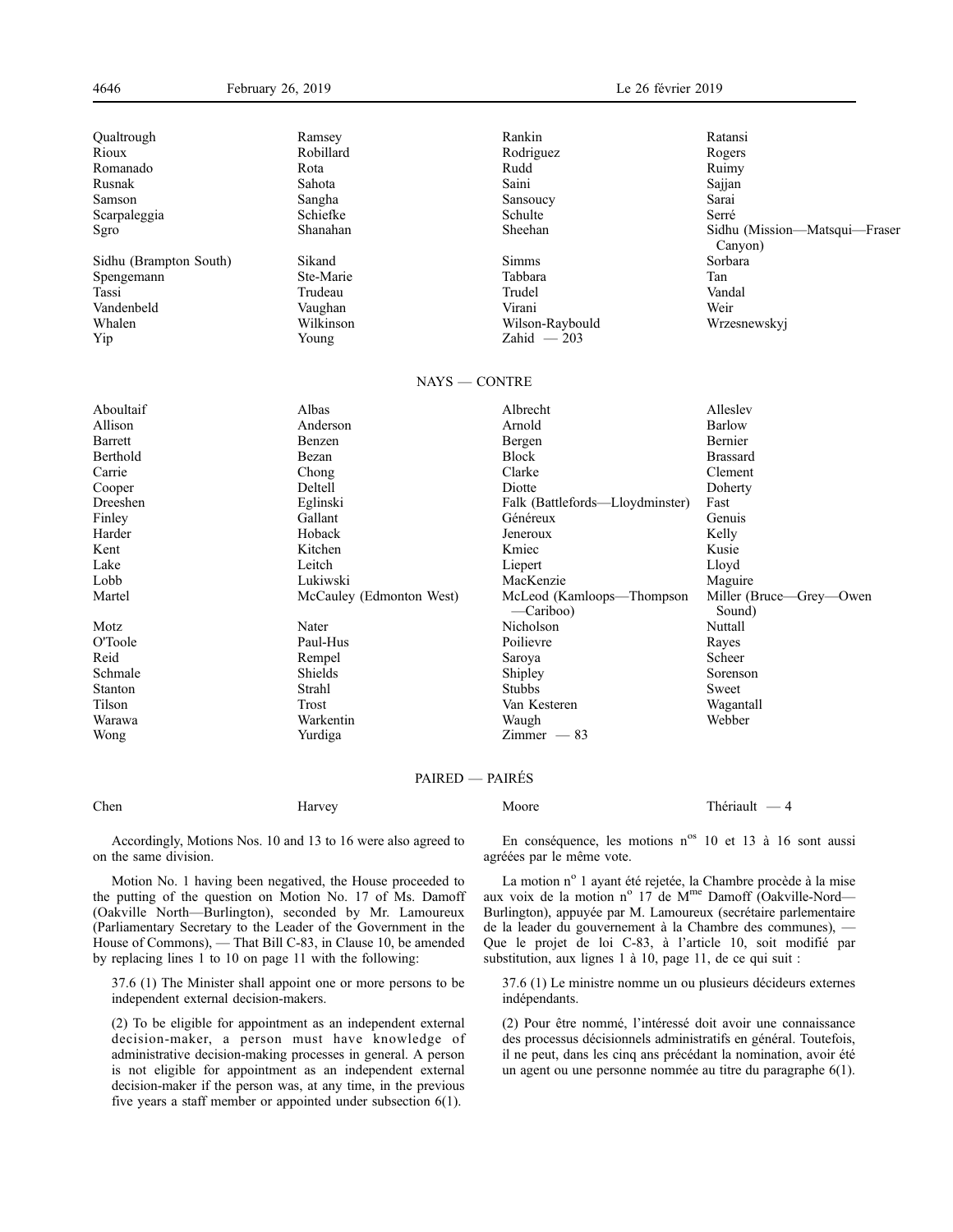| Qualtrough             | Ramsey                   | Rankin                                 | Ratansi                                  |
|------------------------|--------------------------|----------------------------------------|------------------------------------------|
| Rioux                  | Robillard                | Rodriguez                              | Rogers                                   |
| Romanado               | Rota                     | Rudd                                   | Ruimy                                    |
| Rusnak                 | Sahota                   | Saini                                  | Sajjan                                   |
| Samson                 | Sangha                   | Sansoucy                               | Sarai                                    |
| Scarpaleggia           | Schiefke                 | Schulte                                | Serré                                    |
| Sgro                   | Shanahan                 | Sheehan                                | Sidhu (Mission-Matsqui-Fraser<br>Canyon) |
| Sidhu (Brampton South) | Sikand                   | <b>Simms</b>                           | Sorbara                                  |
| Spengemann             | Ste-Marie                | Tabbara                                | Tan                                      |
| Tassi                  | Trudeau                  | Trudel                                 | Vandal                                   |
| Vandenbeld             | Vaughan                  | Virani                                 | Weir                                     |
| Whalen                 | Wilkinson                | Wilson-Raybould                        | Wrzesnewskyj                             |
| Yip                    | Young                    | Zahid $-203$                           |                                          |
|                        | $NAYS = CONTRE$          |                                        |                                          |
| Aboultaif              | Albas                    | Albrecht                               | Alleslev                                 |
| Allison                | Anderson                 | Arnold                                 | Barlow                                   |
| Barrett                | Benzen                   | Bergen                                 | Bernier                                  |
| Berthold               | Bezan                    | <b>Block</b>                           | <b>Brassard</b>                          |
| Carrie                 | Chong                    | Clarke                                 | Clement                                  |
| Cooper                 | Deltell                  | Diotte                                 | Doherty                                  |
| Dreeshen               | Eglinski                 | Falk (Battlefords—Lloydminster)        | Fast                                     |
| Finley                 | Gallant                  | Généreux                               | Genuis                                   |
| Harder                 | Hoback                   | Jeneroux                               | Kelly                                    |
| Kent                   | Kitchen                  | Kmiec                                  | Kusie                                    |
| Lake                   | Leitch                   | Liepert                                | Lloyd                                    |
| Lobb                   | Lukiwski                 | MacKenzie                              | Maguire                                  |
| Martel                 | McCauley (Edmonton West) | McLeod (Kamloops-Thompson<br>-Cariboo) | Miller (Bruce—Grey—Owen<br>Sound)        |
| Motz                   | Nater                    | Nicholson                              | Nuttall                                  |
| O'Toole                | Paul-Hus                 | Poilievre                              | Rayes                                    |
| Reid                   | Rempel                   | Saroya                                 | Scheer                                   |
| Schmale                | Shields                  | Shipley                                | Sorenson                                 |
| Stanton                | Strahl                   | <b>Stubbs</b>                          | Sweet                                    |
| Tilson                 | Trost                    | Van Kesteren                           | Wagantall                                |
| Warawa                 | Warkentin                | Waugh                                  | Webber                                   |

# PAIRED — PAIRÉS

Chen Harvey Harvey Moore Moore Thériault — 4

Accordingly, Motions Nos. 10 and 13 to 16 were also agreed to on the same division.

Wong Yurdiga Zimmer — 83

Motion No. 1 having been negatived, the House proceeded to the putting of the question on Motion No. 17 of Ms. Damoff (Oakville North—Burlington), seconded by Mr. Lamoureux (Parliamentary Secretary to the Leader of the Government in the House of Commons), — That Bill C-83, in Clause 10, be amended by replacing lines 1 to 10 on page 11 with the following:

37.6 (1) The Minister shall appoint one or more persons to be independent external decision-makers.

(2) To be eligible for appointment as an independent external decision-maker, a person must have knowledge of administrative decision-making processes in general. A person is not eligible for appointment as an independent external decision-maker if the person was, at any time, in the previous five years a staff member or appointed under subsection 6(1).

En conséquence, les motions n<sup>os</sup> 10 et 13 à 16 sont aussi agréées par le même vote.

La motion nº 1 ayant été rejetée, la Chambre procède à la mise aux voix de la motion nº 17 de M<sup>me</sup> Damoff (Oakville-Nord-Burlington), appuyée par M. Lamoureux (secrétaire parlementaire de la leader du gouvernement à la Chambre des communes), — Que le projet de loi C-83, à l'article 10, soit modifié par substitution, aux lignes 1 à 10, page 11, de ce qui suit :

37.6 (1) Le ministre nomme un ou plusieurs décideurs externes indépendants.

(2) Pour être nommé, l'intéressé doit avoir une connaissance des processus décisionnels administratifs en général. Toutefois, il ne peut, dans les cinq ans précédant la nomination, avoir été un agent ou une personne nommée au titre du paragraphe 6(1).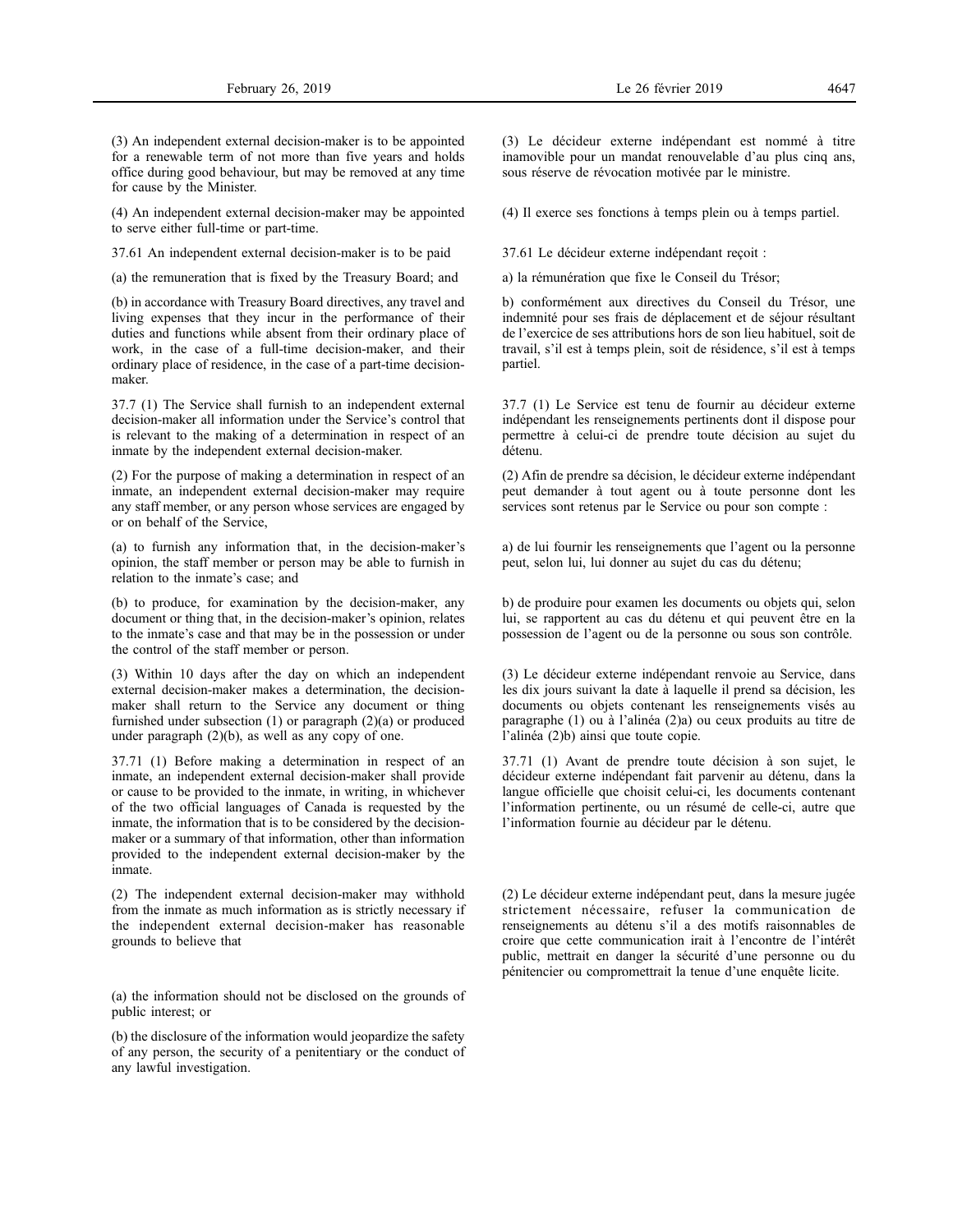(3) An independent external decision-maker is to be appointed for a renewable term of not more than five years and holds office during good behaviour, but may be removed at any time for cause by the Minister.

(4) An independent external decision-maker may be appointed to serve either full-time or part-time.

37.61 An independent external decision-maker is to be paid

(a) the remuneration that is fixed by the Treasury Board; and

(b) in accordance with Treasury Board directives, any travel and living expenses that they incur in the performance of their duties and functions while absent from their ordinary place of work, in the case of a full-time decision-maker, and their ordinary place of residence, in the case of a part-time decisionmaker.

37.7 (1) The Service shall furnish to an independent external decision-maker all information under the Service's control that is relevant to the making of a determination in respect of an inmate by the independent external decision-maker.

(2) For the purpose of making a determination in respect of an inmate, an independent external decision-maker may require any staff member, or any person whose services are engaged by or on behalf of the Service,

(a) to furnish any information that, in the decision-maker's opinion, the staff member or person may be able to furnish in relation to the inmate's case; and

(b) to produce, for examination by the decision-maker, any document or thing that, in the decision-maker's opinion, relates to the inmate's case and that may be in the possession or under the control of the staff member or person.

(3) Within 10 days after the day on which an independent external decision-maker makes a determination, the decisionmaker shall return to the Service any document or thing furnished under subsection (1) or paragraph (2)(a) or produced under paragraph (2)(b), as well as any copy of one.

37.71 (1) Before making a determination in respect of an inmate, an independent external decision-maker shall provide or cause to be provided to the inmate, in writing, in whichever of the two official languages of Canada is requested by the inmate, the information that is to be considered by the decisionmaker or a summary of that information, other than information provided to the independent external decision-maker by the inmate.

(2) The independent external decision-maker may withhold from the inmate as much information as is strictly necessary if the independent external decision-maker has reasonable grounds to believe that

(a) the information should not be disclosed on the grounds of public interest; or

(b) the disclosure of the information would jeopardize the safety of any person, the security of a penitentiary or the conduct of any lawful investigation.

(3) Le décideur externe indépendant est nommé à titre inamovible pour un mandat renouvelable d'au plus cinq ans, sous réserve de révocation motivée par le ministre.

(4) Il exerce ses fonctions à temps plein ou à temps partiel.

37.61 Le décideur externe indépendant reçoit :

a) la rémunération que fixe le Conseil du Trésor;

b) conformément aux directives du Conseil du Trésor, une indemnité pour ses frais de déplacement et de séjour résultant de l'exercice de ses attributions hors de son lieu habituel, soit de travail, s'il est à temps plein, soit de résidence, s'il est à temps partiel.

37.7 (1) Le Service est tenu de fournir au décideur externe indépendant les renseignements pertinents dont il dispose pour permettre à celui-ci de prendre toute décision au sujet du détenu.

(2) Afin de prendre sa décision, le décideur externe indépendant peut demander à tout agent ou à toute personne dont les services sont retenus par le Service ou pour son compte :

a) de lui fournir les renseignements que l'agent ou la personne peut, selon lui, lui donner au sujet du cas du détenu;

b) de produire pour examen les documents ou objets qui, selon lui, se rapportent au cas du détenu et qui peuvent être en la possession de l'agent ou de la personne ou sous son contrôle.

(3) Le décideur externe indépendant renvoie au Service, dans les dix jours suivant la date à laquelle il prend sa décision, les documents ou objets contenant les renseignements visés au paragraphe (1) ou à l'alinéa (2)a) ou ceux produits au titre de l'alinéa (2)b) ainsi que toute copie.

37.71 (1) Avant de prendre toute décision à son sujet, le décideur externe indépendant fait parvenir au détenu, dans la langue officielle que choisit celui-ci, les documents contenant l'information pertinente, ou un résumé de celle-ci, autre que l'information fournie au décideur par le détenu.

(2) Le décideur externe indépendant peut, dans la mesure jugée strictement nécessaire, refuser la communication de renseignements au détenu s'il a des motifs raisonnables de croire que cette communication irait à l'encontre de l'intérêt public, mettrait en danger la sécurité d'une personne ou du pénitencier ou compromettrait la tenue d'une enquête licite.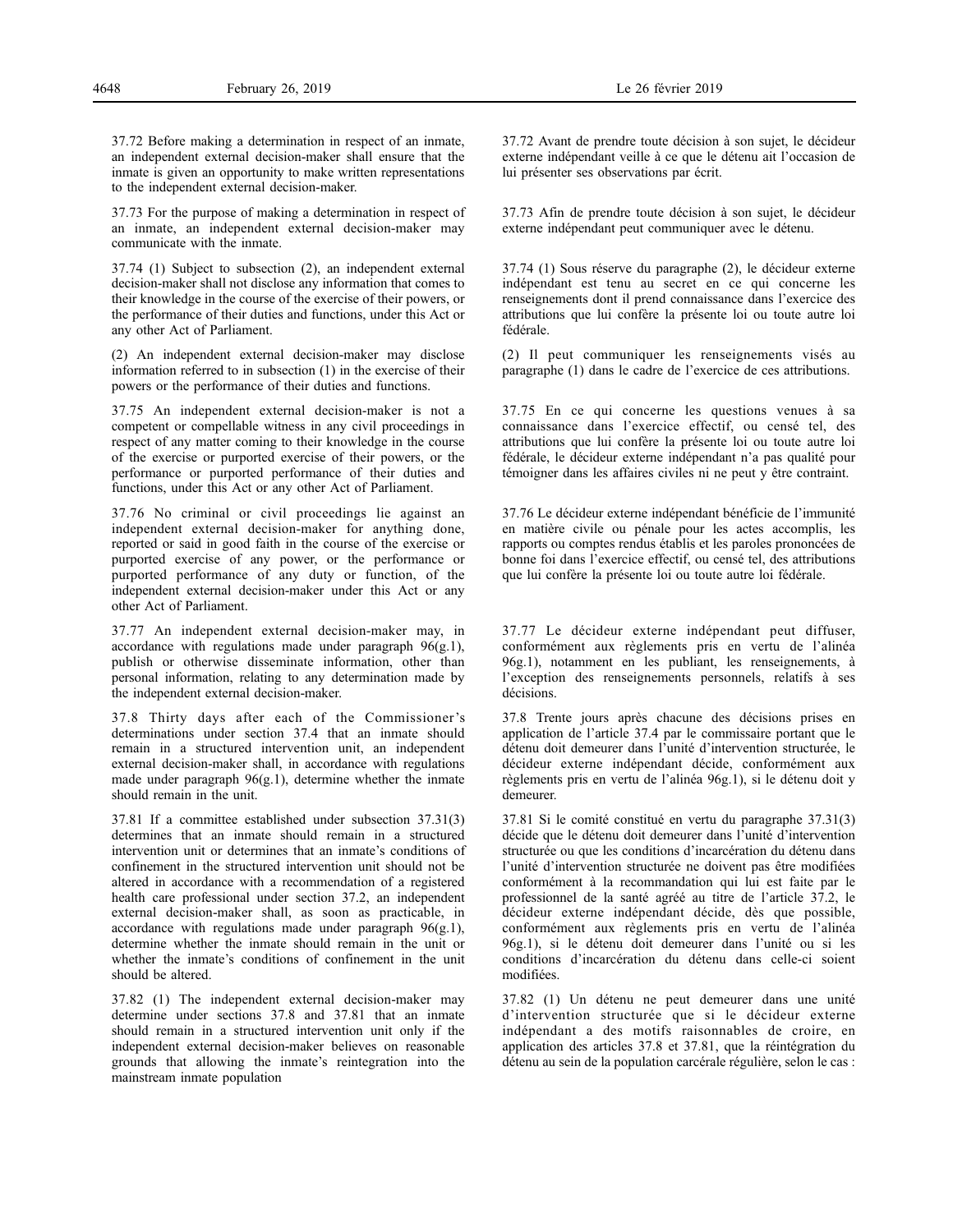37.72 Before making a determination in respect of an inmate, an independent external decision-maker shall ensure that the inmate is given an opportunity to make written representations to the independent external decision-maker.

37.73 For the purpose of making a determination in respect of an inmate, an independent external decision-maker may communicate with the inmate.

37.74 (1) Subject to subsection (2), an independent external decision-maker shall not disclose any information that comes to their knowledge in the course of the exercise of their powers, or the performance of their duties and functions, under this Act or any other Act of Parliament.

(2) An independent external decision-maker may disclose information referred to in subsection (1) in the exercise of their powers or the performance of their duties and functions.

37.75 An independent external decision-maker is not a competent or compellable witness in any civil proceedings in respect of any matter coming to their knowledge in the course of the exercise or purported exercise of their powers, or the performance or purported performance of their duties and functions, under this Act or any other Act of Parliament.

37.76 No criminal or civil proceedings lie against an independent external decision-maker for anything done, reported or said in good faith in the course of the exercise or purported exercise of any power, or the performance or purported performance of any duty or function, of the independent external decision-maker under this Act or any other Act of Parliament.

37.77 An independent external decision-maker may, in accordance with regulations made under paragraph  $96(g.1)$ , publish or otherwise disseminate information, other than personal information, relating to any determination made by the independent external decision-maker.

37.8 Thirty days after each of the Commissioner's determinations under section 37.4 that an inmate should remain in a structured intervention unit, an independent external decision-maker shall, in accordance with regulations made under paragraph 96(g.1), determine whether the inmate should remain in the unit.

37.81 If a committee established under subsection 37.31(3) determines that an inmate should remain in a structured intervention unit or determines that an inmate's conditions of confinement in the structured intervention unit should not be altered in accordance with a recommendation of a registered health care professional under section 37.2, an independent external decision-maker shall, as soon as practicable, in accordance with regulations made under paragraph  $96(g.1)$ , determine whether the inmate should remain in the unit or whether the inmate's conditions of confinement in the unit should be altered.

37.82 (1) The independent external decision-maker may determine under sections 37.8 and 37.81 that an inmate should remain in a structured intervention unit only if the independent external decision-maker believes on reasonable grounds that allowing the inmate's reintegration into the mainstream inmate population

37.72 Avant de prendre toute décision à son sujet, le décideur externe indépendant veille à ce que le détenu ait l'occasion de lui présenter ses observations par écrit.

37.73 Afin de prendre toute décision à son sujet, le décideur externe indépendant peut communiquer avec le détenu.

37.74 (1) Sous réserve du paragraphe (2), le décideur externe indépendant est tenu au secret en ce qui concerne les renseignements dont il prend connaissance dans l'exercice des attributions que lui confère la présente loi ou toute autre loi fédérale.

(2) Il peut communiquer les renseignements visés au paragraphe (1) dans le cadre de l'exercice de ces attributions.

37.75 En ce qui concerne les questions venues à sa connaissance dans l'exercice effectif, ou censé tel, des attributions que lui confère la présente loi ou toute autre loi fédérale, le décideur externe indépendant n'a pas qualité pour témoigner dans les affaires civiles ni ne peut y être contraint.

37.76 Le décideur externe indépendant bénéficie de l'immunité en matière civile ou pénale pour les actes accomplis, les rapports ou comptes rendus établis et les paroles prononcées de bonne foi dans l'exercice effectif, ou censé tel, des attributions que lui confère la présente loi ou toute autre loi fédérale.

37.77 Le décideur externe indépendant peut diffuser, conformément aux règlements pris en vertu de l'alinéa 96g.1), notamment en les publiant, les renseignements, à l'exception des renseignements personnels, relatifs à ses décisions.

37.8 Trente jours après chacune des décisions prises en application de l'article 37.4 par le commissaire portant que le détenu doit demeurer dans l'unité d'intervention structurée, le décideur externe indépendant décide, conformément aux règlements pris en vertu de l'alinéa 96g.1), si le détenu doit y demeurer.

37.81 Si le comité constitué en vertu du paragraphe 37.31(3) décide que le détenu doit demeurer dans l'unité d'intervention structurée ou que les conditions d'incarcération du détenu dans l'unité d'intervention structurée ne doivent pas être modifiées conformément à la recommandation qui lui est faite par le professionnel de la santé agréé au titre de l'article 37.2, le décideur externe indépendant décide, dès que possible, conformément aux règlements pris en vertu de l'alinéa 96g.1), si le détenu doit demeurer dans l'unité ou si les conditions d'incarcération du détenu dans celle-ci soient modifiées.

37.82 (1) Un détenu ne peut demeurer dans une unité d'intervention structurée que si le décideur externe indépendant a des motifs raisonnables de croire, en application des articles 37.8 et 37.81, que la réintégration du détenu au sein de la population carcérale régulière, selon le cas :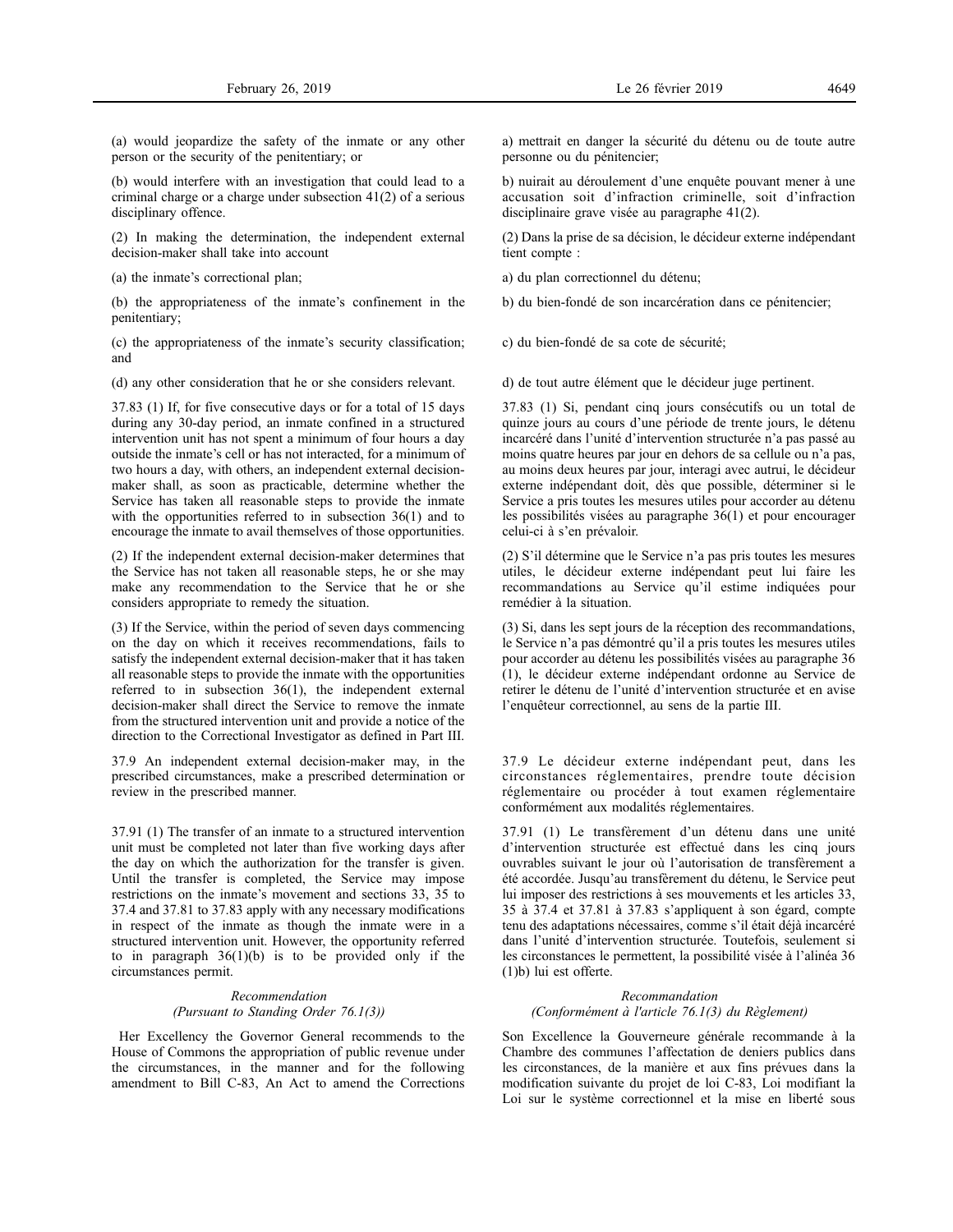(a) would jeopardize the safety of the inmate or any other person or the security of the penitentiary; or

(b) would interfere with an investigation that could lead to a criminal charge or a charge under subsection 41(2) of a serious disciplinary offence.

(2) In making the determination, the independent external decision-maker shall take into account

(a) the inmate's correctional plan;

(b) the appropriateness of the inmate's confinement in the penitentiary;

(c) the appropriateness of the inmate's security classification; and

(d) any other consideration that he or she considers relevant.

37.83 (1) If, for five consecutive days or for a total of 15 days during any 30-day period, an inmate confined in a structured intervention unit has not spent a minimum of four hours a day outside the inmate's cell or has not interacted, for a minimum of two hours a day, with others, an independent external decisionmaker shall, as soon as practicable, determine whether the Service has taken all reasonable steps to provide the inmate with the opportunities referred to in subsection 36(1) and to encourage the inmate to avail themselves of those opportunities.

(2) If the independent external decision-maker determines that the Service has not taken all reasonable steps, he or she may make any recommendation to the Service that he or she considers appropriate to remedy the situation.

(3) If the Service, within the period of seven days commencing on the day on which it receives recommendations, fails to satisfy the independent external decision-maker that it has taken all reasonable steps to provide the inmate with the opportunities referred to in subsection 36(1), the independent external decision-maker shall direct the Service to remove the inmate from the structured intervention unit and provide a notice of the direction to the Correctional Investigator as defined in Part III.

37.9 An independent external decision-maker may, in the prescribed circumstances, make a prescribed determination or review in the prescribed manner.

37.91 (1) The transfer of an inmate to a structured intervention unit must be completed not later than five working days after the day on which the authorization for the transfer is given. Until the transfer is completed, the Service may impose restrictions on the inmate's movement and sections 33, 35 to 37.4 and 37.81 to 37.83 apply with any necessary modifications in respect of the inmate as though the inmate were in a structured intervention unit. However, the opportunity referred to in paragraph  $36(1)(b)$  is to be provided only if the circumstances permit.

# *Recommendation (Pursuant to Standing Order 76.1(3))*

Her Excellency the Governor General recommends to the House of Commons the appropriation of public revenue under the circumstances, in the manner and for the following amendment to Bill C-83, An Act to amend the Corrections a) mettrait en danger la sécurité du détenu ou de toute autre personne ou du pénitencier;

b) nuirait au déroulement d'une enquête pouvant mener à une accusation soit d'infraction criminelle, soit d'infraction disciplinaire grave visée au paragraphe 41(2).

(2) Dans la prise de sa décision, le décideur externe indépendant tient compte :

a) du plan correctionnel du détenu;

b) du bien-fondé de son incarcération dans ce pénitencier;

c) du bien-fondé de sa cote de sécurité;

d) de tout autre élément que le décideur juge pertinent.

37.83 (1) Si, pendant cinq jours consécutifs ou un total de quinze jours au cours d'une période de trente jours, le détenu incarcéré dans l'unité d'intervention structurée n'a pas passé au moins quatre heures par jour en dehors de sa cellule ou n'a pas, au moins deux heures par jour, interagi avec autrui, le décideur externe indépendant doit, dès que possible, déterminer si le Service a pris toutes les mesures utiles pour accorder au détenu les possibilités visées au paragraphe 36(1) et pour encourager celui-ci à s'en prévaloir.

(2) S'il détermine que le Service n'a pas pris toutes les mesures utiles, le décideur externe indépendant peut lui faire les recommandations au Service qu'il estime indiquées pour remédier à la situation.

(3) Si, dans les sept jours de la réception des recommandations, le Service n'a pas démontré qu'il a pris toutes les mesures utiles pour accorder au détenu les possibilités visées au paragraphe 36 (1), le décideur externe indépendant ordonne au Service de retirer le détenu de l'unité d'intervention structurée et en avise l'enquêteur correctionnel, au sens de la partie III.

37.9 Le décideur externe indépendant peut, dans les circonstances réglementaires, prendre toute décision réglementaire ou procéder à tout examen réglementaire conformément aux modalités réglementaires.

37.91 (1) Le transfèrement d'un détenu dans une unité d'intervention structurée est effectué dans les cinq jours ouvrables suivant le jour où l'autorisation de transfèrement a été accordée. Jusqu'au transfèrement du détenu, le Service peut lui imposer des restrictions à ses mouvements et les articles 33, 35 à 37.4 et 37.81 à 37.83 s'appliquent à son égard, compte tenu des adaptations nécessaires, comme s'il était déjà incarcéré dans l'unité d'intervention structurée. Toutefois, seulement si les circonstances le permettent, la possibilité visée à l'alinéa 36 (1)b) lui est offerte.

# *Recommandation (Conformément à l'article 76.1(3) du Règlement)*

Son Excellence la Gouverneure générale recommande à la Chambre des communes l'affectation de deniers publics dans les circonstances, de la manière et aux fins prévues dans la modification suivante du projet de loi C-83, Loi modifiant la Loi sur le système correctionnel et la mise en liberté sous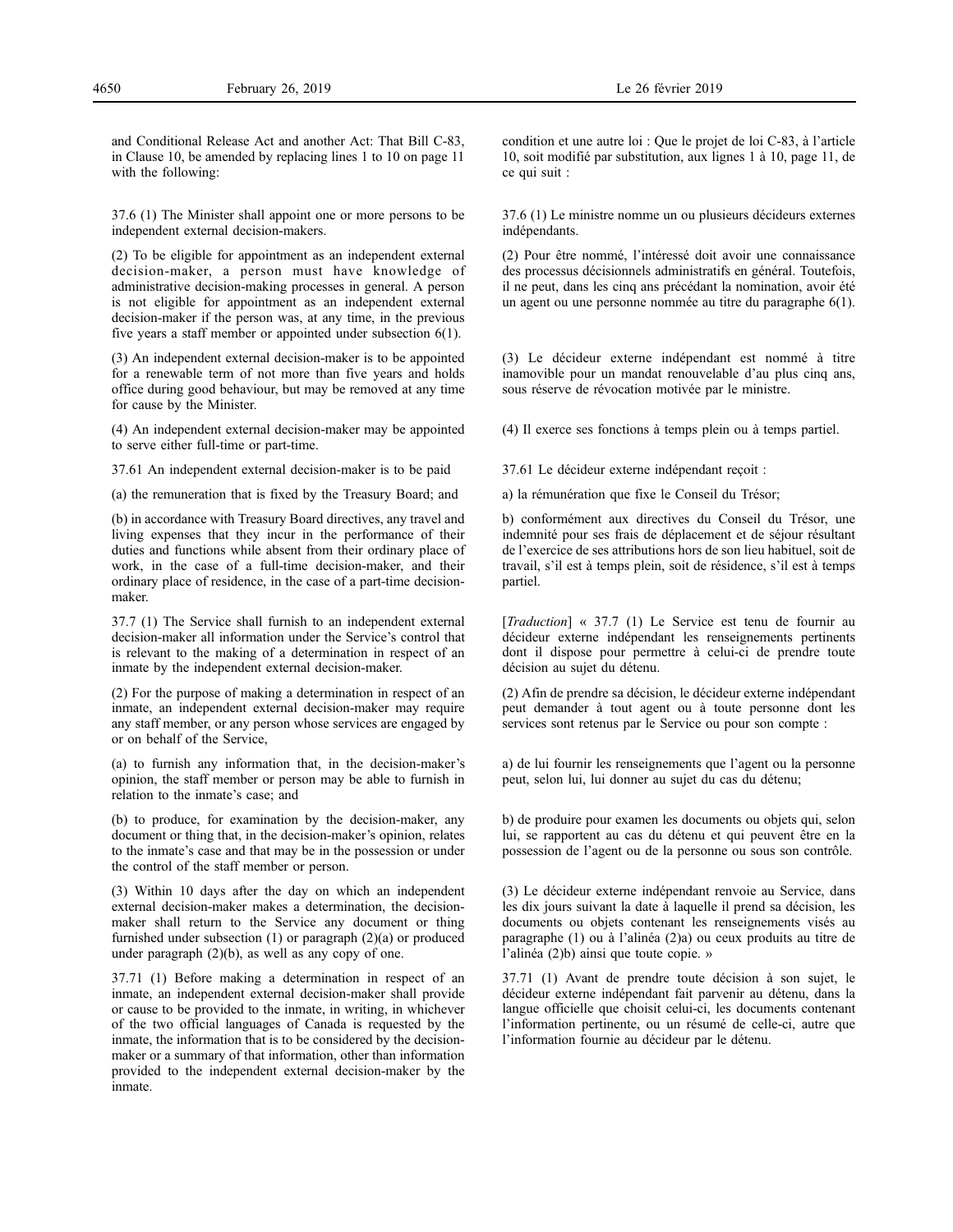and Conditional Release Act and another Act: That Bill C-83, in Clause 10, be amended by replacing lines 1 to 10 on page 11 with the following:

37.6 (1) The Minister shall appoint one or more persons to be independent external decision-makers.

(2) To be eligible for appointment as an independent external decision-maker, a person must have knowledge of administrative decision-making processes in general. A person is not eligible for appointment as an independent external decision-maker if the person was, at any time, in the previous five years a staff member or appointed under subsection 6(1).

(3) An independent external decision-maker is to be appointed for a renewable term of not more than five years and holds office during good behaviour, but may be removed at any time for cause by the Minister.

(4) An independent external decision-maker may be appointed to serve either full-time or part-time.

37.61 An independent external decision-maker is to be paid

(a) the remuneration that is fixed by the Treasury Board; and

(b) in accordance with Treasury Board directives, any travel and living expenses that they incur in the performance of their duties and functions while absent from their ordinary place of work, in the case of a full-time decision-maker, and their ordinary place of residence, in the case of a part-time decisionmaker.

37.7 (1) The Service shall furnish to an independent external decision-maker all information under the Service's control that is relevant to the making of a determination in respect of an inmate by the independent external decision-maker.

(2) For the purpose of making a determination in respect of an inmate, an independent external decision-maker may require any staff member, or any person whose services are engaged by or on behalf of the Service,

(a) to furnish any information that, in the decision-maker's opinion, the staff member or person may be able to furnish in relation to the inmate's case; and

(b) to produce, for examination by the decision-maker, any document or thing that, in the decision-maker's opinion, relates to the inmate's case and that may be in the possession or under the control of the staff member or person.

(3) Within 10 days after the day on which an independent external decision-maker makes a determination, the decisionmaker shall return to the Service any document or thing furnished under subsection (1) or paragraph (2)(a) or produced under paragraph (2)(b), as well as any copy of one.

37.71 (1) Before making a determination in respect of an inmate, an independent external decision-maker shall provide or cause to be provided to the inmate, in writing, in whichever of the two official languages of Canada is requested by the inmate, the information that is to be considered by the decisionmaker or a summary of that information, other than information provided to the independent external decision-maker by the inmate.

37.6 (1) Le ministre nomme un ou plusieurs décideurs externes indépendants.

(2) Pour être nommé, l'intéressé doit avoir une connaissance des processus décisionnels administratifs en général. Toutefois, il ne peut, dans les cinq ans précédant la nomination, avoir été un agent ou une personne nommée au titre du paragraphe 6(1).

(3) Le décideur externe indépendant est nommé à titre inamovible pour un mandat renouvelable d'au plus cinq ans, sous réserve de révocation motivée par le ministre.

(4) Il exerce ses fonctions à temps plein ou à temps partiel.

37.61 Le décideur externe indépendant reçoit :

a) la rémunération que fixe le Conseil du Trésor;

b) conformément aux directives du Conseil du Trésor, une indemnité pour ses frais de déplacement et de séjour résultant de l'exercice de ses attributions hors de son lieu habituel, soit de travail, s'il est à temps plein, soit de résidence, s'il est à temps partiel.

[*Traduction*] « 37.7 (1) Le Service est tenu de fournir au décideur externe indépendant les renseignements pertinents dont il dispose pour permettre à celui-ci de prendre toute décision au sujet du détenu.

(2) Afin de prendre sa décision, le décideur externe indépendant peut demander à tout agent ou à toute personne dont les services sont retenus par le Service ou pour son compte :

a) de lui fournir les renseignements que l'agent ou la personne peut, selon lui, lui donner au sujet du cas du détenu;

b) de produire pour examen les documents ou objets qui, selon lui, se rapportent au cas du détenu et qui peuvent être en la possession de l'agent ou de la personne ou sous son contrôle.

(3) Le décideur externe indépendant renvoie au Service, dans les dix jours suivant la date à laquelle il prend sa décision, les documents ou objets contenant les renseignements visés au paragraphe (1) ou à l'alinéa (2)a) ou ceux produits au titre de l'alinéa (2)b) ainsi que toute copie. »

37.71 (1) Avant de prendre toute décision à son sujet, le décideur externe indépendant fait parvenir au détenu, dans la langue officielle que choisit celui-ci, les documents contenant l'information pertinente, ou un résumé de celle-ci, autre que l'information fournie au décideur par le détenu.

ce qui suit :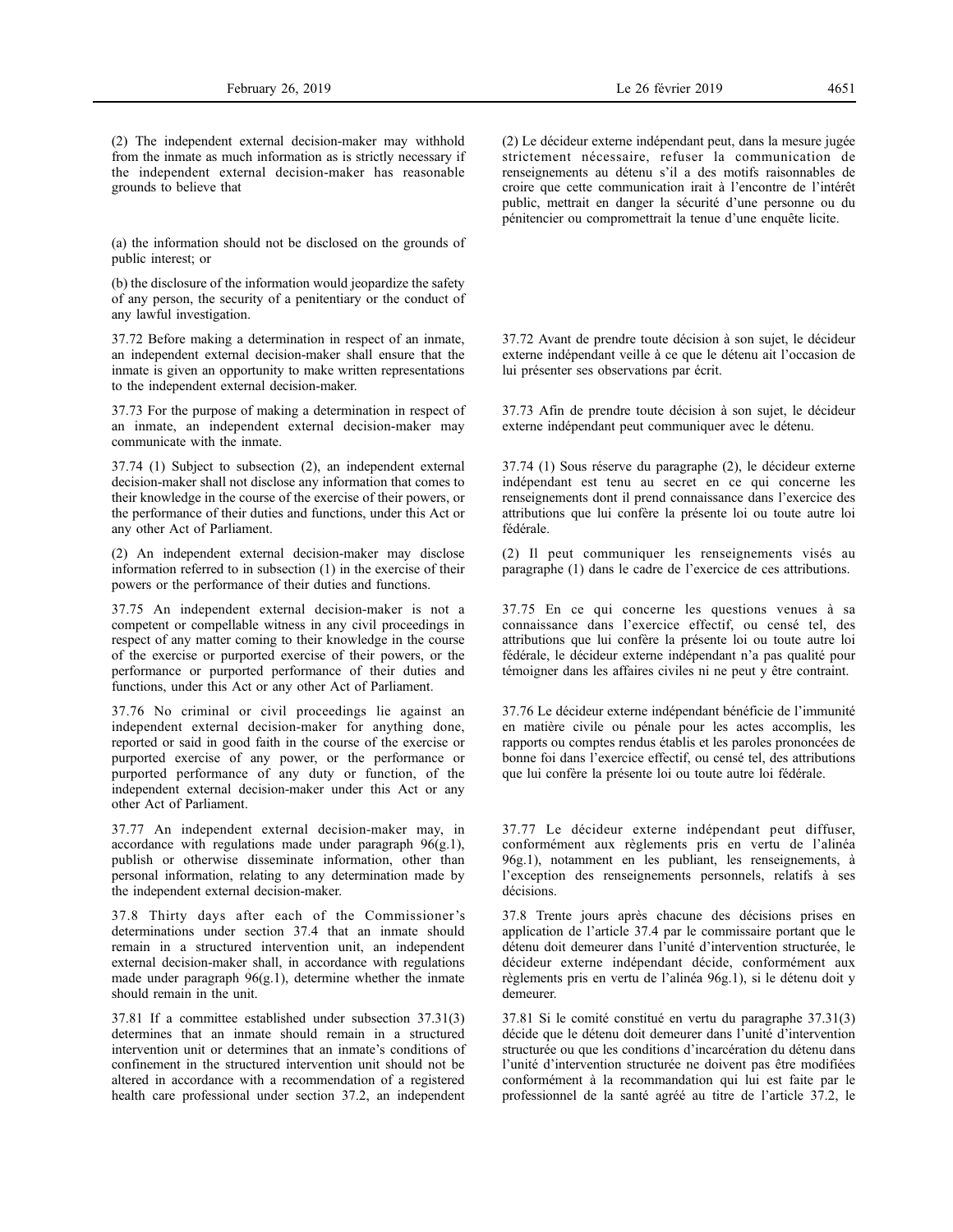(2) The independent external decision-maker may withhold from the inmate as much information as is strictly necessary if the independent external decision-maker has reasonable grounds to believe that

(a) the information should not be disclosed on the grounds of public interest; or

(b) the disclosure of the information would jeopardize the safety of any person, the security of a penitentiary or the conduct of any lawful investigation.

37.72 Before making a determination in respect of an inmate, an independent external decision-maker shall ensure that the inmate is given an opportunity to make written representations to the independent external decision-maker.

37.73 For the purpose of making a determination in respect of an inmate, an independent external decision-maker may communicate with the inmate.

37.74 (1) Subject to subsection (2), an independent external decision-maker shall not disclose any information that comes to their knowledge in the course of the exercise of their powers, or the performance of their duties and functions, under this Act or any other Act of Parliament.

(2) An independent external decision-maker may disclose information referred to in subsection (1) in the exercise of their powers or the performance of their duties and functions.

37.75 An independent external decision-maker is not a competent or compellable witness in any civil proceedings in respect of any matter coming to their knowledge in the course of the exercise or purported exercise of their powers, or the performance or purported performance of their duties and functions, under this Act or any other Act of Parliament.

37.76 No criminal or civil proceedings lie against an independent external decision-maker for anything done, reported or said in good faith in the course of the exercise or purported exercise of any power, or the performance or purported performance of any duty or function, of the independent external decision-maker under this Act or any other Act of Parliament.

37.77 An independent external decision-maker may, in accordance with regulations made under paragraph 96(g.1), publish or otherwise disseminate information, other than personal information, relating to any determination made by the independent external decision-maker.

37.8 Thirty days after each of the Commissioner's determinations under section 37.4 that an inmate should remain in a structured intervention unit, an independent external decision-maker shall, in accordance with regulations made under paragraph 96(g.1), determine whether the inmate should remain in the unit.

37.81 If a committee established under subsection 37.31(3) determines that an inmate should remain in a structured intervention unit or determines that an inmate's conditions of confinement in the structured intervention unit should not be altered in accordance with a recommendation of a registered health care professional under section 37.2, an independent

(2) Le décideur externe indépendant peut, dans la mesure jugée strictement nécessaire, refuser la communication de renseignements au détenu s'il a des motifs raisonnables de croire que cette communication irait à l'encontre de l'intérêt public, mettrait en danger la sécurité d'une personne ou du pénitencier ou compromettrait la tenue d'une enquête licite.

37.72 Avant de prendre toute décision à son sujet, le décideur externe indépendant veille à ce que le détenu ait l'occasion de lui présenter ses observations par écrit.

37.73 Afin de prendre toute décision à son sujet, le décideur externe indépendant peut communiquer avec le détenu.

37.74 (1) Sous réserve du paragraphe (2), le décideur externe indépendant est tenu au secret en ce qui concerne les renseignements dont il prend connaissance dans l'exercice des attributions que lui confère la présente loi ou toute autre loi fédérale.

(2) Il peut communiquer les renseignements visés au paragraphe (1) dans le cadre de l'exercice de ces attributions.

37.75 En ce qui concerne les questions venues à sa connaissance dans l'exercice effectif, ou censé tel, des attributions que lui confère la présente loi ou toute autre loi fédérale, le décideur externe indépendant n'a pas qualité pour témoigner dans les affaires civiles ni ne peut y être contraint.

37.76 Le décideur externe indépendant bénéficie de l'immunité en matière civile ou pénale pour les actes accomplis, les rapports ou comptes rendus établis et les paroles prononcées de bonne foi dans l'exercice effectif, ou censé tel, des attributions que lui confère la présente loi ou toute autre loi fédérale.

37.77 Le décideur externe indépendant peut diffuser, conformément aux règlements pris en vertu de l'alinéa 96g.1), notamment en les publiant, les renseignements, à l'exception des renseignements personnels, relatifs à ses décisions.

37.8 Trente jours après chacune des décisions prises en application de l'article 37.4 par le commissaire portant que le détenu doit demeurer dans l'unité d'intervention structurée, le décideur externe indépendant décide, conformément aux règlements pris en vertu de l'alinéa 96g.1), si le détenu doit y demeurer.

37.81 Si le comité constitué en vertu du paragraphe 37.31(3) décide que le détenu doit demeurer dans l'unité d'intervention structurée ou que les conditions d'incarcération du détenu dans l'unité d'intervention structurée ne doivent pas être modifiées conformément à la recommandation qui lui est faite par le professionnel de la santé agréé au titre de l'article 37.2, le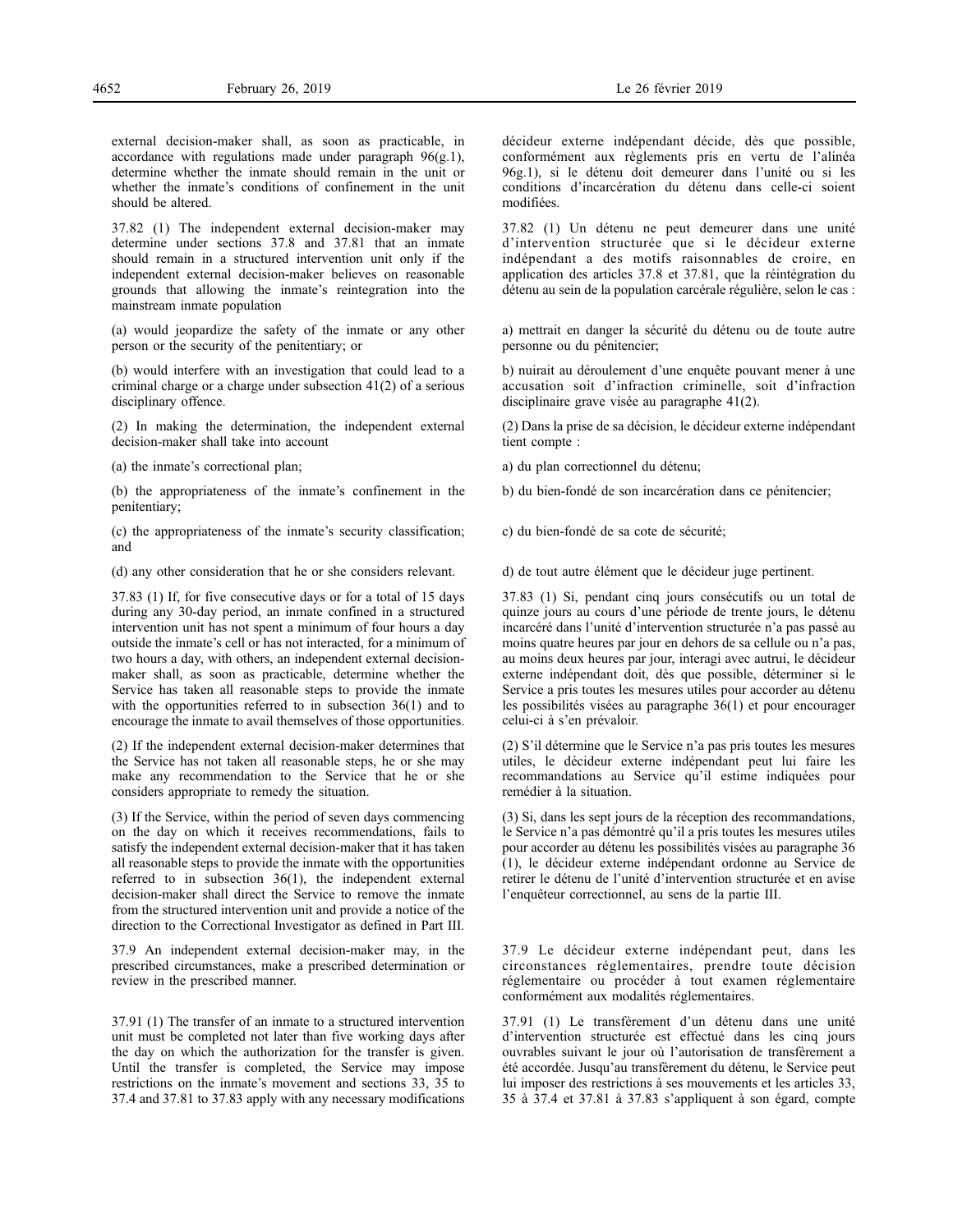external decision-maker shall, as soon as practicable, in accordance with regulations made under paragraph  $96(g.1)$ , determine whether the inmate should remain in the unit or whether the inmate's conditions of confinement in the unit should be altered.

37.82 (1) The independent external decision-maker may determine under sections 37.8 and 37.81 that an inmate should remain in a structured intervention unit only if the independent external decision-maker believes on reasonable grounds that allowing the inmate's reintegration into the mainstream inmate population

(a) would jeopardize the safety of the inmate or any other person or the security of the penitentiary; or

(b) would interfere with an investigation that could lead to a criminal charge or a charge under subsection 41(2) of a serious disciplinary offence.

(2) In making the determination, the independent external decision-maker shall take into account

(a) the inmate's correctional plan;

(b) the appropriateness of the inmate's confinement in the penitentiary;

(c) the appropriateness of the inmate's security classification; and

(d) any other consideration that he or she considers relevant.

37.83 (1) If, for five consecutive days or for a total of 15 days during any 30-day period, an inmate confined in a structured intervention unit has not spent a minimum of four hours a day outside the inmate's cell or has not interacted, for a minimum of two hours a day, with others, an independent external decisionmaker shall, as soon as practicable, determine whether the Service has taken all reasonable steps to provide the inmate with the opportunities referred to in subsection 36(1) and to encourage the inmate to avail themselves of those opportunities.

(2) If the independent external decision-maker determines that the Service has not taken all reasonable steps, he or she may make any recommendation to the Service that he or she considers appropriate to remedy the situation.

(3) If the Service, within the period of seven days commencing on the day on which it receives recommendations, fails to satisfy the independent external decision-maker that it has taken all reasonable steps to provide the inmate with the opportunities referred to in subsection 36(1), the independent external decision-maker shall direct the Service to remove the inmate from the structured intervention unit and provide a notice of the direction to the Correctional Investigator as defined in Part III.

37.9 An independent external decision-maker may, in the prescribed circumstances, make a prescribed determination or review in the prescribed manner.

37.91 (1) The transfer of an inmate to a structured intervention unit must be completed not later than five working days after the day on which the authorization for the transfer is given. Until the transfer is completed, the Service may impose restrictions on the inmate's movement and sections 33, 35 to 37.4 and 37.81 to 37.83 apply with any necessary modifications décideur externe indépendant décide, dès que possible, conformément aux règlements pris en vertu de l'alinéa 96g.1), si le détenu doit demeurer dans l'unité ou si les conditions d'incarcération du détenu dans celle-ci soient modifiées.

37.82 (1) Un détenu ne peut demeurer dans une unité d'intervention structurée que si le décideur externe indépendant a des motifs raisonnables de croire, en application des articles 37.8 et 37.81, que la réintégration du détenu au sein de la population carcérale régulière, selon le cas :

a) mettrait en danger la sécurité du détenu ou de toute autre personne ou du pénitencier;

b) nuirait au déroulement d'une enquête pouvant mener à une accusation soit d'infraction criminelle, soit d'infraction disciplinaire grave visée au paragraphe 41(2).

(2) Dans la prise de sa décision, le décideur externe indépendant tient compte :

a) du plan correctionnel du détenu;

b) du bien-fondé de son incarcération dans ce pénitencier;

c) du bien-fondé de sa cote de sécurité;

d) de tout autre élément que le décideur juge pertinent.

37.83 (1) Si, pendant cinq jours consécutifs ou un total de quinze jours au cours d'une période de trente jours, le détenu incarcéré dans l'unité d'intervention structurée n'a pas passé au moins quatre heures par jour en dehors de sa cellule ou n'a pas, au moins deux heures par jour, interagi avec autrui, le décideur externe indépendant doit, dès que possible, déterminer si le Service a pris toutes les mesures utiles pour accorder au détenu les possibilités visées au paragraphe 36(1) et pour encourager celui-ci à s'en prévaloir.

(2) S'il détermine que le Service n'a pas pris toutes les mesures utiles, le décideur externe indépendant peut lui faire les recommandations au Service qu'il estime indiquées pour remédier à la situation.

(3) Si, dans les sept jours de la réception des recommandations, le Service n'a pas démontré qu'il a pris toutes les mesures utiles pour accorder au détenu les possibilités visées au paragraphe 36 (1), le décideur externe indépendant ordonne au Service de retirer le détenu de l'unité d'intervention structurée et en avise l'enquêteur correctionnel, au sens de la partie III.

37.9 Le décideur externe indépendant peut, dans les circonstances réglementaires, prendre toute décision réglementaire ou procéder à tout examen réglementaire conformément aux modalités réglementaires.

37.91 (1) Le transfèrement d'un détenu dans une unité d'intervention structurée est effectué dans les cinq jours ouvrables suivant le jour où l'autorisation de transfèrement a été accordée. Jusqu'au transfèrement du détenu, le Service peut lui imposer des restrictions à ses mouvements et les articles 33, 35 à 37.4 et 37.81 à 37.83 s'appliquent à son égard, compte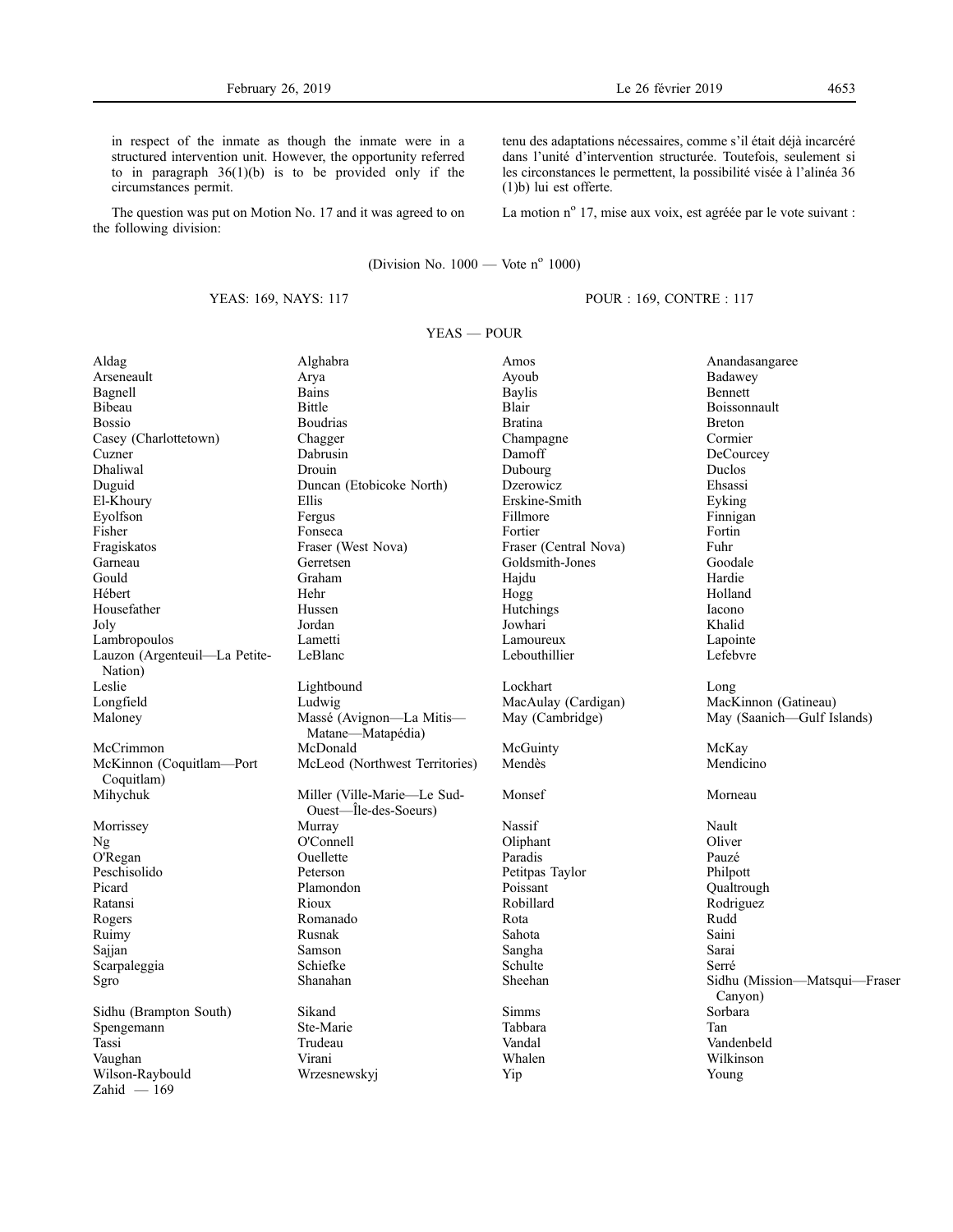in respect of the inmate as though the inmate were in a structured intervention unit. However, the opportunity referred to in paragraph  $36(1)(b)$  is to be provided only if the circumstances permit.

The question was put on Motion No. 17 and it was agreed to on the following division:

(Division No.  $1000$  — Vote n° 1000)

# YEAS: 169, NAYS: 117

tenu des adaptations nécessaires, comme s'il était déjà incarcéré dans l'unité d'intervention structurée. Toutefois, seulement si les circonstances le permettent, la possibilité visée à l'alinéa 36 (1)b) lui est offerte.

La motion nº 17, mise aux voix, est agréée par le vote suivant :

# POUR : 169, CONTRE : 117

# YEAS — POUR

| Aldag                         | Alghabra                       | Amos                  | Anandasangaree                           |
|-------------------------------|--------------------------------|-----------------------|------------------------------------------|
| Arseneault                    | Arya                           | Ayoub                 | Badawey                                  |
| Bagnell                       | <b>Bains</b>                   | <b>Baylis</b>         | Bennett                                  |
| Bibeau                        | <b>Bittle</b>                  | Blair                 | Boissonnault                             |
| <b>Bossio</b>                 | <b>Boudrias</b>                | <b>Bratina</b>        | <b>Breton</b>                            |
| Casey (Charlottetown)         | Chagger                        | Champagne             | Cormier                                  |
| Cuzner                        | Dabrusin                       | Damoff                | DeCourcey                                |
| <b>Dhaliwal</b>               | Drouin                         | Dubourg               | Duclos                                   |
| Duguid                        | Duncan (Etobicoke North)       | Dzerowicz             | Ehsassi                                  |
| El-Khoury                     | Ellis                          | Erskine-Smith         | Eyking                                   |
| Eyolfson                      | Fergus                         | Fillmore              | Finnigan                                 |
| Fisher                        | Fonseca                        | Fortier               | Fortin                                   |
| Fragiskatos                   | Fraser (West Nova)             | Fraser (Central Nova) | Fuhr                                     |
| Garneau                       | Gerretsen                      | Goldsmith-Jones       | Goodale                                  |
| Gould                         | Graham                         | Hajdu                 | Hardie                                   |
| Hébert                        | Hehr                           | Hogg                  | Holland                                  |
| Housefather                   | Hussen                         | Hutchings             | Iacono                                   |
| Joly                          | Jordan                         | Jowhari               | Khalid                                   |
| Lambropoulos                  | Lametti                        | Lamoureux             | Lapointe                                 |
| Lauzon (Argenteuil-La Petite- | LeBlanc                        | Lebouthillier         | Lefebvre                                 |
| Nation)                       |                                |                       |                                          |
| Leslie                        | Lightbound                     | Lockhart              | Long                                     |
| Longfield                     | Ludwig                         | MacAulay (Cardigan)   | MacKinnon (Gatineau)                     |
| Maloney                       | Massé (Avignon-La Mitis-       | May (Cambridge)       | May (Saanich—Gulf Islands)               |
|                               | Matane—Matapédia)              |                       |                                          |
| McCrimmon                     | McDonald                       | McGuinty              | McKay                                    |
| McKinnon (Coquitlam-Port      | McLeod (Northwest Territories) | Mendès                | Mendicino                                |
| Coquitlam)                    |                                |                       |                                          |
| Mihychuk                      | Miller (Ville-Marie-Le Sud-    | Monsef                | Morneau                                  |
|                               | Ouest-Île-des-Soeurs)          |                       |                                          |
| Morrissey                     | Murray                         | Nassif                | Nault                                    |
| Ng                            | O'Connell                      | Oliphant              | Oliver                                   |
| O'Regan                       | Ouellette                      | Paradis               | Pauzé                                    |
| Peschisolido                  | Peterson                       | Petitpas Taylor       | Philpott                                 |
| Picard                        | Plamondon                      | Poissant              | Qualtrough                               |
| Ratansi                       | Rioux                          | Robillard             | Rodriguez                                |
| Rogers                        | Romanado                       | Rota                  | Rudd                                     |
| Ruimy                         | Rusnak                         | Sahota                | Saini                                    |
| Sajjan                        | Samson                         | Sangha                | Sarai                                    |
| Scarpaleggia                  | Schiefke                       | Schulte               | Serré                                    |
| Sgro                          | Shanahan                       | Sheehan               | Sidhu (Mission-Matsqui-Fraser<br>Canyon) |
| Sidhu (Brampton South)        | Sikand                         | <b>Simms</b>          | Sorbara                                  |
| Spengemann                    | Ste-Marie                      | Tabbara               | Tan                                      |
| Tassi                         | Trudeau                        | Vandal                | Vandenbeld                               |
| Vaughan                       | Virani                         | Whalen                | Wilkinson                                |
| Wilson-Raybould               | Wrzesnewskyj                   | Yip                   | Young                                    |
| $Zahid - 169$                 |                                |                       |                                          |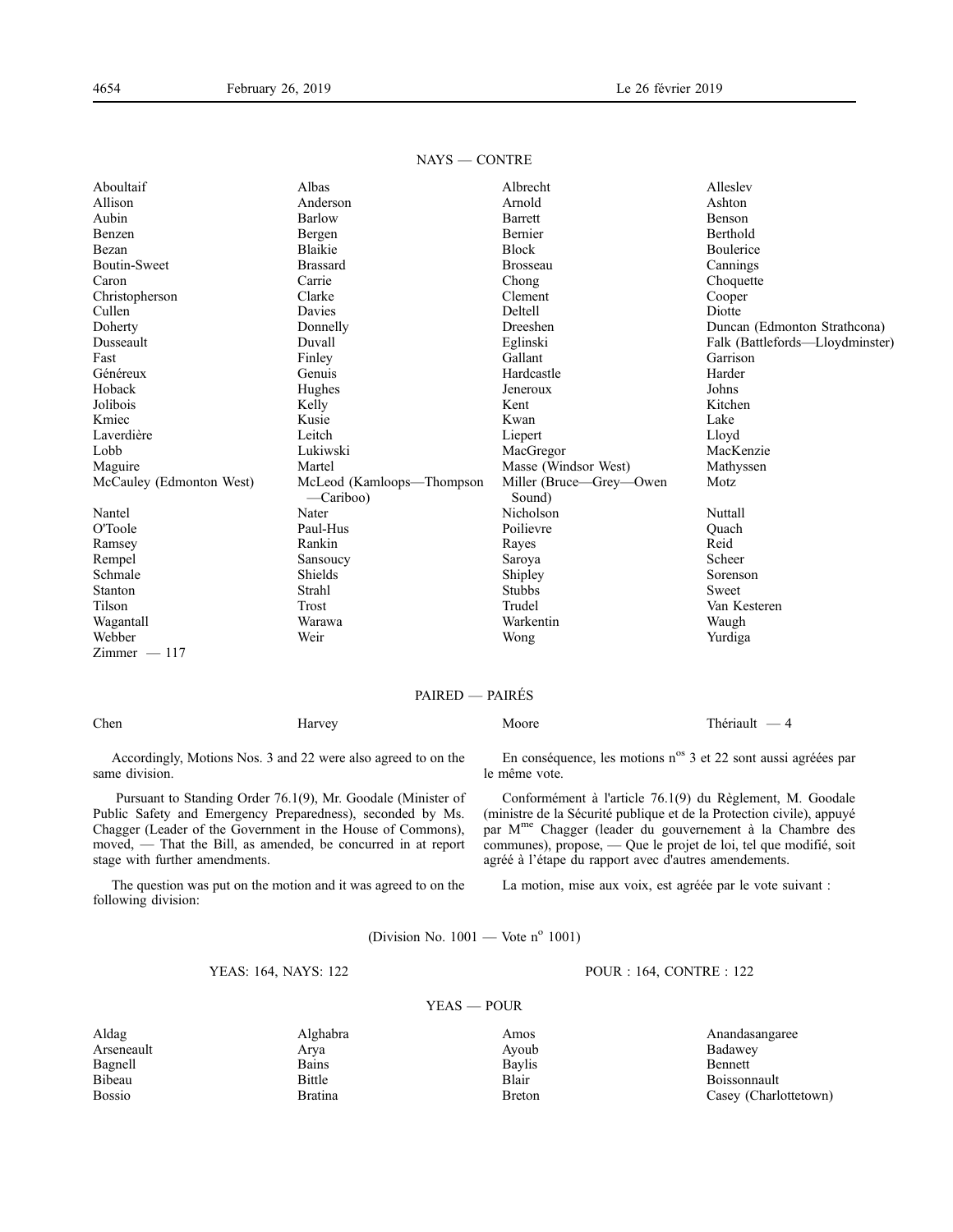| Aboultaif                | Albas                                  | Albrecht                          | Alleslev                        |
|--------------------------|----------------------------------------|-----------------------------------|---------------------------------|
| Allison                  | Anderson                               | Arnold                            | Ashton                          |
| Aubin                    | Barlow                                 | Barrett                           | Benson                          |
| Benzen                   | Bergen                                 | Bernier                           | Berthold                        |
| Bezan                    | Blaikie                                | <b>Block</b>                      | Boulerice                       |
| <b>Boutin-Sweet</b>      | <b>Brassard</b>                        | Brosseau                          | Cannings                        |
| Caron                    | Carrie                                 | Chong                             | Choquette                       |
| Christopherson           | Clarke                                 | Clement                           | Cooper                          |
| Cullen                   | Davies                                 | Deltell                           | Diotte                          |
| Doherty                  | Donnelly                               | Dreeshen                          | Duncan (Edmonton Strathcona)    |
| Dusseault                | Duvall                                 | Eglinski                          | Falk (Battlefords—Lloydminster) |
| Fast                     | Finley                                 | Gallant                           | Garrison                        |
| Généreux                 | Genuis                                 | Hardcastle                        | Harder                          |
| Hoback                   | Hughes                                 | Jeneroux                          | Johns                           |
| Jolibois                 | Kelly                                  | Kent                              | Kitchen                         |
| Kmiec                    | Kusie                                  | Kwan                              | Lake                            |
| Laverdière               | Leitch                                 | Liepert                           | Lloyd                           |
| Lobb                     | Lukiwski                               | MacGregor                         | MacKenzie                       |
| Maguire                  | Martel                                 | Masse (Windsor West)              | Mathyssen                       |
| McCauley (Edmonton West) | McLeod (Kamloops—Thompson<br>—Cariboo) | Miller (Bruce—Grey—Owen<br>Sound) | Motz                            |
| Nantel                   | Nater                                  | Nicholson                         | Nuttall                         |
| O'Toole                  | Paul-Hus                               | Poilievre                         | Ouach                           |
| Ramsey                   | Rankin                                 | Rayes                             | Reid                            |
| Rempel                   | Sansoucy                               | Saroya                            | Scheer                          |
| Schmale                  | Shields                                | Shipley                           | Sorenson                        |
| Stanton                  | Strahl                                 | <b>Stubbs</b>                     | Sweet                           |
| Tilson                   | Trost                                  | Trudel                            | Van Kesteren                    |
| Wagantall                | Warawa                                 | Warkentin                         | Waugh                           |
| Webber                   | Weir                                   | Wong                              | Yurdiga                         |
| $Zimmer - 117$           |                                        |                                   |                                 |

# NAYS — CONTRE

# PAIRED — PAIRÉS

Chen Harvey Harvey Moore Moore Thériault — 4

Accordingly, Motions Nos. 3 and 22 were also agreed to on the same division.

Pursuant to Standing Order 76.1(9), Mr. Goodale (Minister of Public Safety and Emergency Preparedness), seconded by Ms. Chagger (Leader of the Government in the House of Commons), moved, — That the Bill, as amended, be concurred in at report stage with further amendments.

The question was put on the motion and it was agreed to on the following division:

En conséquence, les motions n<sup>os</sup> 3 et 22 sont aussi agréées par le même vote.

Conformément à l'article 76.1(9) du Règlement, M. Goodale (ministre de la Sécurité publique et de la Protection civile), appuyé par M<sup>me</sup> Chagger (leader du gouvernement à la Chambre des communes), propose, — Que le projet de loi, tel que modifié, soit agréé à l'étape du rapport avec d'autres amendements.

La motion, mise aux voix, est agréée par le vote suivant :

POUR : 164, CONTRE : 122

(Division No.  $1001$  — Vote n<sup>o</sup> 1001)

# YEAS: 164, NAYS: 122

### YEAS — POUR

Arseneault Arya Ayoub Badawey Bagnell Bains Bains Baylis Bennett Bennett Baylis Bennett Bennett Bagnell Bennett Bennett Bennett B

Aldag Alghabra Alghabra Amos Amos Anandasangaree Arseneault Arya Anandasangaree Arseneault Arya Anandasangaree Bibeau Bittle Blair Blair Boissonnault Bossio Bratina Bratina Breton Breton Casey (Charlottetown)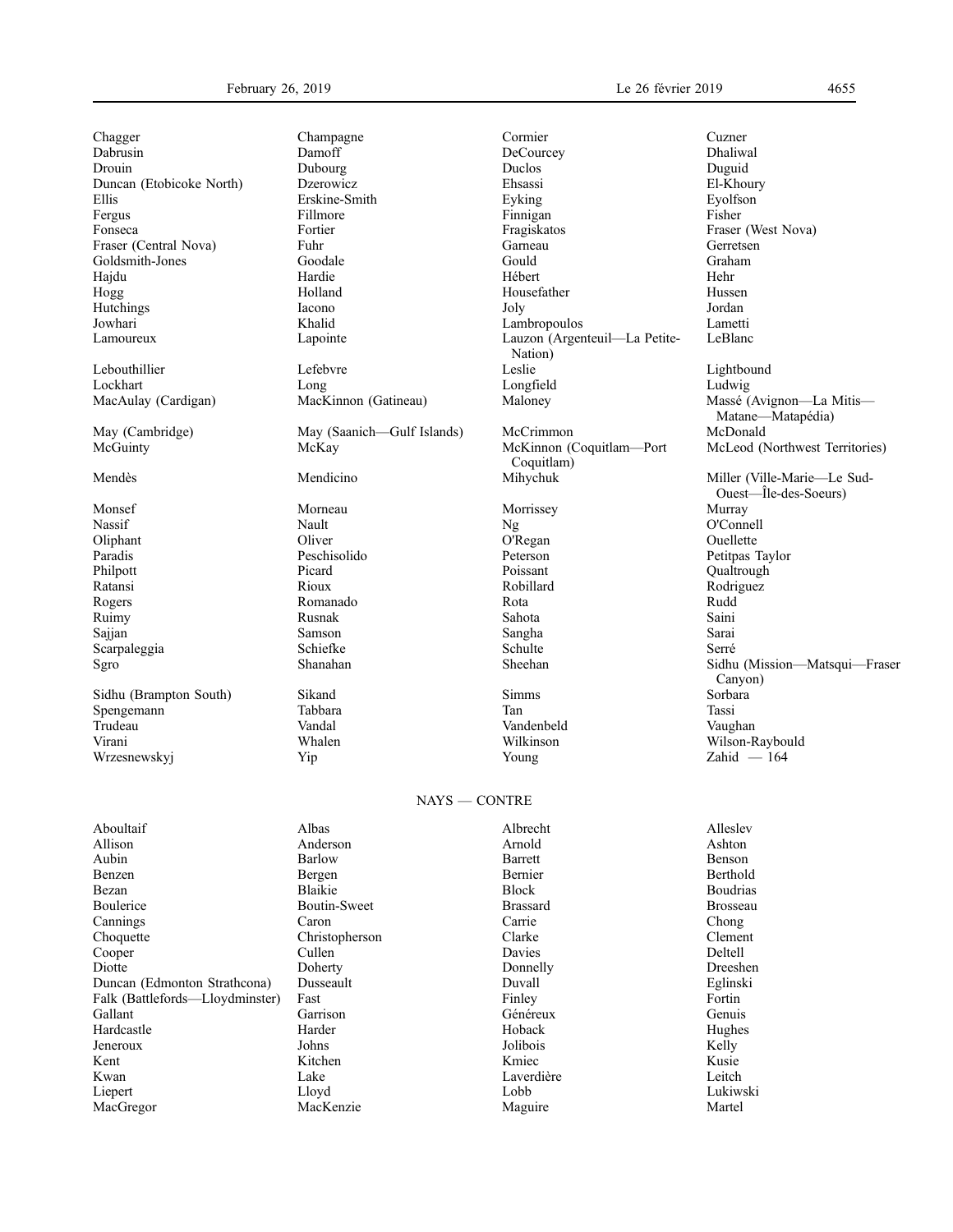Chagger Champagne Champagne Cormier Cuzner Cuzner Cuzner Cuzner Cuzner Cuzner Cuzner Cuzner Cuzner Cuzner Cuzner Cuzner Cuzner Cuzner Cuzner Cuzner Cuzner Cuzner Cuzner Cuzner Cuzner Cuzner Cuzner Cuzner Cuzner Cuzner Cuzn Dabrusin Damoff DeCourcey Dhaliwal Drouin Dubourg Duclos Duguid Duncan (Etobicoke North) Dzerowicz Ehsassi El-Khoury Ellis Erskine-Smith Eyking Eyolfson Fergus Fillmore Finnigan Fisher Fonseca Fortier Fragiskatos Francesca Francesca Fortier Fragiskatos Francesca Francesca Francesca Francesca Francesca Francesca Francesca Francesca Francesca Francesca Francesca Francesca Francesca Francesca Francesca Fran Fraser (Central Nova) Fuhr Garneau Goldsmith-Jones Goodale Gould Garneau Gould Goldsmith-Jones Goodale Gould Graham Graham Goodale Gould Graham Graham Graham Graham Graham Graham Graham Graham Graham Graham Graham Graham Graham Graham Graham Graham Graham Graham Graham Graham Graham Graham Graham Gra Hajdu Hardie Hébert Hehr Hogg Holland Housefather Hussen Hutchings Iacono Joly Jordan Jowhari Khalid Lambropoulos Lametti

Lockhart Long Longfield Ludwig

McGuinty McKay McKay McKinnon (Coquitlam—Port

Monsef Morneau Morrissey Murray Nassif Nault Nault Ng Ng O'Connell Oliphant Oliver O'Regan Ouellette Paradis Peschisolido Peterson Petitpas Taylor Philpott Picard Poissant Qualtrough Ratansi Rioux Robillard Rodriguez Rogers Romanado Rota Rudd Ruimy Rusnak Sahota Saini Sajjan Samson Sangha Sarai Scarpaleggia Schiefke Schulte Serré Schulte Serré

Spengemann Tabbara Tan Tassi Trudeau Vandal Vandenbeld Vaughan Virani Whalen Whalen Wilkinson Wilkinson Wilson-Raybould<br>
Virani Whalen Wilson-Raybould Windowskyi (Virani Wilson-Raybould Windowskyi (Virani Wilson-Raybould Windowsky Wrzesnewskyj Yip Young  $\lambda$ 

Lebouthillier Lefebvre Leslie Lightbound May (Cambridge) May (Saanich—Gulf Islands) McCrimmon Sidhu (Brampton South) Sikand Simms Sorbara Simms Sorbara Simms Sorbara Simms Sorbara Simms Sorbara Simms Sorbara Simms Sorbara Simms Sorbara Simms Sorbara Simms Sorbara Simms Sorbara Simms Sorbara Simms Sorbara Simms Sorb

Lauzon (Argenteuil—La Petite-Nation)<br>Leslie Coquitlam)<br>Mihychuk

#### NAYS — CONTRE

| Aboultaif                       | Albas               | Albrecht        | Alleslev        |
|---------------------------------|---------------------|-----------------|-----------------|
| Allison                         | Anderson            | Arnold          | Ashton          |
| Aubin                           | Barlow              | Barrett         | Benson          |
| Benzen                          | Bergen              | Bernier         | Berthold        |
| Bezan                           | Blaikie             | <b>Block</b>    | <b>Boudrias</b> |
| Boulerice                       | <b>Boutin-Sweet</b> | <b>Brassard</b> | <b>Brosseau</b> |
| Cannings                        | Caron               | Carrie          | Chong           |
| Choquette                       | Christopherson      | Clarke          | Clement         |
| Cooper                          | Cullen              | Davies          | Deltell         |
| Diotte                          | Doherty             | Donnelly        | Dreeshen        |
| Duncan (Edmonton Strathcona)    | Dusseault           | Duvall          | Eglinski        |
| Falk (Battlefords—Lloydminster) | Fast                | Finley          | Fortin          |
| Gallant                         | Garrison            | Généreux        | Genuis          |
| Hardcastle                      | Harder              | Hoback          | Hughes          |
| Jeneroux                        | Johns               | Jolibois        | Kelly           |
| Kent                            | Kitchen             | Kmiec           | Kusie           |
| Kwan                            | Lake                | Laverdière      | Leitch          |
| Liepert                         | Lloyd               | Lobb            | Lukiwski        |
| MacGregor                       | MacKenzie           | Maguire         | Martel          |

LeBlanc MacAulay (Cardigan) MacKinnon (Gatineau) Maloney Massé (Avignon—La Mitis— Matane—Matapédia)<br>McDonald McLeod (Northwest Territories) Mendès Mendicino Mihychuk Miller (Ville-Marie—Le Sud-Ouest—Île-des-Soeurs) Sgro Shanahan Sheehan Sidhu (Mission—Matsqui—Fraser Canyon)<br>Sorbara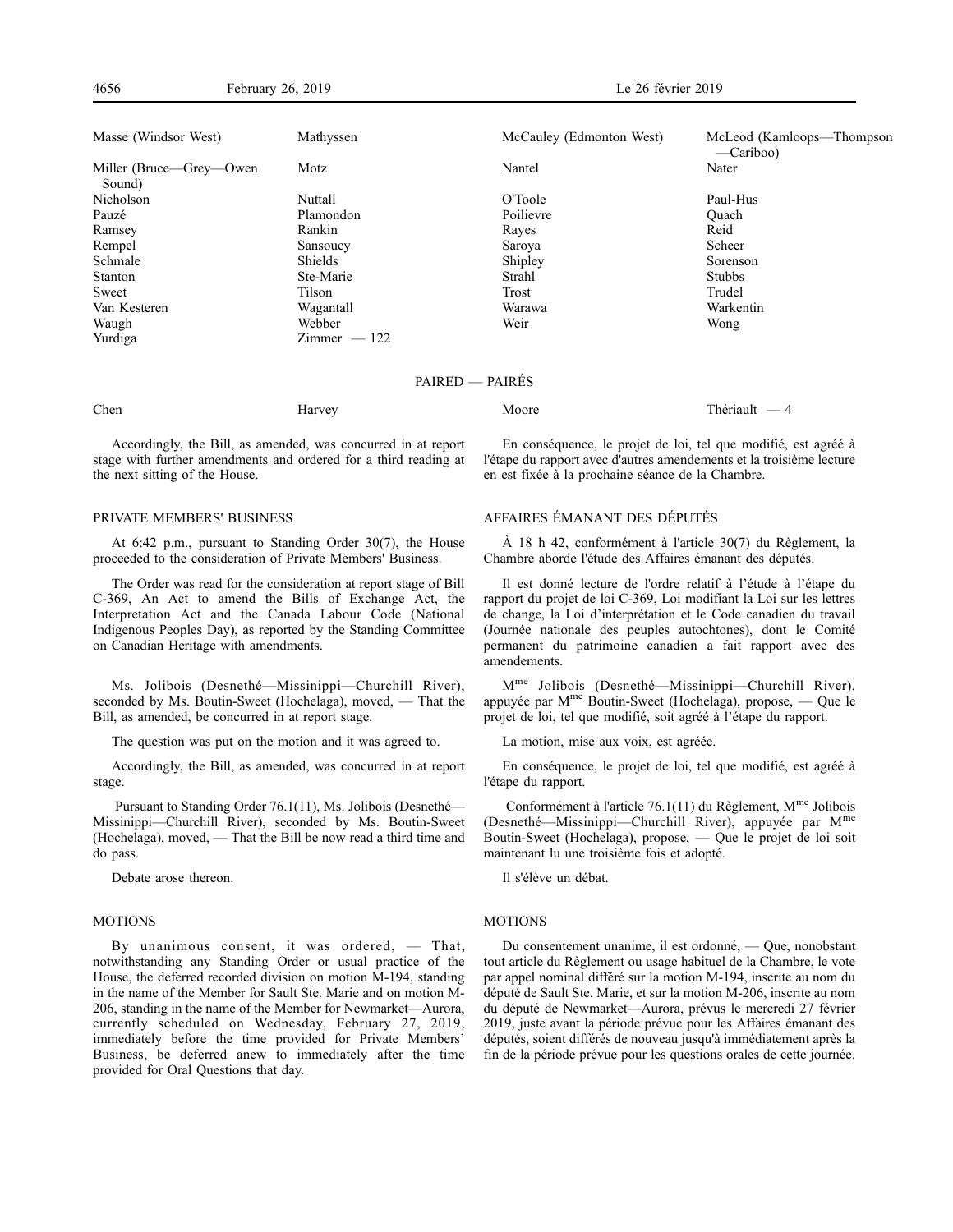| Masse (Windsor West)              | Mathyssen      | McCauley (Edmonton West) | McLeod (Kamloops—Thompson<br>$-Cariboo)$ |
|-----------------------------------|----------------|--------------------------|------------------------------------------|
| Miller (Bruce—Grey—Owen<br>Sound) | Motz           | Nantel                   | Nater                                    |
| Nicholson                         | Nuttall        | O'Toole                  | Paul-Hus                                 |
| Pauzé                             | Plamondon      | Poilievre                | Ouach                                    |
| Ramsey                            | Rankin         | Rayes                    | Reid                                     |
| Rempel                            | Sansoucy       | Saroya                   | Scheer                                   |
| Schmale                           | <b>Shields</b> | Shipley                  | Sorenson                                 |
| <b>Stanton</b>                    | Ste-Marie      | Strahl                   | <b>Stubbs</b>                            |
| Sweet                             | Tilson         | Trost                    | Trudel                                   |
| Van Kesteren                      | Wagantall      | Warawa                   | Warkentin                                |
| Waugh                             | Webber         | Weir                     | Wong                                     |
| Yurdiga                           | $Zimmer - 122$ |                          |                                          |
|                                   |                | PAIRED — PAIRES          |                                          |

Chen Harvey Harvey Moore Moore Thériault — 4

Accordingly, the Bill, as amended, was concurred in at report stage with further amendments and ordered for a third reading at the next sitting of the House.

#### PRIVATE MEMBERS' BUSINESS

At 6:42 p.m., pursuant to Standing Order 30(7), the House proceeded to the consideration of Private Members' Business.

The Order was read for the consideration at report stage of Bill C-369, An Act to amend the Bills of Exchange Act, the Interpretation Act and the Canada Labour Code (National Indigenous Peoples Day), as reported by the Standing Committee on Canadian Heritage with amendments.

Ms. Jolibois (Desnethé—Missinippi—Churchill River), seconded by Ms. Boutin-Sweet (Hochelaga), moved, — That the Bill, as amended, be concurred in at report stage.

The question was put on the motion and it was agreed to.

Accordingly, the Bill, as amended, was concurred in at report stage.

Pursuant to Standing Order 76.1(11), Ms. Jolibois (Desnethé— Missinippi—Churchill River), seconded by Ms. Boutin-Sweet (Hochelaga), moved, — That the Bill be now read a third time and do pass.

Debate arose thereon.

#### MOTIONS

By unanimous consent, it was ordered, — That, notwithstanding any Standing Order or usual practice of the House, the deferred recorded division on motion M-194, standing in the name of the Member for Sault Ste. Marie and on motion M-206, standing in the name of the Member for Newmarket—Aurora, currently scheduled on Wednesday, February 27, 2019, immediately before the time provided for Private Members' Business, be deferred anew to immediately after the time provided for Oral Questions that day.

En conséquence, le projet de loi, tel que modifié, est agréé à l'étape du rapport avec d'autres amendements et la troisième lecture en est fixée à la prochaine séance de la Chambre.

# AFFAIRES ÉMANANT DES DÉPUTÉS

À 18 h 42, conformément à l'article 30(7) du Règlement, la Chambre aborde l'étude des Affaires émanant des députés.

Il est donné lecture de l'ordre relatif à l'étude à l'étape du rapport du projet de loi C-369, Loi modifiant la Loi sur les lettres de change, la Loi d'interprétation et le Code canadien du travail (Journée nationale des peuples autochtones), dont le Comité permanent du patrimoine canadien a fait rapport avec des amendements.

Mme Jolibois (Desnethé—Missinippi—Churchill River), appuyée par Mme Boutin-Sweet (Hochelaga), propose, — Que le projet de loi, tel que modifié, soit agréé à l'étape du rapport.

La motion, mise aux voix, est agréée.

En conséquence, le projet de loi, tel que modifié, est agréé à l'étape du rapport.

Conformément à l'article 76.1(11) du Règlement,  $M^{me}$  Jolibois (Desnethé—Missinippi—Churchill River), appuyée par M<sup>m</sup> Boutin-Sweet (Hochelaga), propose, — Que le projet de loi soit maintenant lu une troisième fois et adopté.

Il s'élève un débat.

# MOTIONS

Du consentement unanime, il est ordonné, — Que, nonobstant tout article du Règlement ou usage habituel de la Chambre, le vote par appel nominal différé sur la motion M-194, inscrite au nom du député de Sault Ste. Marie, et sur la motion M-206, inscrite au nom du député de Newmarket—Aurora, prévus le mercredi 27 février 2019, juste avant la période prévue pour les Affaires émanant des députés, soient différés de nouveau jusqu'à immédiatement après la fin de la période prévue pour les questions orales de cette journée.